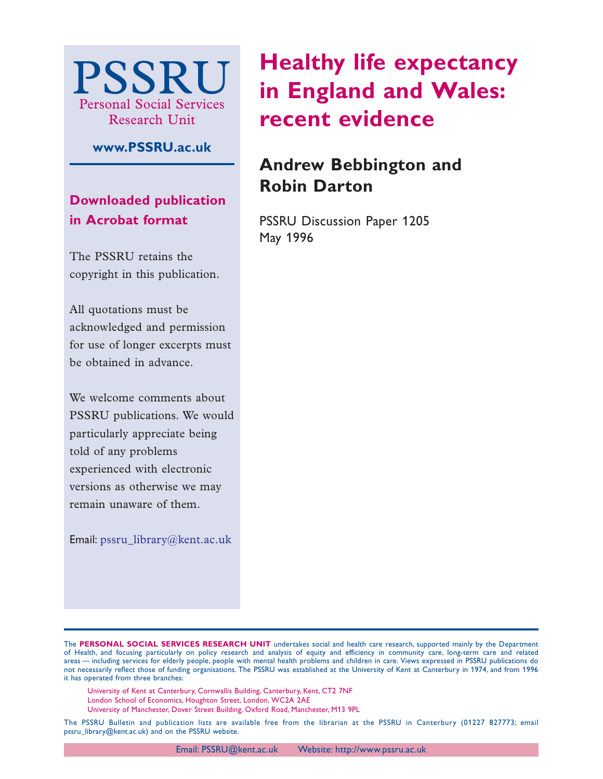

**www.PSSRU.ac.uk**

# **Downloaded publication in Acrobat format**

The PSSRU retains the copyright in this publication.

All quotations must be acknowledged and permission for use of longer excerpts must be obtained in advance.

We welcome comments about PSSRU publications. We would particularly appreciate being told of any problems experienced with electronic versions as otherwise we may remain unaware of them.

Email: pssru\_library@kent.ac.uk

# **Healthy life expectancy in England and Wales: recent evidence**

# **Andrew Bebbington and Robin Darton**

PSSRU Discussion Paper 1205 May 1996

The **PERSONAL SOCIAL SERVICES RESEARCH UNIT** undertakes social and health care research, supported mainly by the Department of Health, and focusing particularly on policy research and analysis of equity and efficiency in community care, long-term care and related areas — including services for elderly people, people with mental health problems and children in care. Views expressed in PSSRU publications do not necessarily reflect those of funding organisations. The PSSRU was established at the University of Kent at Canterbury in 1974, and from 1996 it has operated from three branches:

University of Kent at Canterbury, Cornwallis Building, Canterbury, Kent, CT2 7NF London School of Economics, Houghton Street, London, WC2A 2AE University of Manchester, Dover Street Building, Oxford Road, Manchester, M13 9PL

The PSSRU Bulletin and publication lists are available free from the librarian at the PSSRU in Canterbury (01227 827773; email pssru\_library@kent.ac.uk) and on the PSSRU website.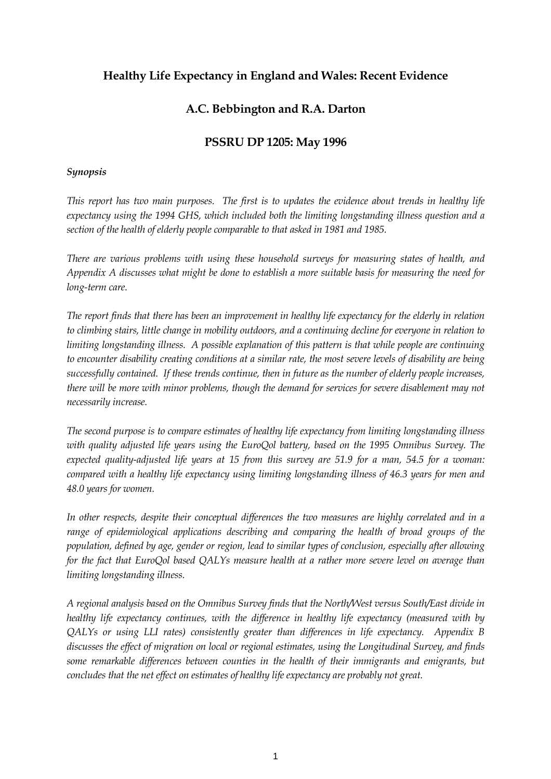# **Healthy Life Expectancy in England and Wales: Recent Evidence**

# **A.C. Bebbington and R.A. Darton**

# **PSSRU DP 1205: May 1996**

## *Synopsis*

*This report has two main purposes. The first is to updates the evidence about trends in healthy life expectancy using the 1994 GHS, which included both the limiting longstanding illness question and a section of the health of elderly people comparable to that asked in 1981 and 1985.* 

*There are various problems with using these household surveys for measuring states of health, and Appendix A discusses what might be done to establish a more suitable basis for measuring the need for long-term care.* 

*The report finds that there has been an improvement in healthy life expectancy for the elderly in relation to climbing stairs, little change in mobility outdoors, and a continuing decline for everyone in relation to limiting longstanding illness. A possible explanation of this pattern is that while people are continuing to encounter disability creating conditions at a similar rate, the most severe levels of disability are being successfully contained. If these trends continue, then in future as the number of elderly people increases, there will be more with minor problems, though the demand for services for severe disablement may not necessarily increase.* 

*The second purpose is to compare estimates of healthy life expectancy from limiting longstanding illness with quality adjusted life years using the EuroQol battery, based on the 1995 Omnibus Survey. The expected quality-adjusted life years at 15 from this survey are 51.9 for a man, 54.5 for a woman: compared with a healthy life expectancy using limiting longstanding illness of 46.3 years for men and 48.0 years for women.* 

*In other respects, despite their conceptual differences the two measures are highly correlated and in a range of epidemiological applications describing and comparing the health of broad groups of the population, defined by age, gender or region, lead to similar types of conclusion, especially after allowing for the fact that EuroQol based QALYs measure health at a rather more severe level on average than limiting longstanding illness.* 

*A regional analysis based on the Omnibus Survey finds that the North/West versus South/East divide in healthy life expectancy continues, with the difference in healthy life expectancy (measured with by QALYs or using LLI rates) consistently greater than differences in life expectancy. Appendix B discusses the effect of migration on local or regional estimates, using the Longitudinal Survey, and finds some remarkable differences between counties in the health of their immigrants and emigrants, but concludes that the net effect on estimates of healthy life expectancy are probably not great.*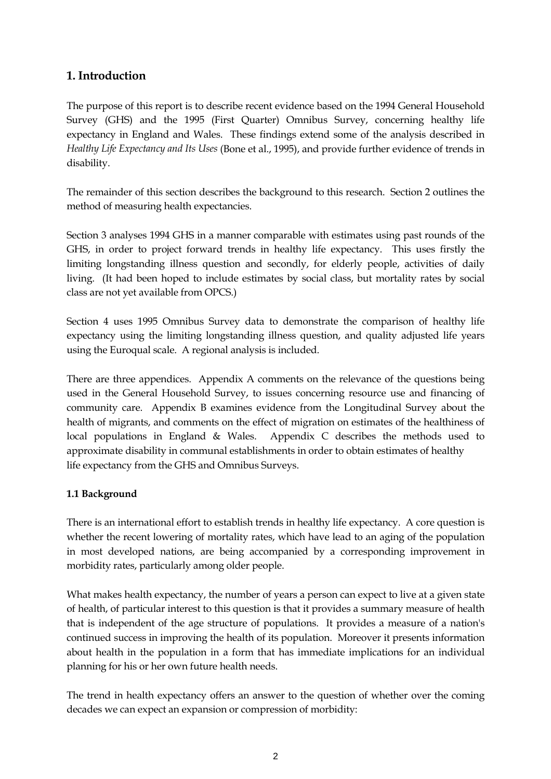# **1. Introduction**

The purpose of this report is to describe recent evidence based on the 1994 General Household Survey (GHS) and the 1995 (First Quarter) Omnibus Survey, concerning healthy life expectancy in England and Wales. These findings extend some of the analysis described in *Healthy Life Expectancy and Its Uses* (Bone et al., 1995), and provide further evidence of trends in disability.

The remainder of this section describes the background to this research. Section 2 outlines the method of measuring health expectancies.

Section 3 analyses 1994 GHS in a manner comparable with estimates using past rounds of the GHS, in order to project forward trends in healthy life expectancy. This uses firstly the limiting longstanding illness question and secondly, for elderly people, activities of daily living. (It had been hoped to include estimates by social class, but mortality rates by social class are not yet available from OPCS.)

Section 4 uses 1995 Omnibus Survey data to demonstrate the comparison of healthy life expectancy using the limiting longstanding illness question, and quality adjusted life years using the Euroqual scale. A regional analysis is included.

There are three appendices. Appendix A comments on the relevance of the questions being used in the General Household Survey, to issues concerning resource use and financing of community care. Appendix B examines evidence from the Longitudinal Survey about the health of migrants, and comments on the effect of migration on estimates of the healthiness of local populations in England & Wales. Appendix C describes the methods used to approximate disability in communal establishments in order to obtain estimates of healthy life expectancy from the GHS and Omnibus Surveys.

# **1.1 Background**

There is an international effort to establish trends in healthy life expectancy. A core question is whether the recent lowering of mortality rates, which have lead to an aging of the population in most developed nations, are being accompanied by a corresponding improvement in morbidity rates, particularly among older people.

What makes health expectancy, the number of years a person can expect to live at a given state of health, of particular interest to this question is that it provides a summary measure of health that is independent of the age structure of populations. It provides a measure of a nation's continued success in improving the health of its population. Moreover it presents information about health in the population in a form that has immediate implications for an individual planning for his or her own future health needs.

The trend in health expectancy offers an answer to the question of whether over the coming decades we can expect an expansion or compression of morbidity: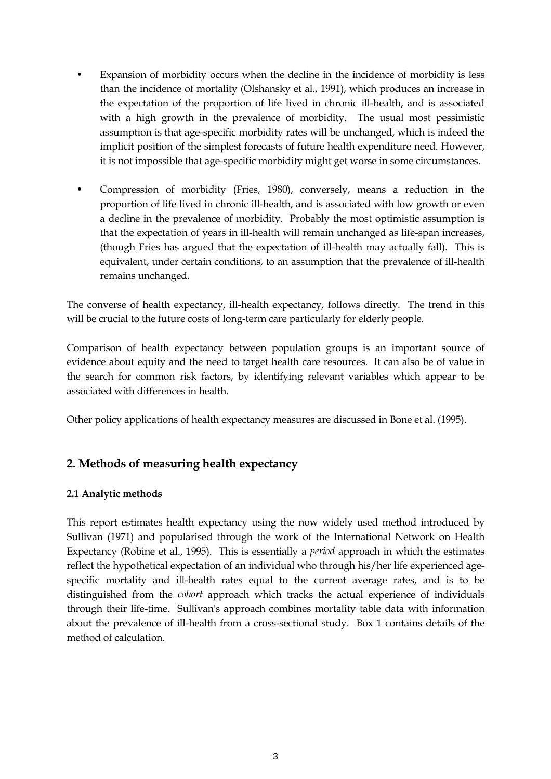- Expansion of morbidity occurs when the decline in the incidence of morbidity is less than the incidence of mortality (Olshansky et al., 1991), which produces an increase in the expectation of the proportion of life lived in chronic ill-health, and is associated with a high growth in the prevalence of morbidity. The usual most pessimistic assumption is that age-specific morbidity rates will be unchanged, which is indeed the implicit position of the simplest forecasts of future health expenditure need. However, it is not impossible that age-specific morbidity might get worse in some circumstances.
- Compression of morbidity (Fries, 1980), conversely, means a reduction in the proportion of life lived in chronic ill-health, and is associated with low growth or even a decline in the prevalence of morbidity. Probably the most optimistic assumption is that the expectation of years in ill-health will remain unchanged as life-span increases, (though Fries has argued that the expectation of ill-health may actually fall). This is equivalent, under certain conditions, to an assumption that the prevalence of ill-health remains unchanged.

The converse of health expectancy, ill-health expectancy, follows directly. The trend in this will be crucial to the future costs of long-term care particularly for elderly people.

Comparison of health expectancy between population groups is an important source of evidence about equity and the need to target health care resources. It can also be of value in the search for common risk factors, by identifying relevant variables which appear to be associated with differences in health.

Other policy applications of health expectancy measures are discussed in Bone et al. (1995).

# **2. Methods of measuring health expectancy**

# **2.1 Analytic methods**

This report estimates health expectancy using the now widely used method introduced by Sullivan (1971) and popularised through the work of the International Network on Health Expectancy (Robine et al., 1995). This is essentially a *period* approach in which the estimates reflect the hypothetical expectation of an individual who through his/her life experienced agespecific mortality and ill-health rates equal to the current average rates, and is to be distinguished from the *cohort* approach which tracks the actual experience of individuals through their life-time. Sullivan's approach combines mortality table data with information about the prevalence of ill-health from a cross-sectional study. Box 1 contains details of the method of calculation.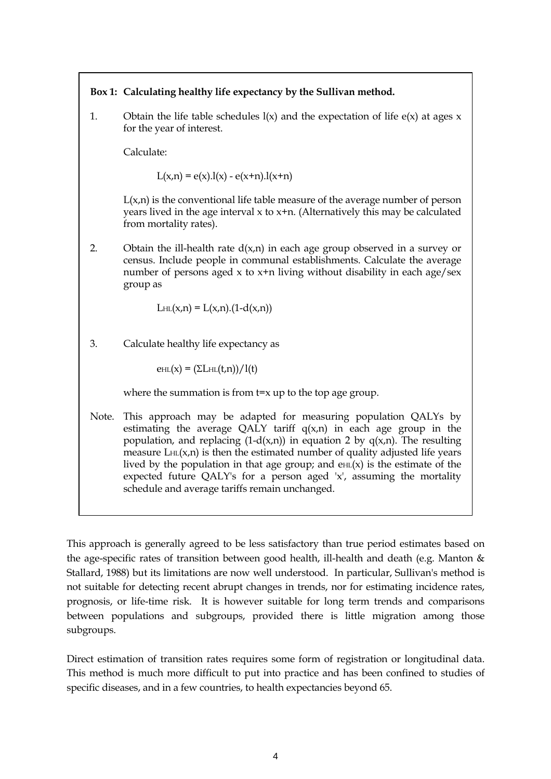# **Box 1: Calculating healthy life expectancy by the Sullivan method.**

1. Obtain the life table schedules  $l(x)$  and the expectation of life  $e(x)$  at ages x for the year of interest.

Calculate:

 $L(x,n) = e(x) \cdot l(x) - e(x+n) \cdot l(x+n)$ 

 $L(x,n)$  is the conventional life table measure of the average number of person years lived in the age interval  $x$  to  $x+n$ . (Alternatively this may be calculated from mortality rates).

2. Obtain the ill-health rate  $d(x,n)$  in each age group observed in a survey or census. Include people in communal establishments. Calculate the average number of persons aged  $x$  to  $x+n$  living without disability in each age/sex group as

$$
L_{HL}(x,n) = L(x,n) \cdot (1-d(x,n))
$$

3. Calculate healthy life expectancy as

 $\text{e}_{\text{HL}}(x) = \frac{\sum \text{L}}{\text{HL}}(t,n) / \frac{1}{t}$ 

where the summation is from  $t=x$  up to the top age group.

Note. This approach may be adapted for measuring population QALYs by estimating the average QALY tariff  $q(x,n)$  in each age group in the population, and replacing  $(1-d(x,n))$  in equation 2 by  $q(x,n)$ . The resulting measure  $L_H(x,n)$  is then the estimated number of quality adjusted life years lived by the population in that age group; and  $\rho_H(x)$  is the estimate of the expected future QALY's for a person aged 'x', assuming the mortality schedule and average tariffs remain unchanged.

This approach is generally agreed to be less satisfactory than true period estimates based on the age-specific rates of transition between good health, ill-health and death (e.g. Manton & Stallard, 1988) but its limitations are now well understood. In particular, Sullivan's method is not suitable for detecting recent abrupt changes in trends, nor for estimating incidence rates, prognosis, or life-time risk. It is however suitable for long term trends and comparisons between populations and subgroups, provided there is little migration among those subgroups.

Direct estimation of transition rates requires some form of registration or longitudinal data. This method is much more difficult to put into practice and has been confined to studies of specific diseases, and in a few countries, to health expectancies beyond 65.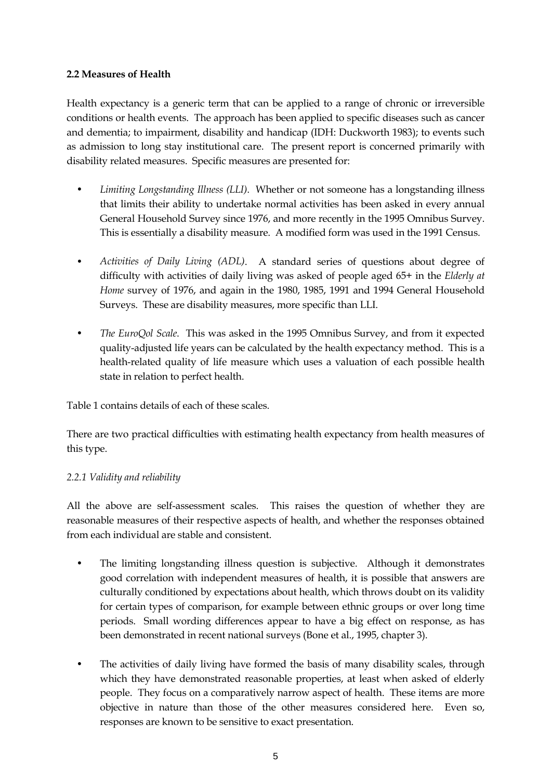# **2.2 Measures of Health**

Health expectancy is a generic term that can be applied to a range of chronic or irreversible conditions or health events. The approach has been applied to specific diseases such as cancer and dementia; to impairment, disability and handicap (IDH: Duckworth 1983); to events such as admission to long stay institutional care. The present report is concerned primarily with disability related measures. Specific measures are presented for:

- *Limiting Longstanding Illness (LLI)*. Whether or not someone has a longstanding illness that limits their ability to undertake normal activities has been asked in every annual General Household Survey since 1976, and more recently in the 1995 Omnibus Survey. This is essentially a disability measure. A modified form was used in the 1991 Census.
- *Activities of Daily Living (ADL)*. A standard series of questions about degree of difficulty with activities of daily living was asked of people aged 65+ in the *Elderly at Home* survey of 1976, and again in the 1980, 1985, 1991 and 1994 General Household Surveys. These are disability measures, more specific than LLI.
- *The EuroQol Scale*. This was asked in the 1995 Omnibus Survey, and from it expected quality-adjusted life years can be calculated by the health expectancy method. This is a health-related quality of life measure which uses a valuation of each possible health state in relation to perfect health.

Table 1 contains details of each of these scales.

There are two practical difficulties with estimating health expectancy from health measures of this type.

### *2.2.1 Validity and reliability*

All the above are self-assessment scales. This raises the question of whether they are reasonable measures of their respective aspects of health, and whether the responses obtained from each individual are stable and consistent.

- The limiting longstanding illness question is subjective. Although it demonstrates good correlation with independent measures of health, it is possible that answers are culturally conditioned by expectations about health, which throws doubt on its validity for certain types of comparison, for example between ethnic groups or over long time periods. Small wording differences appear to have a big effect on response, as has been demonstrated in recent national surveys (Bone et al., 1995, chapter 3).
- The activities of daily living have formed the basis of many disability scales, through which they have demonstrated reasonable properties, at least when asked of elderly people. They focus on a comparatively narrow aspect of health. These items are more objective in nature than those of the other measures considered here. Even so, responses are known to be sensitive to exact presentation.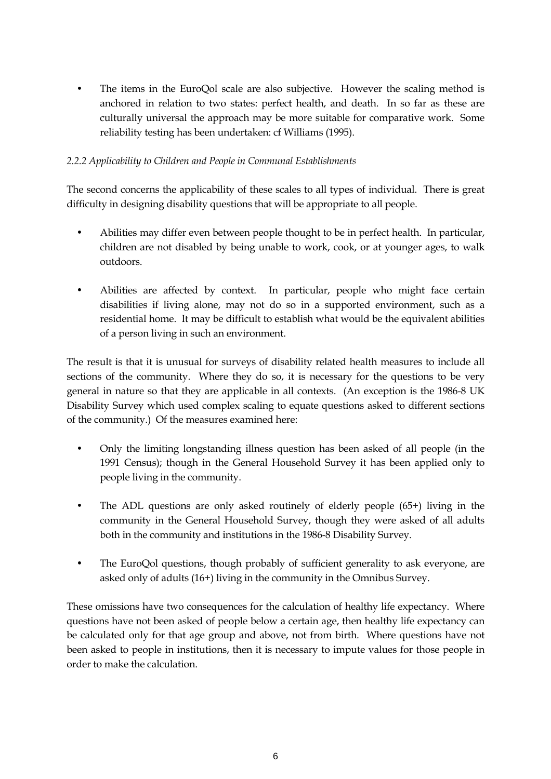The items in the EuroQol scale are also subjective. However the scaling method is anchored in relation to two states: perfect health, and death. In so far as these are culturally universal the approach may be more suitable for comparative work. Some reliability testing has been undertaken: cf Williams (1995).

# *2.2.2 Applicability to Children and People in Communal Establishments*

The second concerns the applicability of these scales to all types of individual. There is great difficulty in designing disability questions that will be appropriate to all people.

- Abilities may differ even between people thought to be in perfect health. In particular, children are not disabled by being unable to work, cook, or at younger ages, to walk outdoors.
- Abilities are affected by context. In particular, people who might face certain disabilities if living alone, may not do so in a supported environment, such as a residential home. It may be difficult to establish what would be the equivalent abilities of a person living in such an environment.

The result is that it is unusual for surveys of disability related health measures to include all sections of the community. Where they do so, it is necessary for the questions to be very general in nature so that they are applicable in all contexts. (An exception is the 1986-8 UK Disability Survey which used complex scaling to equate questions asked to different sections of the community.) Of the measures examined here:

- Only the limiting longstanding illness question has been asked of all people (in the 1991 Census); though in the General Household Survey it has been applied only to people living in the community.
- The ADL questions are only asked routinely of elderly people (65+) living in the community in the General Household Survey, though they were asked of all adults both in the community and institutions in the 1986-8 Disability Survey.
- The EuroQol questions, though probably of sufficient generality to ask everyone, are asked only of adults (16+) living in the community in the Omnibus Survey.

These omissions have two consequences for the calculation of healthy life expectancy. Where questions have not been asked of people below a certain age, then healthy life expectancy can be calculated only for that age group and above, not from birth. Where questions have not been asked to people in institutions, then it is necessary to impute values for those people in order to make the calculation.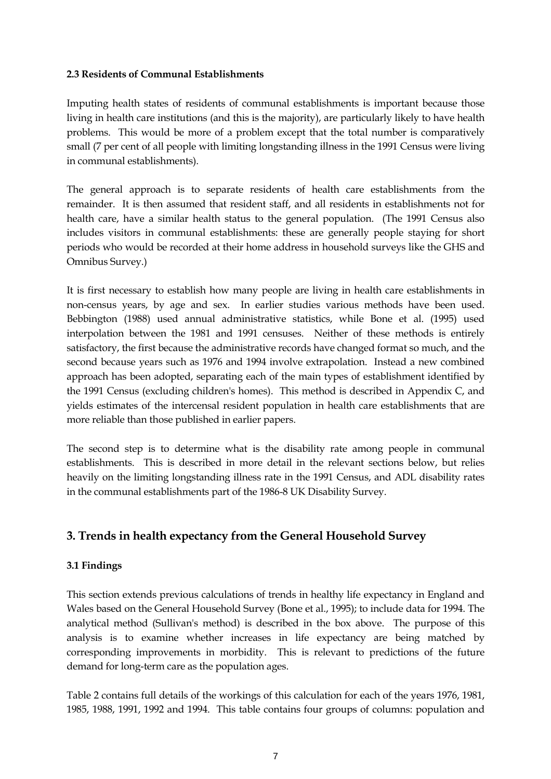### **2.3 Residents of Communal Establishments**

Imputing health states of residents of communal establishments is important because those living in health care institutions (and this is the majority), are particularly likely to have health problems. This would be more of a problem except that the total number is comparatively small (7 per cent of all people with limiting longstanding illness in the 1991 Census were living in communal establishments).

The general approach is to separate residents of health care establishments from the remainder. It is then assumed that resident staff, and all residents in establishments not for health care, have a similar health status to the general population. (The 1991 Census also includes visitors in communal establishments: these are generally people staying for short periods who would be recorded at their home address in household surveys like the GHS and Omnibus Survey.)

It is first necessary to establish how many people are living in health care establishments in non-census years, by age and sex. In earlier studies various methods have been used. Bebbington (1988) used annual administrative statistics, while Bone et al. (1995) used interpolation between the 1981 and 1991 censuses. Neither of these methods is entirely satisfactory, the first because the administrative records have changed format so much, and the second because years such as 1976 and 1994 involve extrapolation. Instead a new combined approach has been adopted, separating each of the main types of establishment identified by the 1991 Census (excluding children's homes). This method is described in Appendix C, and yields estimates of the intercensal resident population in health care establishments that are more reliable than those published in earlier papers.

The second step is to determine what is the disability rate among people in communal establishments. This is described in more detail in the relevant sections below, but relies heavily on the limiting longstanding illness rate in the 1991 Census, and ADL disability rates in the communal establishments part of the 1986-8 UK Disability Survey.

# **3. Trends in health expectancy from the General Household Survey**

### **3.1 Findings**

This section extends previous calculations of trends in healthy life expectancy in England and Wales based on the General Household Survey (Bone et al., 1995); to include data for 1994. The analytical method (Sullivan's method) is described in the box above. The purpose of this analysis is to examine whether increases in life expectancy are being matched by corresponding improvements in morbidity. This is relevant to predictions of the future demand for long-term care as the population ages.

Table 2 contains full details of the workings of this calculation for each of the years 1976, 1981, 1985, 1988, 1991, 1992 and 1994. This table contains four groups of columns: population and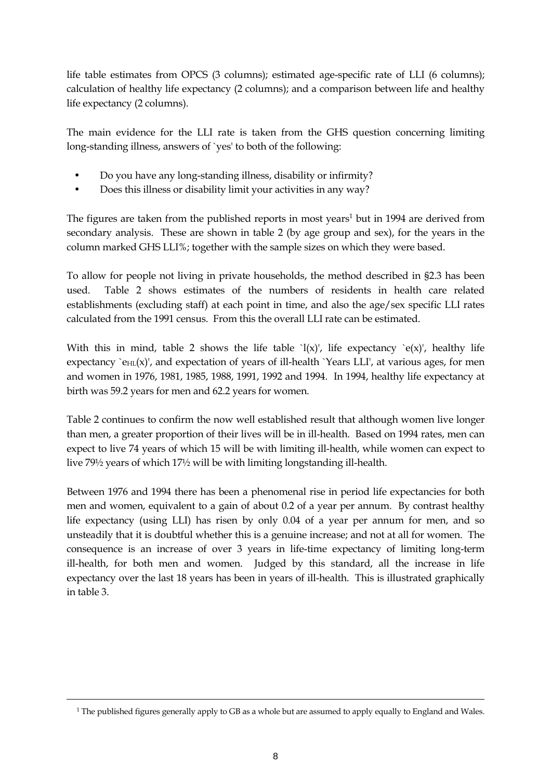life table estimates from OPCS (3 columns); estimated age-specific rate of LLI (6 columns); calculation of healthy life expectancy (2 columns); and a comparison between life and healthy life expectancy (2 columns).

The main evidence for the LLI rate is taken from the GHS question concerning limiting long-standing illness, answers of `yes' to both of the following:

- Do you have any long-standing illness, disability or infirmity?
- Does this illness or disability limit your activities in any way?

The figures are taken from the published reports in most years<sup>1</sup> but in 1994 are derived from secondary analysis. These are shown in table 2 (by age group and sex), for the years in the column marked GHS LLI%; together with the sample sizes on which they were based.

To allow for people not living in private households, the method described in §2.3 has been used. Table 2 shows estimates of the numbers of residents in health care related establishments (excluding staff) at each point in time, and also the age/sex specific LLI rates calculated from the 1991 census. From this the overall LLI rate can be estimated.

With this in mind, table 2 shows the life table  $\lceil x \rceil$ , life expectancy  $\lceil e(x) \rceil$ , healthy life expectancy `e $H_L(x)$ ', and expectation of years of ill-health `Years LLI', at various ages, for men and women in 1976, 1981, 1985, 1988, 1991, 1992 and 1994. In 1994, healthy life expectancy at birth was 59.2 years for men and 62.2 years for women.

Table 2 continues to confirm the now well established result that although women live longer than men, a greater proportion of their lives will be in ill-health. Based on 1994 rates, men can expect to live 74 years of which 15 will be with limiting ill-health, while women can expect to live 79½ years of which 17½ will be with limiting longstanding ill-health.

Between 1976 and 1994 there has been a phenomenal rise in period life expectancies for both men and women, equivalent to a gain of about 0.2 of a year per annum. By contrast healthy life expectancy (using LLI) has risen by only 0.04 of a year per annum for men, and so unsteadily that it is doubtful whether this is a genuine increase; and not at all for women. The consequence is an increase of over 3 years in life-time expectancy of limiting long-term ill-health, for both men and women. Judged by this standard, all the increase in life expectancy over the last 18 years has been in years of ill-health. This is illustrated graphically in table 3.

 $\overline{a}$ 

<span id="page-8-0"></span><sup>&</sup>lt;sup>1</sup> The published figures generally apply to GB as a whole but are assumed to apply equally to England and Wales.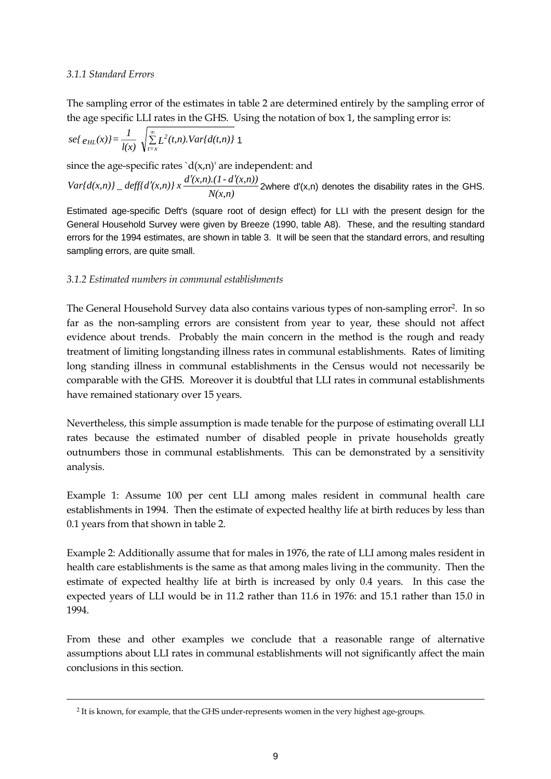### *3.1.1 Standard Errors*

 $\overline{a}$ 

The sampling error of the estimates in table 2 are determined entirely by the sampling error of the age specific LLI rates in the GHS. Using the notation of box 1, the sampling error is:

$$
se\{e_{HL}(x)\}=\frac{1}{l(x)}\sqrt{\sum_{t=x}^{\infty}L^2(t,n).Var\{d(t,n)\}}\ 1
$$

since the age-specific rates ` $d(x,n)$ ' are independent: and

 $Var\{d(x,n)\}\_ \delta = \frac{deff\{d'(x,n)\}x}{N(x,n)}\frac{d'(x,n)\}2$  where d'(x,n) denotes the disability rates in the GHS.

Estimated age-specific Deft's (square root of design effect) for LLI with the present design for the General Household Survey were given by Breeze (1990, table A8). These, and the resulting standard errors for the 1994 estimates, are shown in table 3. It will be seen that the standard errors, and resulting sampling errors, are quite small.

### *3.1.2 Estimated numbers in communal establishments*

The General Household Survey data also contains various types of non-sampling error<sup>2</sup>. In so far as the non-sampling errors are consistent from year to year, these should not affect evidence about trends. Probably the main concern in the method is the rough and ready treatment of limiting longstanding illness rates in communal establishments. Rates of limiting long standing illness in communal establishments in the Census would not necessarily be comparable with the GHS. Moreover it is doubtful that LLI rates in communal establishments have remained stationary over 15 years.

Nevertheless, this simple assumption is made tenable for the purpose of estimating overall LLI rates because the estimated number of disabled people in private households greatly outnumbers those in communal establishments. This can be demonstrated by a sensitivity analysis.

Example 1: Assume 100 per cent LLI among males resident in communal health care establishments in 1994. Then the estimate of expected healthy life at birth reduces by less than 0.1 years from that shown in table 2.

Example 2: Additionally assume that for males in 1976, the rate of LLI among males resident in health care establishments is the same as that among males living in the community. Then the estimate of expected healthy life at birth is increased by only 0.4 years. In this case the expected years of LLI would be in 11.2 rather than 11.6 in 1976: and 15.1 rather than 15.0 in 1994.

From these and other examples we conclude that a reasonable range of alternative assumptions about LLI rates in communal establishments will not significantly affect the main conclusions in this section.

<span id="page-9-0"></span><sup>2</sup> It is known, for example, that the GHS under-represents women in the very highest age-groups.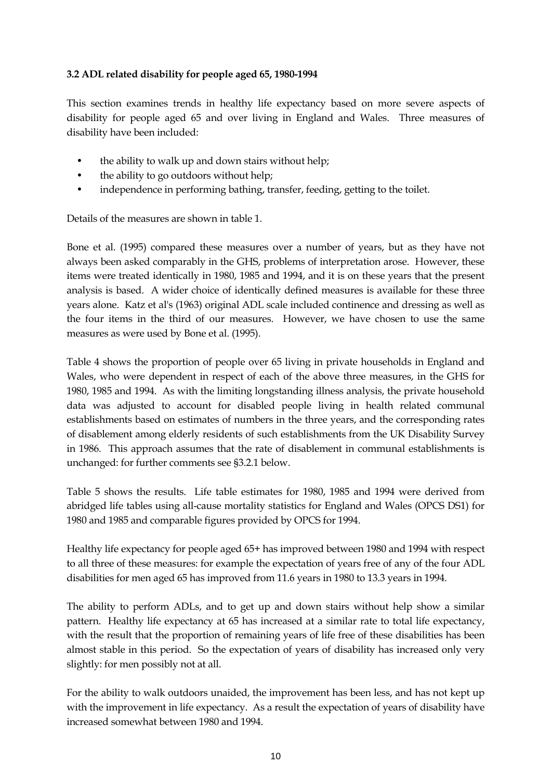# **3.2 ADL related disability for people aged 65, 1980-1994**

This section examines trends in healthy life expectancy based on more severe aspects of disability for people aged 65 and over living in England and Wales. Three measures of disability have been included:

- the ability to walk up and down stairs without help;
- the ability to go outdoors without help;
- independence in performing bathing, transfer, feeding, getting to the toilet.

Details of the measures are shown in table 1.

Bone et al. (1995) compared these measures over a number of years, but as they have not always been asked comparably in the GHS, problems of interpretation arose. However, these items were treated identically in 1980, 1985 and 1994, and it is on these years that the present analysis is based. A wider choice of identically defined measures is available for these three years alone. Katz et al's (1963) original ADL scale included continence and dressing as well as the four items in the third of our measures. However, we have chosen to use the same measures as were used by Bone et al. (1995).

Table 4 shows the proportion of people over 65 living in private households in England and Wales, who were dependent in respect of each of the above three measures, in the GHS for 1980, 1985 and 1994. As with the limiting longstanding illness analysis, the private household data was adjusted to account for disabled people living in health related communal establishments based on estimates of numbers in the three years, and the corresponding rates of disablement among elderly residents of such establishments from the UK Disability Survey in 1986. This approach assumes that the rate of disablement in communal establishments is unchanged: for further comments see §3.2.1 below.

Table 5 shows the results. Life table estimates for 1980, 1985 and 1994 were derived from abridged life tables using all-cause mortality statistics for England and Wales (OPCS DS1) for 1980 and 1985 and comparable figures provided by OPCS for 1994.

Healthy life expectancy for people aged 65+ has improved between 1980 and 1994 with respect to all three of these measures: for example the expectation of years free of any of the four ADL disabilities for men aged 65 has improved from 11.6 years in 1980 to 13.3 years in 1994.

The ability to perform ADLs, and to get up and down stairs without help show a similar pattern. Healthy life expectancy at 65 has increased at a similar rate to total life expectancy, with the result that the proportion of remaining years of life free of these disabilities has been almost stable in this period. So the expectation of years of disability has increased only very slightly: for men possibly not at all.

For the ability to walk outdoors unaided, the improvement has been less, and has not kept up with the improvement in life expectancy. As a result the expectation of years of disability have increased somewhat between 1980 and 1994.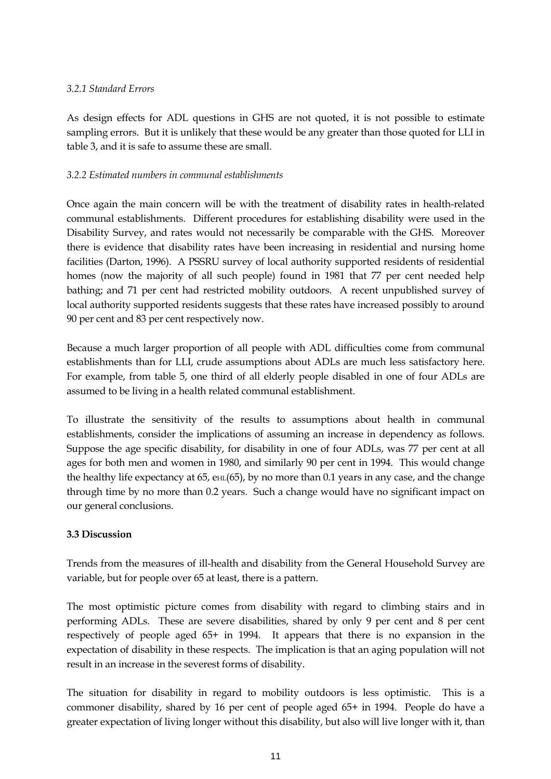## *3.2.1 Standard Errors*

As design effects for ADL questions in GHS are not quoted, it is not possible to estimate sampling errors. But it is unlikely that these would be any greater than those quoted for LLI in table 3, and it is safe to assume these are small.

# *3.2.2 Estimated numbers in communal establishments*

Once again the main concern will be with the treatment of disability rates in health-related communal establishments. Different procedures for establishing disability were used in the Disability Survey, and rates would not necessarily be comparable with the GHS. Moreover there is evidence that disability rates have been increasing in residential and nursing home facilities (Darton, 1996). A PSSRU survey of local authority supported residents of residential homes (now the majority of all such people) found in 1981 that 77 per cent needed help bathing; and 71 per cent had restricted mobility outdoors. A recent unpublished survey of local authority supported residents suggests that these rates have increased possibly to around 90 per cent and 83 per cent respectively now.

Because a much larger proportion of all people with ADL difficulties come from communal establishments than for LLI, crude assumptions about ADLs are much less satisfactory here. For example, from table 5, one third of all elderly people disabled in one of four ADLs are assumed to be living in a health related communal establishment.

To illustrate the sensitivity of the results to assumptions about health in communal establishments, consider the implications of assuming an increase in dependency as follows. Suppose the age specific disability, for disability in one of four ADLs, was 77 per cent at all ages for both men and women in 1980, and similarly 90 per cent in 1994. This would change the healthy life expectancy at 65,  $\text{e}_{\text{HL}}(65)$ , by no more than 0.1 years in any case, and the change through time by no more than 0.2 years. Such a change would have no significant impact on our general conclusions.

# **3.3 Discussion**

Trends from the measures of ill-health and disability from the General Household Survey are variable, but for people over 65 at least, there is a pattern.

The most optimistic picture comes from disability with regard to climbing stairs and in performing ADLs. These are severe disabilities, shared by only 9 per cent and 8 per cent respectively of people aged 65+ in 1994. It appears that there is no expansion in the expectation of disability in these respects. The implication is that an aging population will not result in an increase in the severest forms of disability.

The situation for disability in regard to mobility outdoors is less optimistic. This is a commoner disability, shared by 16 per cent of people aged 65+ in 1994. People do have a greater expectation of living longer without this disability, but also will live longer with it, than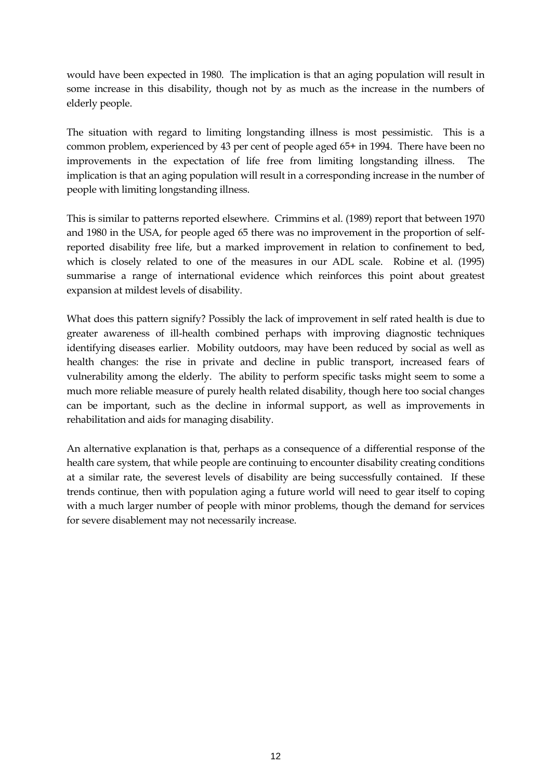would have been expected in 1980. The implication is that an aging population will result in some increase in this disability, though not by as much as the increase in the numbers of elderly people.

The situation with regard to limiting longstanding illness is most pessimistic. This is a common problem, experienced by 43 per cent of people aged 65+ in 1994. There have been no improvements in the expectation of life free from limiting longstanding illness. The implication is that an aging population will result in a corresponding increase in the number of people with limiting longstanding illness.

This is similar to patterns reported elsewhere. Crimmins et al. (1989) report that between 1970 and 1980 in the USA, for people aged 65 there was no improvement in the proportion of selfreported disability free life, but a marked improvement in relation to confinement to bed, which is closely related to one of the measures in our ADL scale. Robine et al. (1995) summarise a range of international evidence which reinforces this point about greatest expansion at mildest levels of disability.

What does this pattern signify? Possibly the lack of improvement in self rated health is due to greater awareness of ill-health combined perhaps with improving diagnostic techniques identifying diseases earlier. Mobility outdoors, may have been reduced by social as well as health changes: the rise in private and decline in public transport, increased fears of vulnerability among the elderly. The ability to perform specific tasks might seem to some a much more reliable measure of purely health related disability, though here too social changes can be important, such as the decline in informal support, as well as improvements in rehabilitation and aids for managing disability.

An alternative explanation is that, perhaps as a consequence of a differential response of the health care system, that while people are continuing to encounter disability creating conditions at a similar rate, the severest levels of disability are being successfully contained. If these trends continue, then with population aging a future world will need to gear itself to coping with a much larger number of people with minor problems, though the demand for services for severe disablement may not necessarily increase.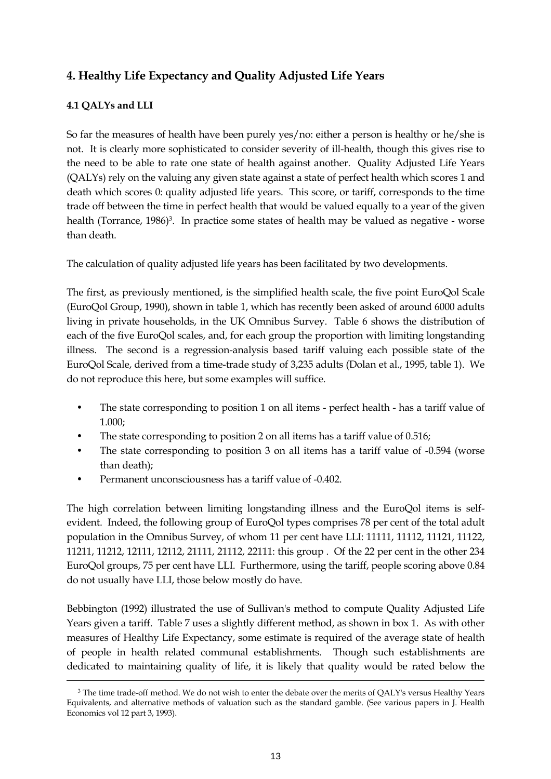# **4. Healthy Life Expectancy and Quality Adjusted Life Years**

# **4.1 QALYs and LLI**

 $\overline{a}$ 

So far the measures of health have been purely yes/no: either a person is healthy or he/she is not. It is clearly more sophisticated to consider severity of ill-health, though this gives rise to the need to be able to rate one state of health against another. Quality Adjusted Life Years (QALYs) rely on the valuing any given state against a state of perfect health which scores 1 and death which scores 0: quality adjusted life years. This score, or tariff, corresponds to the time trade off between the time in perfect health that would be valued equally to a year of the given health (Torrance, 1986)<sup>3</sup>. In practice some states of health may be valued as negative - worse than death.

The calculation of quality adjusted life years has been facilitated by two developments.

The first, as previously mentioned, is the simplified health scale, the five point EuroQol Scale (EuroQol Group, 1990), shown in table 1, which has recently been asked of around 6000 adults living in private households, in the UK Omnibus Survey. Table 6 shows the distribution of each of the five EuroQol scales, and, for each group the proportion with limiting longstanding illness. The second is a regression-analysis based tariff valuing each possible state of the EuroQol Scale, derived from a time-trade study of 3,235 adults (Dolan et al., 1995, table 1). We do not reproduce this here, but some examples will suffice.

- The state corresponding to position 1 on all items perfect health has a tariff value of 1.000;
- The state corresponding to position 2 on all items has a tariff value of 0.516;
- The state corresponding to position 3 on all items has a tariff value of -0.594 (worse than death);
- Permanent unconsciousness has a tariff value of -0.402.

The high correlation between limiting longstanding illness and the EuroQol items is selfevident. Indeed, the following group of EuroQol types comprises 78 per cent of the total adult population in the Omnibus Survey, of whom 11 per cent have LLI: 11111, 11112, 11121, 11122, 11211, 11212, 12111, 12112, 21111, 21112, 22111: this group . Of the 22 per cent in the other 234 EuroQol groups, 75 per cent have LLI. Furthermore, using the tariff, people scoring above 0.84 do not usually have LLI, those below mostly do have.

Bebbington (1992) illustrated the use of Sullivan's method to compute Quality Adjusted Life Years given a tariff. Table 7 uses a slightly different method, as shown in box 1. As with other measures of Healthy Life Expectancy, some estimate is required of the average state of health of people in health related communal establishments. Though such establishments are dedicated to maintaining quality of life, it is likely that quality would be rated below the

<span id="page-13-0"></span><sup>&</sup>lt;sup>3</sup> The time trade-off method. We do not wish to enter the debate over the merits of QALY's versus Healthy Years Equivalents, and alternative methods of valuation such as the standard gamble. (See various papers in J. Health Economics vol 12 part 3, 1993).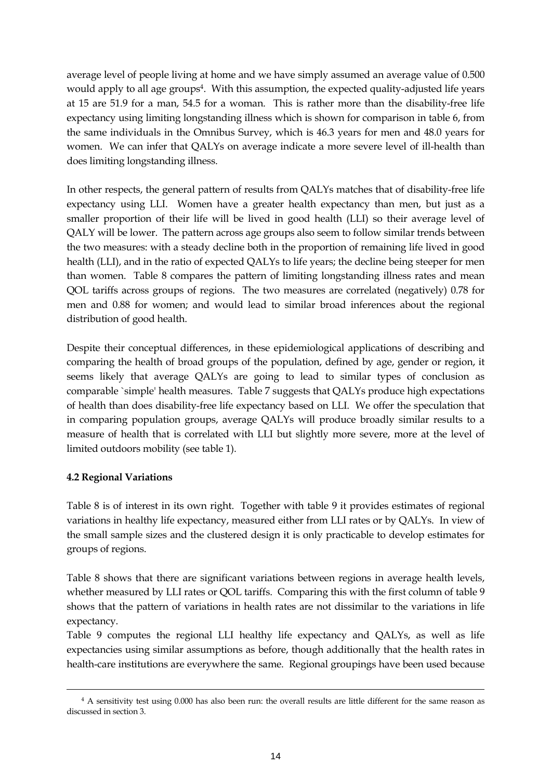average level of people living at home and we have simply assumed an average value of 0.500 would apply to all age groups<sup>4</sup>. With this assumption, the expected quality-adjusted life years at 15 are 51.9 for a man, 54.5 for a woman. This is rather more than the disability-free life expectancy using limiting longstanding illness which is shown for comparison in table 6, from the same individuals in the Omnibus Survey, which is 46.3 years for men and 48.0 years for women. We can infer that QALYs on average indicate a more severe level of ill-health than does limiting longstanding illness.

In other respects, the general pattern of results from QALYs matches that of disability-free life expectancy using LLI. Women have a greater health expectancy than men, but just as a smaller proportion of their life will be lived in good health (LLI) so their average level of QALY will be lower. The pattern across age groups also seem to follow similar trends between the two measures: with a steady decline both in the proportion of remaining life lived in good health (LLI), and in the ratio of expected QALYs to life years; the decline being steeper for men than women. Table 8 compares the pattern of limiting longstanding illness rates and mean QOL tariffs across groups of regions. The two measures are correlated (negatively) 0.78 for men and 0.88 for women; and would lead to similar broad inferences about the regional distribution of good health.

Despite their conceptual differences, in these epidemiological applications of describing and comparing the health of broad groups of the population, defined by age, gender or region, it seems likely that average QALYs are going to lead to similar types of conclusion as comparable `simple' health measures. Table 7 suggests that QALYs produce high expectations of health than does disability-free life expectancy based on LLI. We offer the speculation that in comparing population groups, average QALYs will produce broadly similar results to a measure of health that is correlated with LLI but slightly more severe, more at the level of limited outdoors mobility (see table 1).

### **4.2 Regional Variations**

 $\overline{a}$ 

Table 8 is of interest in its own right. Together with table 9 it provides estimates of regional variations in healthy life expectancy, measured either from LLI rates or by QALYs. In view of the small sample sizes and the clustered design it is only practicable to develop estimates for groups of regions.

Table 8 shows that there are significant variations between regions in average health levels, whether measured by LLI rates or QOL tariffs. Comparing this with the first column of table 9 shows that the pattern of variations in health rates are not dissimilar to the variations in life expectancy.

Table 9 computes the regional LLI healthy life expectancy and QALYs, as well as life expectancies using similar assumptions as before, though additionally that the health rates in health-care institutions are everywhere the same. Regional groupings have been used because

<span id="page-14-0"></span><sup>4</sup> A sensitivity test using 0.000 has also been run: the overall results are little different for the same reason as discussed in section 3.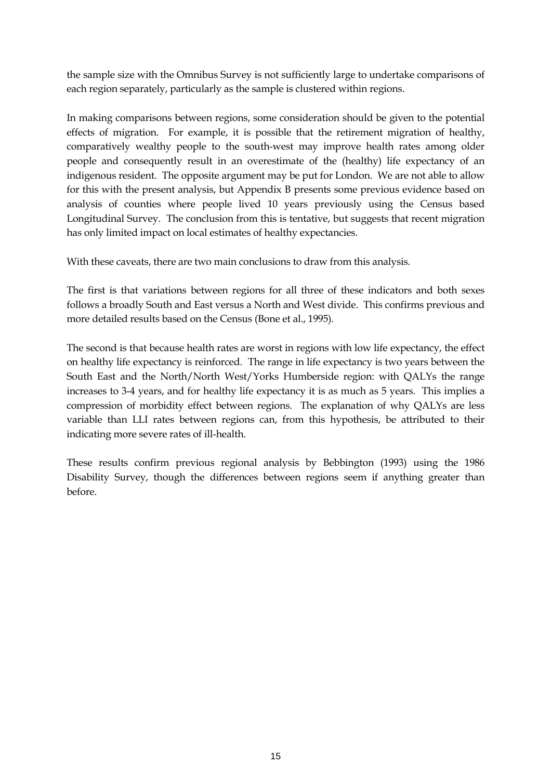the sample size with the Omnibus Survey is not sufficiently large to undertake comparisons of each region separately, particularly as the sample is clustered within regions.

In making comparisons between regions, some consideration should be given to the potential effects of migration. For example, it is possible that the retirement migration of healthy, comparatively wealthy people to the south-west may improve health rates among older people and consequently result in an overestimate of the (healthy) life expectancy of an indigenous resident. The opposite argument may be put for London. We are not able to allow for this with the present analysis, but Appendix B presents some previous evidence based on analysis of counties where people lived 10 years previously using the Census based Longitudinal Survey. The conclusion from this is tentative, but suggests that recent migration has only limited impact on local estimates of healthy expectancies.

With these caveats, there are two main conclusions to draw from this analysis.

The first is that variations between regions for all three of these indicators and both sexes follows a broadly South and East versus a North and West divide. This confirms previous and more detailed results based on the Census (Bone et al., 1995).

The second is that because health rates are worst in regions with low life expectancy, the effect on healthy life expectancy is reinforced. The range in life expectancy is two years between the South East and the North/North West/Yorks Humberside region: with QALYs the range increases to 3-4 years, and for healthy life expectancy it is as much as 5 years. This implies a compression of morbidity effect between regions. The explanation of why QALYs are less variable than LLI rates between regions can, from this hypothesis, be attributed to their indicating more severe rates of ill-health.

These results confirm previous regional analysis by Bebbington (1993) using the 1986 Disability Survey, though the differences between regions seem if anything greater than before.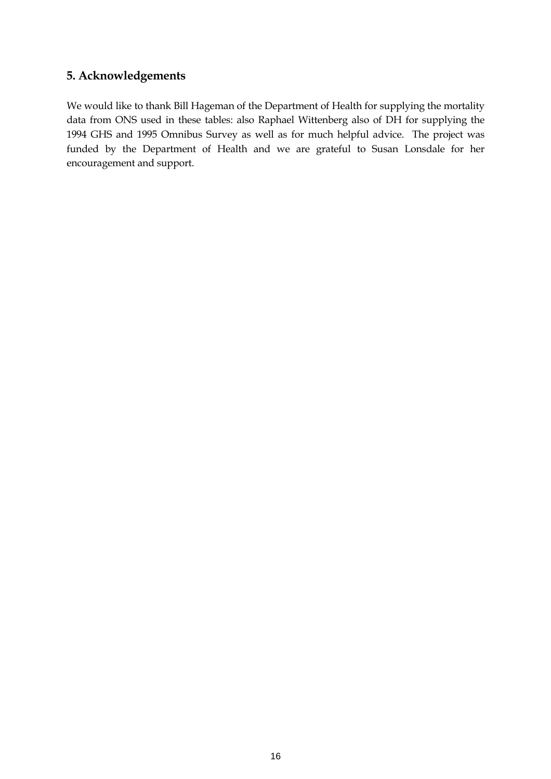# **5. Acknowledgements**

We would like to thank Bill Hageman of the Department of Health for supplying the mortality data from ONS used in these tables: also Raphael Wittenberg also of DH for supplying the 1994 GHS and 1995 Omnibus Survey as well as for much helpful advice. The project was funded by the Department of Health and we are grateful to Susan Lonsdale for her encouragement and support.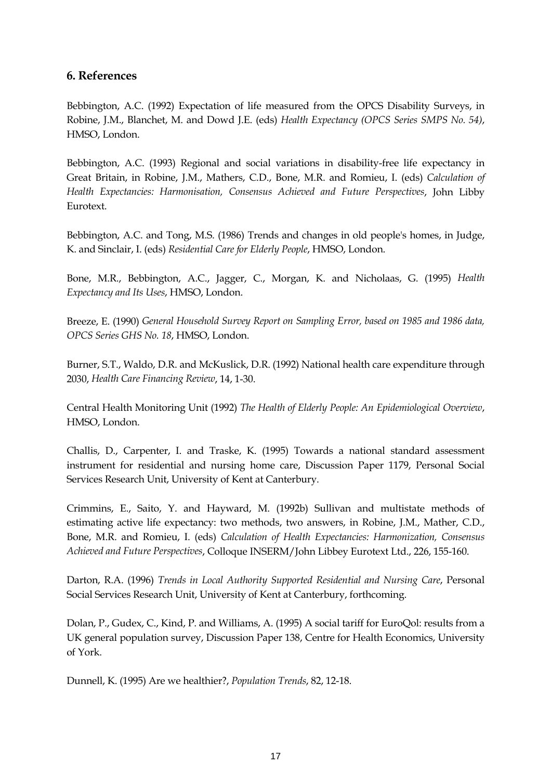# **6. References**

Bebbington, A.C. (1992) Expectation of life measured from the OPCS Disability Surveys, in Robine, J.M., Blanchet, M. and Dowd J.E. (eds) *Health Expectancy (OPCS Series SMPS No. 54)*, HMSO, London.

Bebbington, A.C. (1993) Regional and social variations in disability-free life expectancy in Great Britain, in Robine, J.M., Mathers, C.D., Bone, M.R. and Romieu, I. (eds) *Calculation of Health Expectancies: Harmonisation, Consensus Achieved and Future Perspectives*, John Libby Eurotext.

Bebbington, A.C. and Tong, M.S. (1986) Trends and changes in old people's homes, in Judge, K. and Sinclair, I. (eds) *Residential Care for Elderly People*, HMSO, London.

Bone, M.R., Bebbington, A.C., Jagger, C., Morgan, K. and Nicholaas, G. (1995) *Health Expectancy and Its Uses*, HMSO, London.

Breeze, E. (1990) *General Household Survey Report on Sampling Error, based on 1985 and 1986 data, OPCS Series GHS No. 18*, HMSO, London.

Burner, S.T., Waldo, D.R. and McKuslick, D.R. (1992) National health care expenditure through 2030, *Health Care Financing Review*, 14, 1-30.

Central Health Monitoring Unit (1992) *The Health of Elderly People: An Epidemiological Overview*, HMSO, London.

Challis, D., Carpenter, I. and Traske, K. (1995) Towards a national standard assessment instrument for residential and nursing home care, Discussion Paper 1179, Personal Social Services Research Unit, University of Kent at Canterbury.

Crimmins, E., Saito, Y. and Hayward, M. (1992b) Sullivan and multistate methods of estimating active life expectancy: two methods, two answers, in Robine, J.M., Mather, C.D., Bone, M.R. and Romieu, I. (eds) *Calculation of Health Expectancies: Harmonization, Consensus Achieved and Future Perspectives*, Colloque INSERM/John Libbey Eurotext Ltd., 226, 155-160.

Darton, R.A. (1996) *Trends in Local Authority Supported Residential and Nursing Care*, Personal Social Services Research Unit, University of Kent at Canterbury, forthcoming.

Dolan, P., Gudex, C., Kind, P. and Williams, A. (1995) A social tariff for EuroQol: results from a UK general population survey, Discussion Paper 138, Centre for Health Economics, University of York.

Dunnell, K. (1995) Are we healthier?, *Population Trends*, 82, 12-18.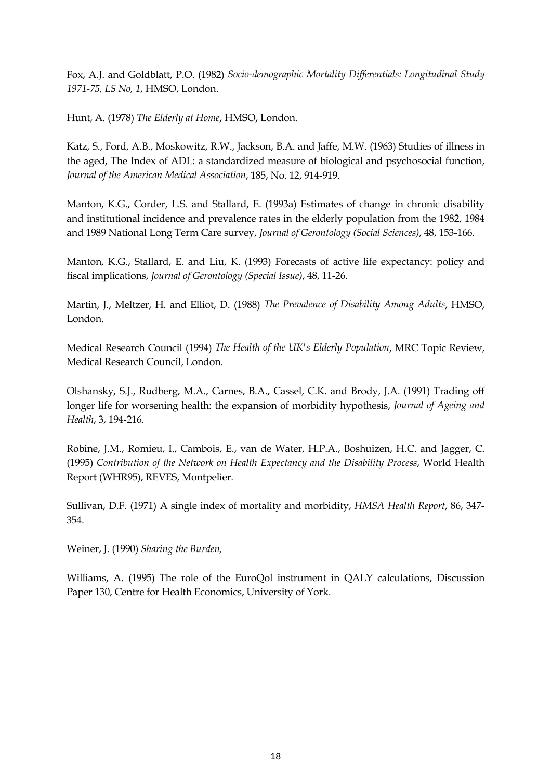Fox, A.J. and Goldblatt, P.O. (1982) *Socio-demographic Mortality Differentials: Longitudinal Study 1971-75, LS No, 1*, HMSO, London.

Hunt, A. (1978) *The Elderly at Home*, HMSO, London.

Katz, S., Ford, A.B., Moskowitz, R.W., Jackson, B.A. and Jaffe, M.W. (1963) Studies of illness in the aged, The Index of ADL: a standardized measure of biological and psychosocial function, *Journal of the American Medical Association*, 185, No. 12, 914-919.

Manton, K.G., Corder, L.S. and Stallard, E. (1993a) Estimates of change in chronic disability and institutional incidence and prevalence rates in the elderly population from the 1982, 1984 and 1989 National Long Term Care survey, *Journal of Gerontology (Social Sciences)*, 48, 153-166.

Manton, K.G., Stallard, E. and Liu, K. (1993) Forecasts of active life expectancy: policy and fiscal implications, *Journal of Gerontology (Special Issue)*, 48, 11-26.

Martin, J., Meltzer, H. and Elliot, D. (1988) *The Prevalence of Disability Among Adults*, HMSO, London.

Medical Research Council (1994) *The Health of the UK's Elderly Population*, MRC Topic Review, Medical Research Council, London.

Olshansky, S.J., Rudberg, M.A., Carnes, B.A., Cassel, C.K. and Brody, J.A. (1991) Trading off longer life for worsening health: the expansion of morbidity hypothesis, *Journal of Ageing and Health*, 3, 194-216.

Robine, J.M., Romieu, I., Cambois, E., van de Water, H.P.A., Boshuizen, H.C. and Jagger, C. (1995) *Contribution of the Network on Health Expectancy and the Disability Process*, World Health Report (WHR95), REVES, Montpelier.

Sullivan, D.F. (1971) A single index of mortality and morbidity, *HMSA Health Report*, 86, 347- 354.

Weiner, J. (1990) *Sharing the Burden,*

Williams, A. (1995) The role of the EuroQol instrument in QALY calculations, Discussion Paper 130, Centre for Health Economics, University of York.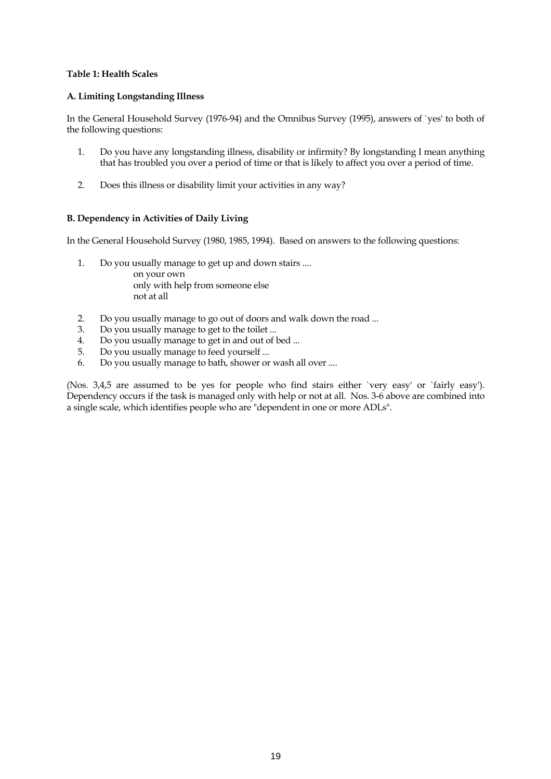### **Table 1: Health Scales**

#### **A. Limiting Longstanding Illness**

In the General Household Survey (1976-94) and the Omnibus Survey (1995), answers of `yes' to both of the following questions:

- 1. Do you have any longstanding illness, disability or infirmity? By longstanding I mean anything that has troubled you over a period of time or that is likely to affect you over a period of time.
- 2. Does this illness or disability limit your activities in any way?

### **B. Dependency in Activities of Daily Living**

In the General Household Survey (1980, 1985, 1994). Based on answers to the following questions:

- 1. Do you usually manage to get up and down stairs .... on your own only with help from someone else not at all
- 2. Do you usually manage to go out of doors and walk down the road ...
- 3. Do you usually manage to get to the toilet ...
- 4. Do you usually manage to get in and out of bed ...
- 5. Do you usually manage to feed yourself ...
- 6. Do you usually manage to bath, shower or wash all over ....

(Nos. 3,4,5 are assumed to be yes for people who find stairs either `very easy' or `fairly easy'). Dependency occurs if the task is managed only with help or not at all. Nos. 3-6 above are combined into a single scale, which identifies people who are "dependent in one or more ADLs".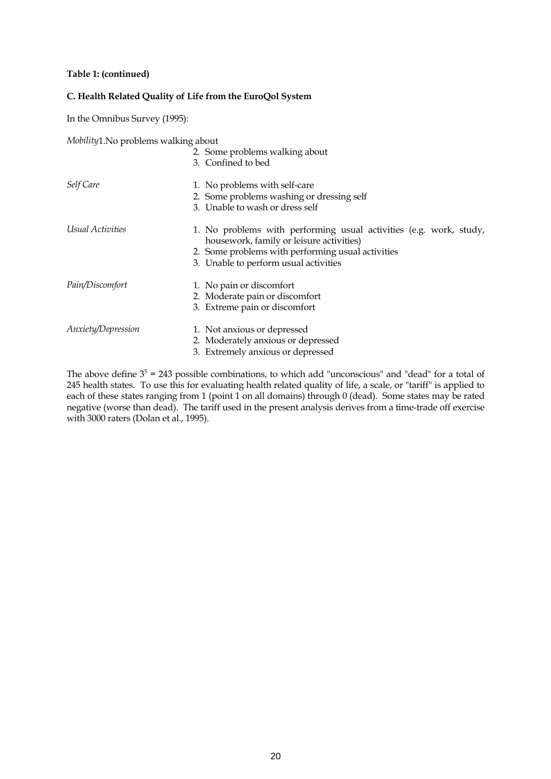#### **Table 1: (continued)**

### **C. Health Related Quality of Life from the EuroQol System**

In the Omnibus Survey (1995):

*Mobility*1.No problems walking about

|                    | 2. Some problems walking about<br>3. Confined to bed                                                                                                                                                         |
|--------------------|--------------------------------------------------------------------------------------------------------------------------------------------------------------------------------------------------------------|
| Self Care          | 1. No problems with self-care<br>2. Some problems washing or dressing self<br>3. Unable to wash or dress self                                                                                                |
| Usual Activities   | 1. No problems with performing usual activities (e.g. work, study,<br>housework, family or leisure activities)<br>2. Some problems with performing usual activities<br>3. Unable to perform usual activities |
| Pain/Discomfort    | 1. No pain or discomfort<br>2. Moderate pain or discomfort<br>3. Extreme pain or discomfort                                                                                                                  |
| Anxiety/Depression | 1. Not anxious or depressed<br>2. Moderately anxious or depressed<br>3. Extremely anxious or depressed                                                                                                       |

The above define  $3^5 = 243$  possible combinations, to which add "unconscious" and "dead" for a total of 245 health states. To use this for evaluating health related quality of life, a scale, or "tariff" is applied to each of these states ranging from 1 (point 1 on all domains) through 0 (dead). Some states may be rated negative (worse than dead). The tariff used in the present analysis derives from a time-trade off exercise with 3000 raters (Dolan et al., 1995).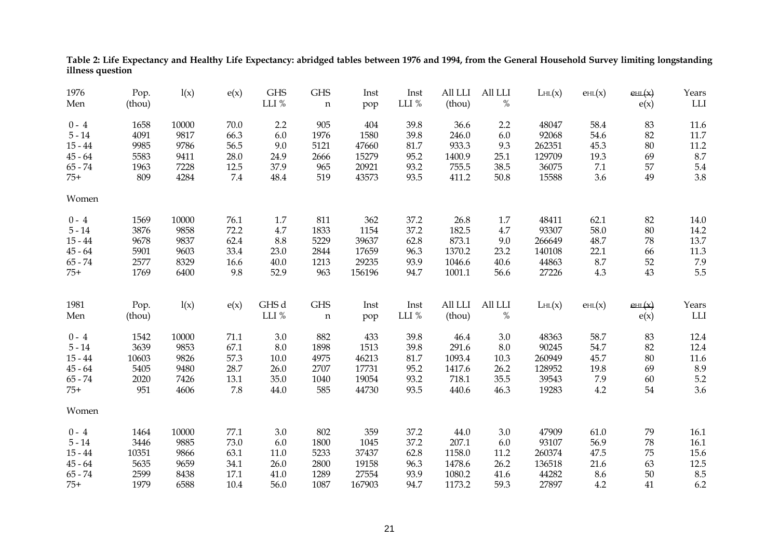| 1976      | Pop.   | l(x)  | e(x)    | <b>GHS</b> | <b>GHS</b>  | Inst   | Inst     | All LLI | All LLI | LHL(x) | EHL(x)                        | EHL(x)       | Years                       |
|-----------|--------|-------|---------|------------|-------------|--------|----------|---------|---------|--------|-------------------------------|--------------|-----------------------------|
| Men       | (thou) |       |         | LLI %      | $\mathbf n$ | pop    | LLI $\%$ | (thou)  | $\%$    |        |                               | e(x)         | $\mathop{\rm LLI}\nolimits$ |
| $0 - 4$   | 1658   | 10000 | 70.0    | 2.2        | 905         | 404    | 39.8     | 36.6    | 2.2     | 48047  | 58.4                          | 83           | 11.6                        |
| $5 - 14$  | 4091   | 9817  | 66.3    | 6.0        | 1976        | 1580   | 39.8     | 246.0   | 6.0     | 92068  | 54.6                          | 82           | $11.7\,$                    |
| $15 - 44$ | 9985   | 9786  | 56.5    | 9.0        | 5121        | 47660  | 81.7     | 933.3   | 9.3     | 262351 | 45.3                          | $80\,$       | 11.2                        |
| $45 - 64$ | 5583   | 9411  | 28.0    | 24.9       | 2666        | 15279  | 95.2     | 1400.9  | 25.1    | 129709 | 19.3                          | 69           | 8.7                         |
| $65 - 74$ | 1963   | 7228  | 12.5    | 37.9       | 965         | 20921  | 93.2     | 755.5   | 38.5    | 36075  | 7.1                           | 57           | $5.4\,$                     |
| $75+$     | 809    | 4284  | $7.4\,$ | 48.4       | 519         | 43573  | 93.5     | 411.2   | 50.8    | 15588  | 3.6                           | 49           | 3.8                         |
| Women     |        |       |         |            |             |        |          |         |         |        |                               |              |                             |
| $0 - 4$   | 1569   | 10000 | 76.1    | 1.7        | 811         | 362    | 37.2     | 26.8    | 1.7     | 48411  | 62.1                          | 82           | 14.0                        |
| $5 - 14$  | 3876   | 9858  | 72.2    | 4.7        | 1833        | 1154   | 37.2     | 182.5   | 4.7     | 93307  | 58.0                          | 80           | 14.2                        |
| $15 - 44$ | 9678   | 9837  | 62.4    | 8.8        | 5229        | 39637  | 62.8     | 873.1   | 9.0     | 266649 | 48.7                          | 78           | 13.7                        |
| $45 - 64$ | 5901   | 9603  | 33.4    | 23.0       | 2844        | 17659  | 96.3     | 1370.2  | 23.2    | 140108 | 22.1                          | 66           | 11.3                        |
| $65 - 74$ | 2577   | 8329  | 16.6    | 40.0       | 1213        | 29235  | 93.9     | 1046.6  | 40.6    | 44863  | 8.7                           | 52           | 7.9                         |
| $75+$     | 1769   | 6400  | 9.8     | 52.9       | 963         | 156196 | 94.7     | 1001.1  | 56.6    | 27226  | 4.3                           | 43           | 5.5                         |
| 1981      | Pop.   | l(x)  | e(x)    | GHS d      | <b>GHS</b>  | Inst   | Inst     | All LLI | All LLI | LHL(x) | $\mathrm{e}_{\mathrm{HL}}(x)$ | $e$ HL $(x)$ | Years                       |
| Men       | (thou) |       |         | LLI %      | $\mathbf n$ | pop    | LLI %    | (thou)  | $\%$    |        |                               | e(x)         | LLI                         |
| $0 - 4$   | 1542   | 10000 | 71.1    | 3.0        | 882         | 433    | 39.8     | 46.4    | 3.0     | 48363  | 58.7                          | 83           | 12.4                        |
| $5 - 14$  | 3639   | 9853  | 67.1    | 8.0        | 1898        | 1513   | 39.8     | 291.6   | $8.0\,$ | 90245  | 54.7                          | 82           | 12.4                        |
| $15 - 44$ | 10603  | 9826  | 57.3    | 10.0       | 4975        | 46213  | 81.7     | 1093.4  | 10.3    | 260949 | 45.7                          | 80           | 11.6                        |
| $45 - 64$ | 5405   | 9480  | 28.7    | 26.0       | 2707        | 17731  | 95.2     | 1417.6  | 26.2    | 128952 | 19.8                          | 69           | 8.9                         |
| $65 - 74$ | 2020   | 7426  | 13.1    | 35.0       | 1040        | 19054  | 93.2     | 718.1   | 35.5    | 39543  | 7.9                           | 60           | 5.2                         |
| $75+$     | 951    | 4606  | 7.8     | 44.0       | 585         | 44730  | 93.5     | 440.6   | 46.3    | 19283  | 4.2                           | 54           | 3.6                         |
| Women     |        |       |         |            |             |        |          |         |         |        |                               |              |                             |
| $0 - 4$   | 1464   | 10000 | 77.1    | $3.0\,$    | 802         | 359    | 37.2     | 44.0    | 3.0     | 47909  | 61.0                          | 79           | 16.1                        |
| $5 - 14$  | 3446   | 9885  | 73.0    | 6.0        | 1800        | 1045   | 37.2     | 207.1   | 6.0     | 93107  | 56.9                          | $78\,$       | 16.1                        |
| $15 - 44$ | 10351  | 9866  | 63.1    | 11.0       | 5233        | 37437  | 62.8     | 1158.0  | 11.2    | 260374 | 47.5                          | 75           | 15.6                        |
| $45 - 64$ | 5635   | 9659  | 34.1    | 26.0       | 2800        | 19158  | 96.3     | 1478.6  | 26.2    | 136518 | 21.6                          | 63           | 12.5                        |
| $65 - 74$ | 2599   | 8438  | 17.1    | 41.0       | 1289        | 27554  | 93.9     | 1080.2  | 41.6    | 44282  | 8.6                           | 50           | 8.5                         |
| $75+$     | 1979   | 6588  | 10.4    | 56.0       | 1087        | 167903 | 94.7     | 1173.2  | 59.3    | 27897  | 4.2                           | 41           | 6.2                         |

**Table 2: Life Expectancy and Healthy Life Expectancy: abridged tables between 1976 and 1994, from the General Household Survey limiting longstanding illness question**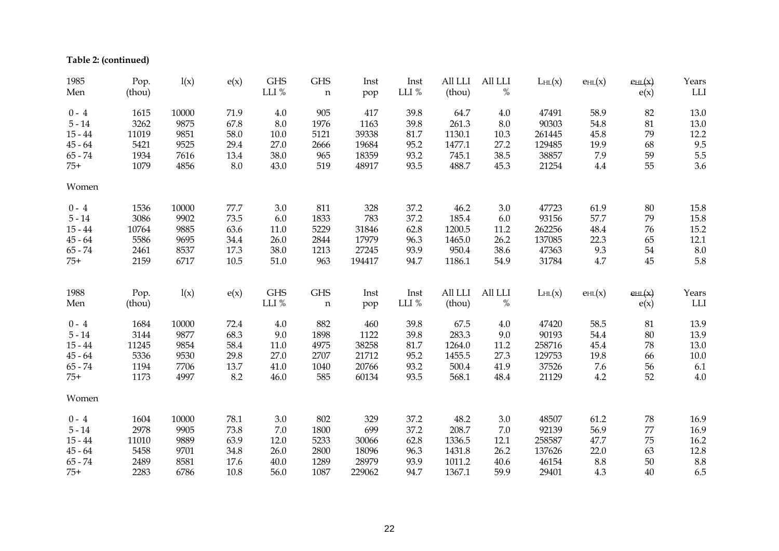**Table 2: (continued)**

| 1985<br>Men | Pop.<br>(thou) | l(x)  | e(x)    | <b>GHS</b><br>LLI % | <b>GHS</b><br>$\mathbf n$ | Inst<br>pop | Inst<br>LLI % | All LLI<br>(thou) | All LLI<br>$\%$ | LHL(x) | EHL(x)                        | $e$ HL $(x)$<br>e(x) | Years<br>${\rm LLI}$ |
|-------------|----------------|-------|---------|---------------------|---------------------------|-------------|---------------|-------------------|-----------------|--------|-------------------------------|----------------------|----------------------|
| $0 - 4$     | 1615           | 10000 | 71.9    | 4.0                 | 905                       | 417         | 39.8          | 64.7              | 4.0             | 47491  | 58.9                          | 82                   | 13.0                 |
| $5 - 14$    | 3262           | 9875  | 67.8    | 8.0                 | 1976                      | 1163        | 39.8          | 261.3             | 8.0             | 90303  | 54.8                          | 81                   | 13.0                 |
| $15 - 44$   | 11019          | 9851  | 58.0    | 10.0                | 5121                      | 39338       | 81.7          | 1130.1            | 10.3            | 261445 | 45.8                          | 79                   | 12.2                 |
| $45 - 64$   | 5421           | 9525  | 29.4    | 27.0                | 2666                      | 19684       | 95.2          | 1477.1            | 27.2            | 129485 | 19.9                          | 68                   | 9.5                  |
| $65 - 74$   | 1934           | 7616  | 13.4    | 38.0                | 965                       | 18359       | 93.2          | 745.1             | 38.5            | 38857  | 7.9                           | 59                   | 5.5                  |
| $75+$       | 1079           | 4856  | $8.0\,$ | 43.0                | 519                       | 48917       | 93.5          | 488.7             | 45.3            | 21254  | 4.4                           | 55                   | 3.6                  |
| Women       |                |       |         |                     |                           |             |               |                   |                 |        |                               |                      |                      |
| $0 - 4$     | 1536           | 10000 | 77.7    | 3.0                 | 811                       | 328         | 37.2          | 46.2              | 3.0             | 47723  | 61.9                          | 80                   | 15.8                 |
| $5 - 14$    | 3086           | 9902  | 73.5    | 6.0                 | 1833                      | 783         | 37.2          | 185.4             | 6.0             | 93156  | 57.7                          | 79                   | 15.8                 |
| $15 - 44$   | 10764          | 9885  | 63.6    | 11.0                | 5229                      | 31846       | 62.8          | 1200.5            | 11.2            | 262256 | 48.4                          | 76                   | 15.2                 |
| $45 - 64$   | 5586           | 9695  | 34.4    | 26.0                | 2844                      | 17979       | 96.3          | 1465.0            | 26.2            | 137085 | 22.3                          | 65                   | 12.1                 |
| $65 - 74$   | 2461           | 8537  | 17.3    | 38.0                | 1213                      | 27245       | 93.9          | 950.4             | 38.6            | 47363  | 9.3                           | 54                   | $8.0\,$              |
| $75+$       | 2159           | 6717  | 10.5    | 51.0                | 963                       | 194417      | 94.7          | 1186.1            | 54.9            | 31784  | 4.7                           | 45                   | 5.8                  |
| 1988        | Pop.           | l(x)  | e(x)    | <b>GHS</b>          | <b>GHS</b>                | Inst        | Inst          | All LLI           | All LLI         | LHL(x) | $\mathrm{e}_{\mathrm{HL}}(x)$ | $e$ HL $(x)$         | Years                |
| Men         | (thou)         |       |         | LLI %               | $\mathbf n$               | pop         | LLI %         | (thou)            | $\%$            |        |                               | e(x)                 | LLI                  |
| $0 - 4$     | 1684           | 10000 | 72.4    | 4.0                 | 882                       | 460         | 39.8          | 67.5              | 4.0             | 47420  | 58.5                          | 81                   | 13.9                 |
| $5 - 14$    | 3144           | 9877  | 68.3    | 9.0                 | 1898                      | 1122        | 39.8          | 283.3             | 9.0             | 90193  | 54.4                          | 80                   | 13.9                 |
| $15 - 44$   | 11245          | 9854  | 58.4    | 11.0                | 4975                      | 38258       | 81.7          | 1264.0            | 11.2            | 258716 | 45.4                          | 78                   | 13.0                 |
| $45 - 64$   | 5336           | 9530  | 29.8    | 27.0                | 2707                      | 21712       | 95.2          | 1455.5            | 27.3            | 129753 | 19.8                          | 66                   | $10.0\,$             |
| $65 - 74$   | 1194           | 7706  | 13.7    | 41.0                | 1040                      | 20766       | 93.2          | 500.4             | 41.9            | 37526  | 7.6                           | 56                   | 6.1                  |
| $75+$       | 1173           | 4997  | 8.2     | 46.0                | 585                       | 60134       | 93.5          | 568.1             | 48.4            | 21129  | 4.2                           | 52                   | 4.0                  |
| Women       |                |       |         |                     |                           |             |               |                   |                 |        |                               |                      |                      |
| $0 - 4$     | 1604           | 10000 | 78.1    | 3.0                 | 802                       | 329         | 37.2          | 48.2              | 3.0             | 48507  | 61.2                          | 78                   | 16.9                 |
| $5 - 14$    | 2978           | 9905  | 73.8    | 7.0                 | 1800                      | 699         | 37.2          | 208.7             | 7.0             | 92139  | 56.9                          | 77                   | 16.9                 |
| $15 - 44$   | 11010          | 9889  | 63.9    | 12.0                | 5233                      | 30066       | 62.8          | 1336.5            | 12.1            | 258587 | 47.7                          | 75                   | 16.2                 |
| $45 - 64$   | 5458           | 9701  | 34.8    | 26.0                | 2800                      | 18096       | 96.3          | 1431.8            | 26.2            | 137626 | 22.0                          | 63                   | 12.8                 |
| $65 - 74$   | 2489           | 8581  | 17.6    | 40.0                | 1289                      | 28979       | 93.9          | 1011.2            | 40.6            | 46154  | 8.8                           | 50                   | 8.8                  |
| $75+$       | 2283           | 6786  | 10.8    | 56.0                | 1087                      | 229062      | 94.7          | 1367.1            | 59.9            | 29401  | 4.3                           | 40                   | 6.5                  |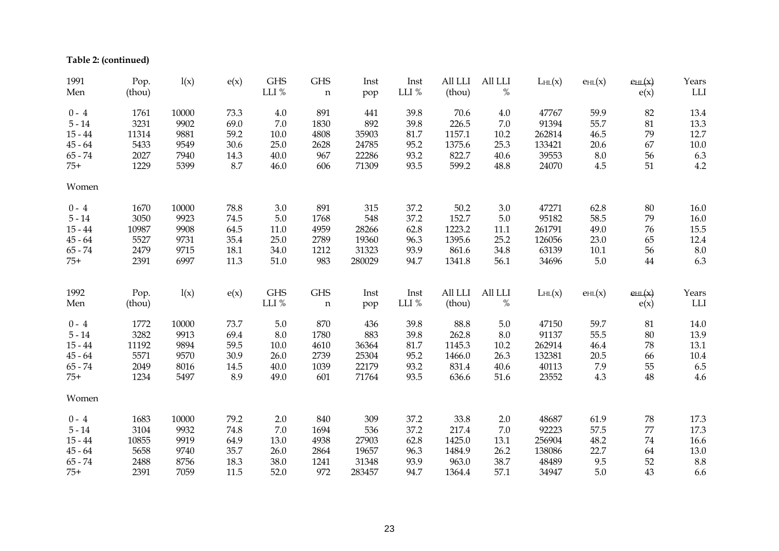**Table 2: (continued)**

| 1991      | Pop.   | l(x)  | e(x) | <b>GHS</b> | <b>GHS</b>  | Inst   | Inst  | All LLI | All LLI | LHL(x) | EHL(x)                        | $e$ HL $(x)$ | Years    |
|-----------|--------|-------|------|------------|-------------|--------|-------|---------|---------|--------|-------------------------------|--------------|----------|
| Men       | (thou) |       |      | LLI $\%$   | $\mathbf n$ | pop    | LLI % | (thou)  | %       |        |                               | e(x)         | LLI      |
| $0 - 4$   | 1761   | 10000 | 73.3 | 4.0        | 891         | 441    | 39.8  | 70.6    | 4.0     | 47767  | 59.9                          | 82           | 13.4     |
| $5 - 14$  | 3231   | 9902  | 69.0 | 7.0        | 1830        | 892    | 39.8  | 226.5   | $7.0\,$ | 91394  | 55.7                          | $81\,$       | 13.3     |
| $15 - 44$ | 11314  | 9881  | 59.2 | 10.0       | 4808        | 35903  | 81.7  | 1157.1  | 10.2    | 262814 | 46.5                          | 79           | 12.7     |
| $45 - 64$ | 5433   | 9549  | 30.6 | 25.0       | 2628        | 24785  | 95.2  | 1375.6  | 25.3    | 133421 | 20.6                          | 67           | $10.0$   |
| $65 - 74$ | 2027   | 7940  | 14.3 | 40.0       | 967         | 22286  | 93.2  | 822.7   | 40.6    | 39553  | $8.0\,$                       | 56           | 6.3      |
| $75+$     | 1229   | 5399  | 8.7  | 46.0       | 606         | 71309  | 93.5  | 599.2   | 48.8    | 24070  | 4.5                           | 51           | 4.2      |
| Women     |        |       |      |            |             |        |       |         |         |        |                               |              |          |
| $0 - 4$   | 1670   | 10000 | 78.8 | 3.0        | 891         | 315    | 37.2  | 50.2    | 3.0     | 47271  | 62.8                          | 80           | 16.0     |
| $5 - 14$  | 3050   | 9923  | 74.5 | 5.0        | 1768        | 548    | 37.2  | 152.7   | $5.0\,$ | 95182  | 58.5                          | 79           | 16.0     |
| $15 - 44$ | 10987  | 9908  | 64.5 | 11.0       | 4959        | 28266  | 62.8  | 1223.2  | 11.1    | 261791 | 49.0                          | 76           | 15.5     |
| $45 - 64$ | 5527   | 9731  | 35.4 | 25.0       | 2789        | 19360  | 96.3  | 1395.6  | 25.2    | 126056 | 23.0                          | 65           | 12.4     |
| $65 - 74$ | 2479   | 9715  | 18.1 | 34.0       | 1212        | 31323  | 93.9  | 861.6   | 34.8    | 63139  | $10.1\,$                      | 56           | $8.0\,$  |
| $75+$     | 2391   | 6997  | 11.3 | 51.0       | 983         | 280029 | 94.7  | 1341.8  | 56.1    | 34696  | $5.0\,$                       | $\bf 44$     | 6.3      |
|           |        |       |      |            |             |        |       |         |         |        |                               |              |          |
| 1992      | Pop.   | l(x)  | e(x) | <b>GHS</b> | <b>GHS</b>  | Inst   | Inst  | All LLI | All LLI | LHL(x) | $\mathrm{e}_{\mathrm{HL}}(x)$ | $e$ HL $(x)$ | Years    |
| Men       | (thou) |       |      | LLI $\%$   | $\mathbf n$ | pop    | LLI % | (thou)  | $\%$    |        |                               | e(x)         | LLI      |
| $0 - 4$   | 1772   | 10000 | 73.7 | 5.0        | 870         | 436    | 39.8  | 88.8    | 5.0     | 47150  | 59.7                          | 81           | 14.0     |
| $5 - 14$  | 3282   | 9913  | 69.4 | 8.0        | 1780        | 883    | 39.8  | 262.8   | $8.0\,$ | 91137  | 55.5                          | 80           | 13.9     |
| $15 - 44$ | 11192  | 9894  | 59.5 | 10.0       | 4610        | 36364  | 81.7  | 1145.3  | 10.2    | 262914 | 46.4                          | 78           | 13.1     |
| $45 - 64$ | 5571   | 9570  | 30.9 | 26.0       | 2739        | 25304  | 95.2  | 1466.0  | 26.3    | 132381 | 20.5                          | 66           | $10.4\,$ |
| $65 - 74$ | 2049   | 8016  | 14.5 | 40.0       | 1039        | 22179  | 93.2  | 831.4   | 40.6    | 40113  | 7.9                           | 55           | 6.5      |
| $75+$     | 1234   | 5497  | 8.9  | 49.0       | 601         | 71764  | 93.5  | 636.6   | 51.6    | 23552  | 4.3                           | 48           | 4.6      |
| Women     |        |       |      |            |             |        |       |         |         |        |                               |              |          |
| $0 - 4$   | 1683   | 10000 | 79.2 | 2.0        | 840         | 309    | 37.2  | 33.8    | 2.0     | 48687  | 61.9                          | 78           | 17.3     |
| $5 - 14$  | 3104   | 9932  | 74.8 | 7.0        | 1694        | 536    | 37.2  | 217.4   | $7.0\,$ | 92223  | 57.5                          | 77           | 17.3     |
| $15 - 44$ | 10855  | 9919  | 64.9 | 13.0       | 4938        | 27903  | 62.8  | 1425.0  | 13.1    | 256904 | 48.2                          | $74\,$       | 16.6     |
| $45 - 64$ | 5658   | 9740  | 35.7 | 26.0       | 2864        | 19657  | 96.3  | 1484.9  | 26.2    | 138086 | 22.7                          | 64           | 13.0     |
| $65 - 74$ | 2488   | 8756  | 18.3 | 38.0       | 1241        | 31348  | 93.9  | 963.0   | 38.7    | 48489  | 9.5                           | 52           | 8.8      |
| $75+$     | 2391   | 7059  | 11.5 | 52.0       | 972         | 283457 | 94.7  | 1364.4  | 57.1    | 34947  | $5.0\,$                       | 43           | 6.6      |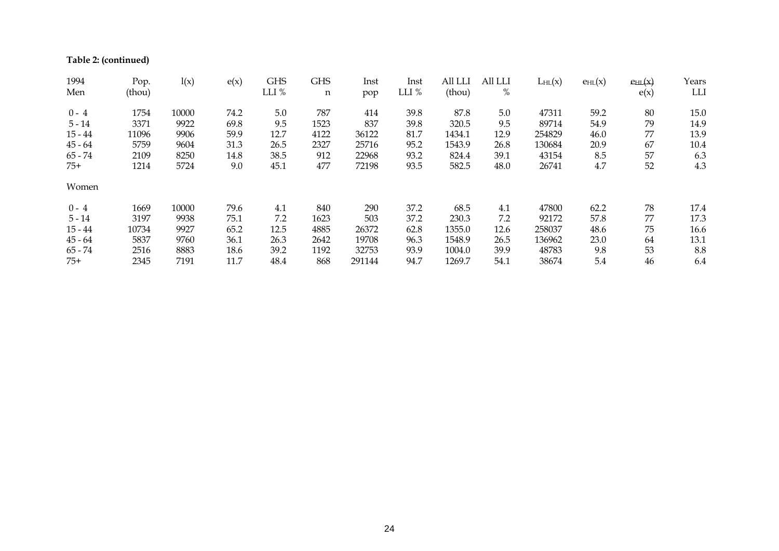**Table 2: (continued)** 

| 1994<br>Men | Pop.<br>(thou) | l(x)  | e(x) | <b>GHS</b><br>LLI % | <b>GHS</b> | Inst   | Inst<br>LLI % | All LLI<br>(thou) | All LLI<br>$\%$ | LHL(x) | EHL(x) | $e$ HL $(x)$ | Years<br>LLI |
|-------------|----------------|-------|------|---------------------|------------|--------|---------------|-------------------|-----------------|--------|--------|--------------|--------------|
|             |                |       |      |                     | n          | pop    |               |                   |                 |        |        | e(x)         |              |
| $0 - 4$     | 1754           | 10000 | 74.2 | 5.0                 | 787        | 414    | 39.8          | 87.8              | 5.0             | 47311  | 59.2   | 80           | 15.0         |
| $5 - 14$    | 3371           | 9922  | 69.8 | 9.5                 | 1523       | 837    | 39.8          | 320.5             | 9.5             | 89714  | 54.9   | 79           | 14.9         |
| $15 - 44$   | 11096          | 9906  | 59.9 | 12.7                | 4122       | 36122  | 81.7          | 1434.1            | 12.9            | 254829 | 46.0   | 77           | 13.9         |
| $45 - 64$   | 5759           | 9604  | 31.3 | 26.5                | 2327       | 25716  | 95.2          | 1543.9            | 26.8            | 130684 | 20.9   | 67           | 10.4         |
| $65 - 74$   | 2109           | 8250  | 14.8 | 38.5                | 912        | 22968  | 93.2          | 824.4             | 39.1            | 43154  | 8.5    | 57           | 6.3          |
| $75+$       | 1214           | 5724  | 9.0  | 45.1                | 477        | 72198  | 93.5          | 582.5             | 48.0            | 26741  | 4.7    | 52           | 4.3          |
| Women       |                |       |      |                     |            |        |               |                   |                 |        |        |              |              |
| $0 - 4$     | 1669           | 10000 | 79.6 | 4.1                 | 840        | 290    | 37.2          | 68.5              | 4.1             | 47800  | 62.2   | 78           | 17.4         |
| $5 - 14$    | 3197           | 9938  | 75.1 | 7.2                 | 1623       | 503    | 37.2          | 230.3             | 7.2             | 92172  | 57.8   | 77           | 17.3         |
| $15 - 44$   | 10734          | 9927  | 65.2 | 12.5                | 4885       | 26372  | 62.8          | 1355.0            | 12.6            | 258037 | 48.6   | 75           | 16.6         |
| $45 - 64$   | 5837           | 9760  | 36.1 | 26.3                | 2642       | 19708  | 96.3          | 1548.9            | 26.5            | 136962 | 23.0   | 64           | 13.1         |
| $65 - 74$   | 2516           | 8883  | 18.6 | 39.2                | 1192       | 32753  | 93.9          | 1004.0            | 39.9            | 48783  | 9.8    | 53           | 8.8          |
| $75+$       | 2345           | 7191  | 11.7 | 48.4                | 868        | 291144 | 94.7          | 1269.7            | 54.1            | 38674  | 5.4    | 46           | 6.4          |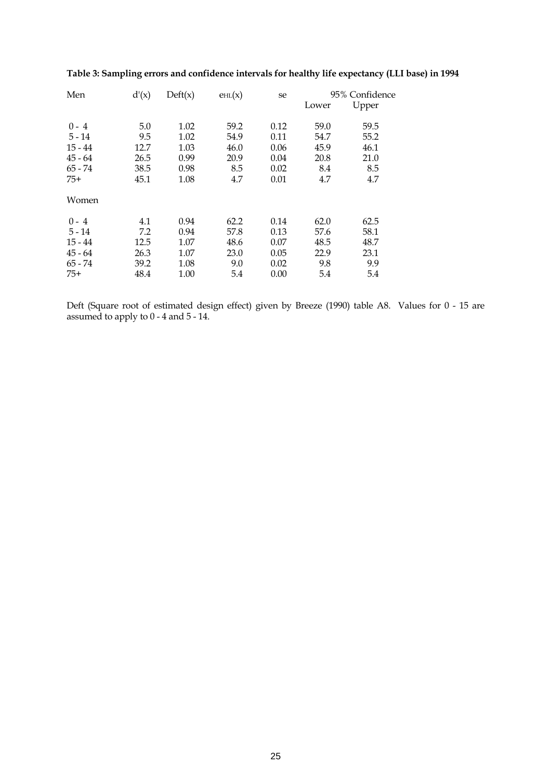| Men       | d'(x) | $\text{Deft}(x)$ | $e_{HL}(x)$ | se   |       | 95% Confidence |
|-----------|-------|------------------|-------------|------|-------|----------------|
|           |       |                  |             |      | Lower | Upper          |
| $0 - 4$   | 5.0   | 1.02             | 59.2        | 0.12 | 59.0  | 59.5           |
| $5 - 14$  | 9.5   | 1.02             | 54.9        | 0.11 | 54.7  | 55.2           |
| $15 - 44$ | 12.7  | 1.03             | 46.0        | 0.06 | 45.9  | 46.1           |
| $45 - 64$ | 26.5  | 0.99             | 20.9        | 0.04 | 20.8  | 21.0           |
| $65 - 74$ | 38.5  | 0.98             | 8.5         | 0.02 | 8.4   | 8.5            |
| $75+$     | 45.1  | 1.08             | 4.7         | 0.01 | 4.7   | 4.7            |
| Women     |       |                  |             |      |       |                |
| $0 - 4$   | 4.1   | 0.94             | 62.2        | 0.14 | 62.0  | 62.5           |
| $5 - 14$  | 7.2   | 0.94             | 57.8        | 0.13 | 57.6  | 58.1           |
| $15 - 44$ | 12.5  | 1.07             | 48.6        | 0.07 | 48.5  | 48.7           |
| $45 - 64$ | 26.3  | 1.07             | 23.0        | 0.05 | 22.9  | 23.1           |
| $65 - 74$ | 39.2  | 1.08             | 9.0         | 0.02 | 9.8   | 9.9            |
| $75+$     | 48.4  | 1.00             | 5.4         | 0.00 | 5.4   | 5.4            |

# **Table 3: Sampling errors and confidence intervals for healthy life expectancy (LLI base) in 1994**

Deft (Square root of estimated design effect) given by Breeze (1990) table A8. Values for 0 - 15 are assumed to apply to 0 - 4 and 5 - 14.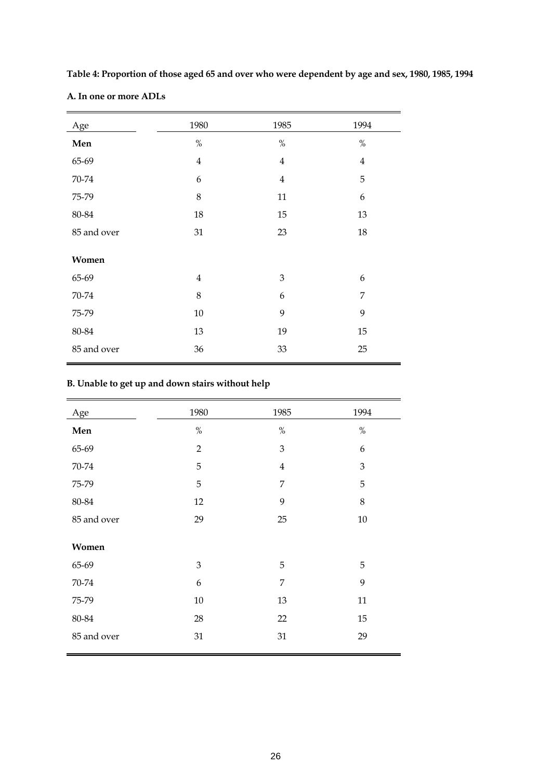| Age         | 1980           | 1985           | 1994           |
|-------------|----------------|----------------|----------------|
| Men         | $\%$           | $\%$           | $\%$           |
| 65-69       | $\overline{4}$ | $\bf 4$        | $\overline{4}$ |
| 70-74       | 6              | $\overline{4}$ | 5              |
| 75-79       | 8              | $11\,$         | 6              |
| $80 - 84$   | $18\,$         | 15             | 13             |
| 85 and over | 31             | 23             | 18             |
| Women       |                |                |                |
| 65-69       | $\overline{4}$ | $\mathfrak{B}$ | 6              |
| 70-74       | $\,8\,$        | 6              | 7              |
| 75-79       | $10\,$         | 9              | 9              |
| 80-84       | 13             | 19             | 15             |
| 85 and over | 36             | 33             | 25             |

**Table 4: Proportion of those aged 65 and over who were dependent by age and sex, 1980, 1985, 1994 A. In one or more ADLs**

# **B. Unable to get up and down stairs without help**

| Age         | 1980           | 1985           | 1994    |
|-------------|----------------|----------------|---------|
| Men         | $\%$           | $\%$           | $\%$    |
| 65-69       | $\overline{2}$ | 3              | 6       |
| 70-74       | 5              | $\overline{4}$ | 3       |
| 75-79       | 5              | 7              | 5       |
| 80-84       | 12             | 9              | $\,8\,$ |
| 85 and over | 29             | 25             | 10      |
| Women       |                |                |         |
| 65-69       | 3              | 5              | 5       |
| 70-74       | 6              | $\overline{7}$ | 9       |
| 75-79       | $10\,$         | 13             | $11\,$  |
| 80-84       | 28             | 22             | 15      |
| 85 and over | 31             | $31\,$         | 29      |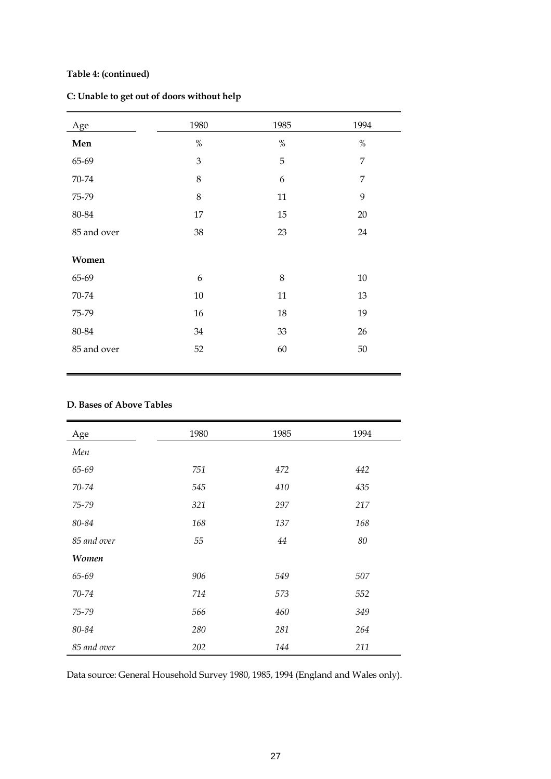# **Table 4: (continued)**

| C: Unable to get out of doors without help |  |  |
|--------------------------------------------|--|--|
|                                            |  |  |

| Age         | 1980   | 1985   | 1994           |
|-------------|--------|--------|----------------|
| Men         | $\%$   | $\%$   | $\%$           |
| 65-69       | 3      | 5      | $\overline{7}$ |
| 70-74       | 8      | 6      | $\overline{7}$ |
| 75-79       | 8      | 11     | 9              |
| 80-84       | 17     | 15     | $20\,$         |
| 85 and over | 38     | 23     | 24             |
| Women       |        |        |                |
| 65-69       | 6      | 8      | $10\,$         |
| 70-74       | $10\,$ | $11\,$ | 13             |
| 75-79       | $16\,$ | 18     | 19             |
| 80-84       | 34     | 33     | 26             |
| 85 and over | 52     | 60     | $50\,$         |
|             |        |        |                |

# **D. Bases of Above Tables**

| Age          | 1980 | 1985 | 1994 |
|--------------|------|------|------|
| Men          |      |      |      |
| 65-69        | 751  | 472  | 442  |
| 70-74        | 545  | 410  | 435  |
| 75-79        | 321  | 297  | 217  |
| 80-84        | 168  | 137  | 168  |
| 85 and over  | 55   | 44   | 80   |
| <b>Women</b> |      |      |      |
| 65-69        | 906  | 549  | 507  |
| 70-74        | 714  | 573  | 552  |
| 75-79        | 566  | 460  | 349  |
| 80-84        | 280  | 281  | 264  |
| 85 and over  | 202  | 144  | 211  |

Data source: General Household Survey 1980, 1985, 1994 (England and Wales only).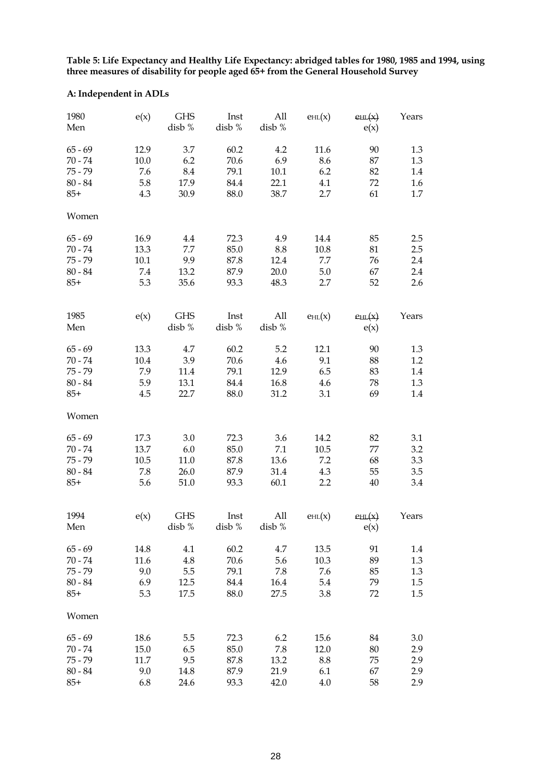**Table 5: Life Expectancy and Healthy Life Expectancy: abridged tables for 1980, 1985 and 1994, using three measures of disability for people aged 65+ from the General Household Survey**

# **A: Independent in ADLs**

| 1980<br>Men | e(x) | <b>GHS</b><br>disb % | Inst<br>disb % | All<br>disb % | $e_{HL}(x)$ | $e_{HL}(x)$<br>e(x) | Years |
|-------------|------|----------------------|----------------|---------------|-------------|---------------------|-------|
| $65 - 69$   | 12.9 | 3.7                  | 60.2           | 4.2           | 11.6        | 90                  | 1.3   |
| $70 - 74$   | 10.0 | 6.2                  | 70.6           | 6.9           | 8.6         | 87                  | 1.3   |
| $75 - 79$   | 7.6  | 8.4                  | 79.1           | 10.1          | 6.2         | 82                  | 1.4   |
| $80 - 84$   | 5.8  | 17.9                 | 84.4           | 22.1          | 4.1         | 72                  | 1.6   |
| $85+$       | 4.3  | 30.9                 | 88.0           | 38.7          | 2.7         | 61                  | 1.7   |
|             |      |                      |                |               |             |                     |       |
| Women       |      |                      |                |               |             |                     |       |
| $65 - 69$   | 16.9 | 4.4                  | 72.3           | 4.9           | 14.4        | 85                  | 2.5   |
| $70 - 74$   | 13.3 | 7.7                  | 85.0           | 8.8           | 10.8        | 81                  | 2.5   |
| $75 - 79$   | 10.1 | 9.9                  | 87.8           | 12.4          | 7.7         | 76                  | 2.4   |
| $80 - 84$   | 7.4  | 13.2                 | 87.9           | 20.0          | 5.0         | 67                  | 2.4   |
| $85+$       | 5.3  | 35.6                 | 93.3           | 48.3          | 2.7         | 52                  | 2.6   |
|             |      |                      |                |               |             |                     |       |
| 1985        | e(x) | <b>GHS</b>           | Inst           | All           | EHL(x)      | $e$ HL $(x)$        | Years |
| Men         |      | disb %               | disb $\%$      | disb %        |             | e(x)                |       |
| $65 - 69$   | 13.3 | 4.7                  | 60.2           | 5.2           | 12.1        | 90                  | 1.3   |
| $70 - 74$   | 10.4 | 3.9                  | 70.6           | 4.6           | 9.1         | 88                  | 1.2   |
| $75 - 79$   | 7.9  | 11.4                 | 79.1           | 12.9          | 6.5         | 83                  | 1.4   |
| $80 - 84$   | 5.9  | 13.1                 | 84.4           | 16.8          | 4.6         | 78                  | 1.3   |
| $85+$       | 4.5  | 22.7                 | 88.0           | 31.2          | 3.1         | 69                  | 1.4   |
|             |      |                      |                |               |             |                     |       |
| Women       |      |                      |                |               |             |                     |       |
| $65 - 69$   | 17.3 | 3.0                  | 72.3           | 3.6           | 14.2        | 82                  | 3.1   |
| $70 - 74$   | 13.7 | 6.0                  | 85.0           | 7.1           | 10.5        | 77                  | 3.2   |
| $75 - 79$   | 10.5 | 11.0                 | 87.8           | 13.6          | 7.2         | 68                  | 3.3   |
| $80 - 84$   | 7.8  | 26.0                 | 87.9           | 31.4          | 4.3         | 55                  | 3.5   |
| $85+$       | 5.6  | 51.0                 | 93.3           | 60.1          | 2.2         | $40\,$              | 3.4   |
|             |      |                      |                |               |             |                     |       |
| 1994        | e(x) | <b>GHS</b>           | Inst           | All           | EHL(x)      | $e$ HL $(x)$        | Years |
| Men         |      | disb %               | disb $\%$      | disb %        |             | e(x)                |       |
| $65 - 69$   | 14.8 | 4.1                  | 60.2           | 4.7           | 13.5        | 91                  | 1.4   |
| $70 - 74$   | 11.6 | 4.8                  | 70.6           | 5.6           | 10.3        | 89                  | 1.3   |
| $75 - 79$   | 9.0  | 5.5                  | 79.1           | 7.8           | 7.6         | 85                  | 1.3   |
| $80 - 84$   | 6.9  | 12.5                 | 84.4           | 16.4          | 5.4         | 79                  | 1.5   |
| $85+$       | 5.3  | 17.5                 | 88.0           | 27.5          | 3.8         | 72                  | 1.5   |
|             |      |                      |                |               |             |                     |       |
| Women       |      |                      |                |               |             |                     |       |
| $65 - 69$   | 18.6 | 5.5                  | 72.3           | 6.2           | 15.6        | 84                  | 3.0   |
| $70 - 74$   | 15.0 | 6.5                  | 85.0           | 7.8           | 12.0        | 80                  | 2.9   |
| $75 - 79$   | 11.7 | 9.5                  | 87.8           | 13.2          | 8.8         | 75                  | 2.9   |
| $80 - 84$   | 9.0  | 14.8                 | 87.9           | 21.9          | 6.1         | 67                  | 2.9   |
| $85+$       | 6.8  | 24.6                 | 93.3           | 42.0          | 4.0         | 58                  | 2.9   |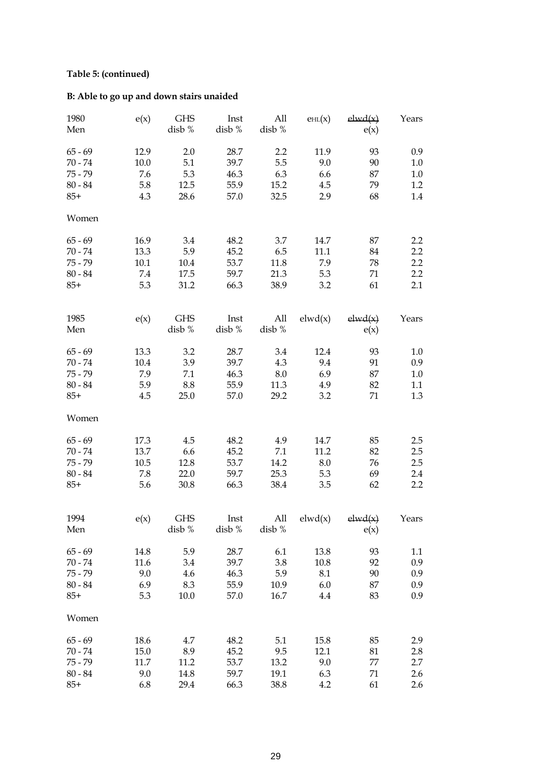# **Table 5: (continued)**

# **B: Able to go up and down stairs unaided**

| 1980<br>Men | e(x) | <b>GHS</b><br>disb % | Inst<br>disb % | All<br>disb % | EHL(x)  | elwd(x)<br>e(x) | Years   |
|-------------|------|----------------------|----------------|---------------|---------|-----------------|---------|
| $65 - 69$   | 12.9 | 2.0                  | 28.7           | 2.2           | 11.9    | 93              | 0.9     |
| $70 - 74$   | 10.0 | 5.1                  | 39.7           | 5.5           | 9.0     | 90              | 1.0     |
| $75 - 79$   | 7.6  | 5.3                  | 46.3           | 6.3           | 6.6     | 87              | 1.0     |
| $80 - 84$   | 5.8  | 12.5                 | 55.9           | 15.2          | 4.5     | 79              | 1.2     |
| $85+$       | 4.3  | 28.6                 | 57.0           | 32.5          | 2.9     | 68              | 1.4     |
|             |      |                      |                |               |         |                 |         |
| Women       |      |                      |                |               |         |                 |         |
| $65 - 69$   | 16.9 | 3.4                  | 48.2           | 3.7           | 14.7    | 87              | 2.2     |
| $70 - 74$   | 13.3 | 5.9                  | 45.2           | 6.5           | 11.1    | 84              | 2.2     |
| $75 - 79$   | 10.1 | 10.4                 | 53.7           | 11.8          | 7.9     | 78              | 2.2     |
| $80 - 84$   | 7.4  | 17.5                 | 59.7           | 21.3          | 5.3     | 71              | 2.2     |
| $85+$       | 5.3  | 31.2                 | 66.3           | 38.9          | 3.2     | 61              | 2.1     |
|             |      |                      |                |               |         |                 |         |
| 1985        | e(x) | <b>GHS</b>           | Inst           | All           | elwd(x) | elwd(x)         | Years   |
| Men         |      | disb %               | disb %         | disb %        |         | e(x)            |         |
| $65 - 69$   | 13.3 | 3.2                  | 28.7           | 3.4           | 12.4    | 93              | 1.0     |
| $70 - 74$   | 10.4 | 3.9                  | 39.7           | 4.3           | 9.4     | 91              | 0.9     |
| $75 - 79$   | 7.9  | 7.1                  | 46.3           | 8.0           | 6.9     | 87              | 1.0     |
| $80 - 84$   | 5.9  | 8.8                  | 55.9           | 11.3          | 4.9     | 82              | 1.1     |
| $85+$       | 4.5  | 25.0                 | 57.0           | 29.2          | 3.2     | 71              | 1.3     |
|             |      |                      |                |               |         |                 |         |
| Women       |      |                      |                |               |         |                 |         |
| $65 - 69$   | 17.3 | 4.5                  | 48.2           | 4.9           | 14.7    | 85              | $2.5\,$ |
| $70 - 74$   | 13.7 | 6.6                  | 45.2           | 7.1           | 11.2    | 82              | $2.5\,$ |
| $75 - 79$   | 10.5 | 12.8                 | 53.7           | 14.2          | 8.0     | 76              | 2.5     |
| $80 - 84$   | 7.8  | 22.0                 | 59.7           | 25.3          | 5.3     | 69              | 2.4     |
| $85+$       | 5.6  | 30.8                 | 66.3           | 38.4          | 3.5     | 62              | 2.2     |
|             |      |                      |                |               |         |                 |         |
| 1994        | e(x) | <b>GHS</b>           | Inst           | All           | elwd(x) | elwd(x)         | Years   |
| Men         |      | disb %               | disb %         | disb %        |         | e(x)            |         |
| $65 - 69$   | 14.8 | 5.9                  | 28.7           | 6.1           | 13.8    | 93              | 1.1     |
| $70 - 74$   | 11.6 | 3.4                  | 39.7           | 3.8           | 10.8    | 92              | 0.9     |
| $75 - 79$   | 9.0  | 4.6                  | 46.3           | 5.9           | 8.1     | 90              | 0.9     |
| $80 - 84$   | 6.9  | 8.3                  | 55.9           | 10.9          | 6.0     | 87              | 0.9     |
| $85+$       | 5.3  | 10.0                 |                | 16.7          | 4.4     | 83              | 0.9     |
|             |      |                      | 57.0           |               |         |                 |         |
| Women       |      |                      |                |               |         |                 |         |
| $65 - 69$   | 18.6 | 4.7                  | 48.2           | 5.1           | 15.8    | 85              | 2.9     |
| $70 - 74$   | 15.0 | 8.9                  | 45.2           | 9.5           | 12.1    | 81              | 2.8     |
| $75 - 79$   | 11.7 | 11.2                 | 53.7           | 13.2          | 9.0     | 77              | 2.7     |
| $80 - 84$   | 9.0  | 14.8                 | 59.7           | 19.1          | 6.3     | 71              | 2.6     |
| $85+$       | 6.8  | 29.4                 | 66.3           | 38.8          | 4.2     | 61              | 2.6     |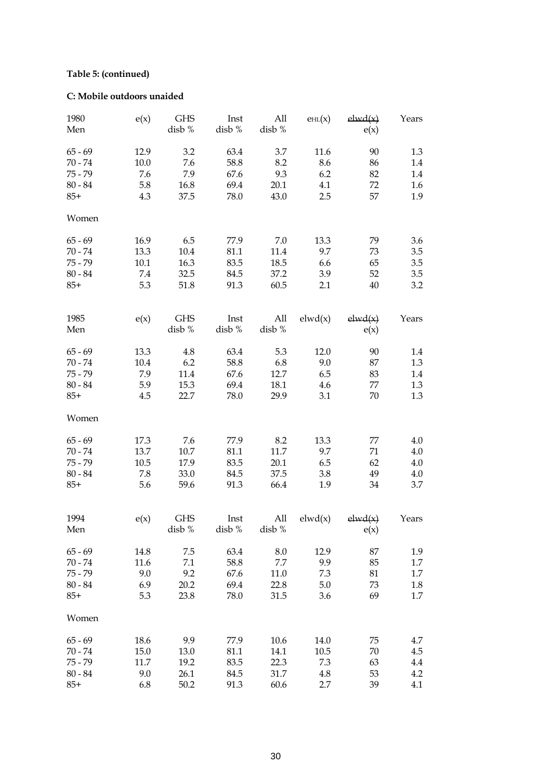# **Table 5: (continued)**

# **C: Mobile outdoors unaided**

| 1980<br>Men | e(x) | <b>GHS</b><br>disb % | Inst<br>disb % | All<br>disb % | EHL(x)  | elwd(x)<br>e(x) | Years   |
|-------------|------|----------------------|----------------|---------------|---------|-----------------|---------|
| $65 - 69$   | 12.9 | 3.2                  | 63.4           | 3.7           | 11.6    | 90              | 1.3     |
| $70 - 74$   | 10.0 | 7.6                  | 58.8           | 8.2           | 8.6     | 86              | 1.4     |
| $75 - 79$   | 7.6  | 7.9                  | 67.6           | 9.3           | 6.2     | 82              | 1.4     |
| $80 - 84$   | 5.8  | 16.8                 | 69.4           | 20.1          | 4.1     | 72              | 1.6     |
|             |      |                      |                |               |         |                 |         |
| $85+$       | 4.3  | 37.5                 | 78.0           | 43.0          | 2.5     | 57              | 1.9     |
| Women       |      |                      |                |               |         |                 |         |
| $65 - 69$   | 16.9 | 6.5                  | 77.9           | 7.0           | 13.3    | 79              | $3.6\,$ |
| $70 - 74$   | 13.3 | 10.4                 | 81.1           | 11.4          | 9.7     | 73              | 3.5     |
| $75 - 79$   | 10.1 | 16.3                 | 83.5           | 18.5          | 6.6     | 65              | 3.5     |
| $80 - 84$   | 7.4  | 32.5                 | 84.5           | 37.2          | 3.9     | 52              | 3.5     |
| $85+$       | 5.3  | 51.8                 | 91.3           | 60.5          | 2.1     | 40              | 3.2     |
|             |      |                      |                |               |         |                 |         |
| 1985        | e(x) | <b>GHS</b>           | Inst           | All           | elwd(x) | elwd(x)         | Years   |
| Men         |      | disb %               | disb %         | disb %        |         | e(x)            |         |
| $65 - 69$   | 13.3 | 4.8                  | 63.4           | 5.3           | 12.0    | 90              | 1.4     |
| $70 - 74$   | 10.4 | 6.2                  | 58.8           | 6.8           | 9.0     | 87              | 1.3     |
| $75 - 79$   | 7.9  | 11.4                 | 67.6           | 12.7          | 6.5     | 83              | 1.4     |
| $80 - 84$   | 5.9  | 15.3                 | 69.4           | 18.1          | 4.6     | 77              | 1.3     |
| $85+$       | 4.5  |                      |                | 29.9          |         | 70              |         |
|             |      | 22.7                 | 78.0           |               | 3.1     |                 | 1.3     |
| Women       |      |                      |                |               |         |                 |         |
| $65 - 69$   | 17.3 | 7.6                  | 77.9           | 8.2           | 13.3    | 77              | 4.0     |
| $70 - 74$   | 13.7 | 10.7                 | 81.1           | 11.7          | 9.7     | 71              | 4.0     |
| $75 - 79$   | 10.5 | 17.9                 | 83.5           | 20.1          | 6.5     | 62              | 4.0     |
| $80 - 84$   | 7.8  | 33.0                 | 84.5           | 37.5          | 3.8     | 49              | 4.0     |
| $85+$       | 5.6  | 59.6                 | 91.3           | 66.4          | 1.9     | 34              | 3.7     |
|             |      |                      |                |               |         |                 |         |
| 1994        | e(x) | <b>GHS</b>           | Inst           | All           | elwd(x) | elwd(x)         | Years   |
| Men         |      | disb %               | disb %         | disb %        |         | e(x)            |         |
|             |      |                      |                |               |         |                 |         |
| $65 - 69$   | 14.8 | 7.5                  | 63.4           | 8.0           | 12.9    | 87              | 1.9     |
| $70 - 74$   | 11.6 | 7.1                  | 58.8           | 7.7           | 9.9     | 85              | 1.7     |
| $75 - 79$   | 9.0  | 9.2                  | 67.6           | 11.0          | 7.3     | 81              | 1.7     |
| $80 - 84$   | 6.9  | 20.2                 | 69.4           | 22.8          | 5.0     | 73              | 1.8     |
| $85+$       | 5.3  | 23.8                 | 78.0           | 31.5          | 3.6     | 69              | 1.7     |
| Women       |      |                      |                |               |         |                 |         |
| $65 - 69$   | 18.6 | 9.9                  | 77.9           | 10.6          | 14.0    | 75              | 4.7     |
| $70 - 74$   | 15.0 | 13.0                 | 81.1           | 14.1          | 10.5    | 70              | 4.5     |
| $75 - 79$   | 11.7 | 19.2                 | 83.5           | 22.3          | 7.3     | 63              | 4.4     |
| $80 - 84$   | 9.0  | 26.1                 | 84.5           | 31.7          | 4.8     | 53              | 4.2     |
| $85+$       | 6.8  | 50.2                 | 91.3           | 60.6          | 2.7     | 39              | 4.1     |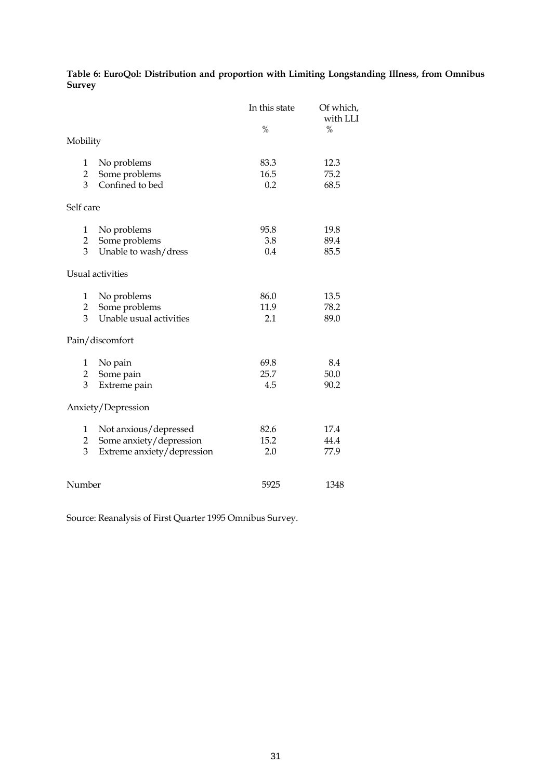**Table 6: EuroQol: Distribution and proportion with Limiting Longstanding Illness, from Omnibus Survey**

|                |                            | In this state | Of which,<br>with LLI |
|----------------|----------------------------|---------------|-----------------------|
| Mobility       |                            | $\frac{0}{0}$ | $\%$                  |
| 1              | No problems                | 83.3          | 12.3                  |
| $\overline{2}$ | Some problems              | 16.5          | 75.2                  |
| 3              | Confined to bed            | 0.2           | 68.5                  |
| Self care      |                            |               |                       |
| 1              | No problems                | 95.8          | 19.8                  |
| $\overline{2}$ | Some problems              | 3.8           | 89.4                  |
| 3              | Unable to wash/dress       | 0.4           | 85.5                  |
|                | Usual activities           |               |                       |
| 1              | No problems                | 86.0          | 13.5                  |
| $\overline{2}$ | Some problems              | 11.9          | 78.2                  |
| 3              | Unable usual activities    | 2.1           | 89.0                  |
|                | Pain/discomfort            |               |                       |
| 1              | No pain                    | 69.8          | 8.4                   |
| $\overline{2}$ | Some pain                  | 25.7          | 50.0                  |
| 3              | Extreme pain               | 4.5           | 90.2                  |
|                | Anxiety/Depression         |               |                       |
| 1              | Not anxious/depressed      | 82.6          | 17.4                  |
| $\overline{2}$ | Some anxiety/depression    | 15.2          | 44.4                  |
| 3              | Extreme anxiety/depression | 2.0           | 77.9                  |
|                |                            |               |                       |
| Number         |                            | 5925          | 1348                  |

Source: Reanalysis of First Quarter 1995 Omnibus Survey.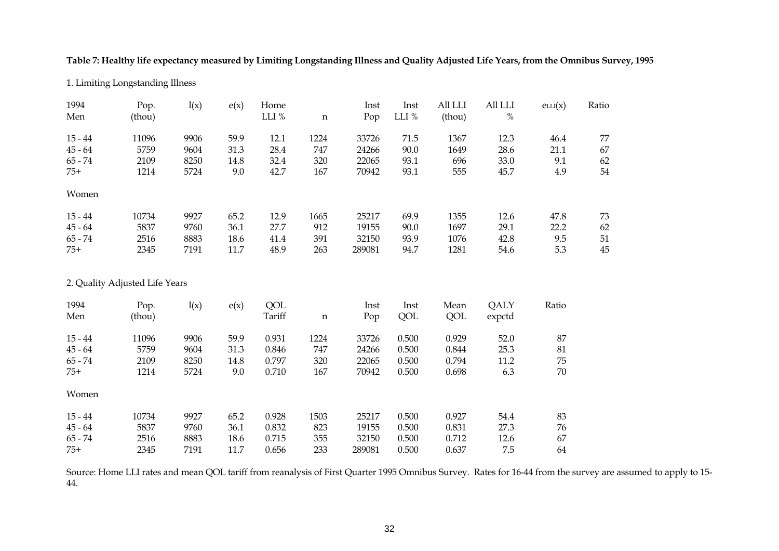**Table 7: Healthy life expectancy measured by Limiting Longstanding Illness and Quality Adjusted Life Years, from the Omnibus Survey, 1995**

1. Limiting Longstanding Illness

| 1994<br>Men | Pop.<br>(thou)                 | l(x) | e(x) | Home<br>LLI $\%$ | $\mathbf n$ | Inst<br>Pop | Inst<br>LLI % | All LLI<br>(thou) | All LLI<br>$\%$ | $\text{el}(\mathbf{x})$ | Ratio  |
|-------------|--------------------------------|------|------|------------------|-------------|-------------|---------------|-------------------|-----------------|-------------------------|--------|
| $15 - 44$   | 11096                          | 9906 | 59.9 | 12.1             | 1224        | 33726       | 71.5          | 1367              | 12.3            | 46.4                    | 77     |
| $45 - 64$   | 5759                           | 9604 | 31.3 | 28.4             | 747         | 24266       | 90.0          | 1649              | 28.6            | 21.1                    | 67     |
| $65 - 74$   | 2109                           | 8250 | 14.8 | 32.4             | 320         | 22065       | 93.1          | 696               | 33.0            | 9.1                     | 62     |
| $75+$       | 1214                           | 5724 | 9.0  | 42.7             | 167         | 70942       | 93.1          | 555               | 45.7            | 4.9                     | $54\,$ |
| Women       |                                |      |      |                  |             |             |               |                   |                 |                         |        |
| $15 - 44$   | 10734                          | 9927 | 65.2 | 12.9             | 1665        | 25217       | 69.9          | 1355              | 12.6            | 47.8                    | 73     |
| $45 - 64$   | 5837                           | 9760 | 36.1 | 27.7             | 912         | 19155       | 90.0          | 1697              | 29.1            | 22.2                    | 62     |
| $65 - 74$   | 2516                           | 8883 | 18.6 | 41.4             | 391         | 32150       | 93.9          | 1076              | 42.8            | 9.5                     | 51     |
| $75+$       | 2345                           | 7191 | 11.7 | 48.9             | 263         | 289081      | 94.7          | 1281              | 54.6            | 5.3                     | 45     |
|             | 2. Quality Adjusted Life Years |      |      |                  |             |             |               |                   |                 |                         |        |
| 1994        | Pop.                           | l(x) | e(x) | QOL              |             | Inst        | Inst          | Mean              | QALY            | Ratio                   |        |
| Men         | (thou)                         |      |      | Tariff           | $\mathbf n$ | Pop         | QOL           | QOL               | expctd          |                         |        |
| $15 - 44$   | 11096                          | 9906 | 59.9 | 0.931            | 1224        | 33726       | 0.500         | 0.929             | 52.0            | 87                      |        |
| $45 - 64$   | 5759                           | 9604 | 31.3 | 0.846            | 747         | 24266       | 0.500         | 0.844             | 25.3            | 81                      |        |
| $65 - 74$   | 2109                           | 8250 | 14.8 | 0.797            | 320         | 22065       | 0.500         | 0.794             | 11.2            | 75                      |        |
| $75+$       | 1214                           | 5724 | 9.0  | 0.710            | 167         | 70942       | 0.500         | 0.698             | 6.3             | 70                      |        |
| Women       |                                |      |      |                  |             |             |               |                   |                 |                         |        |
| $15 - 44$   | 10734                          | 9927 | 65.2 | 0.928            | 1503        | 25217       | 0.500         | 0.927             | 54.4            | 83                      |        |
| $45 - 64$   | 5837                           | 9760 | 36.1 | 0.832            | 823         | 19155       | 0.500         | 0.831             | 27.3            | 76                      |        |
| $65 - 74$   | 2516                           | 8883 | 18.6 | 0.715            | 355         | 32150       | 0.500         | 0.712             | 12.6            | 67                      |        |
| $75+$       | 2345                           | 7191 | 11.7 | 0.656            | 233         | 289081      | 0.500         | 0.637             | 7.5             | 64                      |        |

Source: Home LLI rates and mean QOL tariff from reanalysis of First Quarter 1995 Omnibus Survey. Rates for 16-44 from the survey are assumed to apply to 15- 44.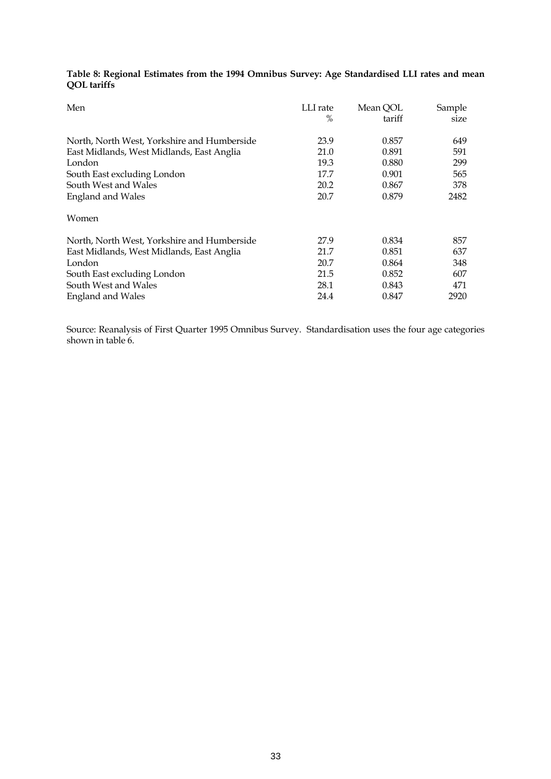| Table 8: Regional Estimates from the 1994 Omnibus Survey: Age Standardised LLI rates and mean |  |  |  |  |  |
|-----------------------------------------------------------------------------------------------|--|--|--|--|--|
| QOL tariffs                                                                                   |  |  |  |  |  |

| Men                                         | LLI rate<br>% | Mean QOL<br>tariff | Sample<br>size |
|---------------------------------------------|---------------|--------------------|----------------|
| North, North West, Yorkshire and Humberside | 23.9          | 0.857              | 649            |
| East Midlands, West Midlands, East Anglia   | 21.0          | 0.891              | 591            |
| London                                      | 19.3          | 0.880              | 299            |
| South East excluding London                 | 17.7          | 0.901              | 565            |
| South West and Wales                        | 20.2          | 0.867              | 378            |
| <b>England and Wales</b>                    | 20.7          | 0.879              | 2482           |
| Women                                       |               |                    |                |
| North, North West, Yorkshire and Humberside | 27.9          | 0.834              | 857            |
| East Midlands, West Midlands, East Anglia   | 21.7          | 0.851              | 637            |
| London                                      | 20.7          | 0.864              | 348            |
| South East excluding London                 | 21.5          | 0.852              | 607            |
| South West and Wales                        | 28.1          | 0.843              | 471            |
| <b>England and Wales</b>                    | 24.4          | 0.847              | 2920           |

Source: Reanalysis of First Quarter 1995 Omnibus Survey. Standardisation uses the four age categories shown in table 6.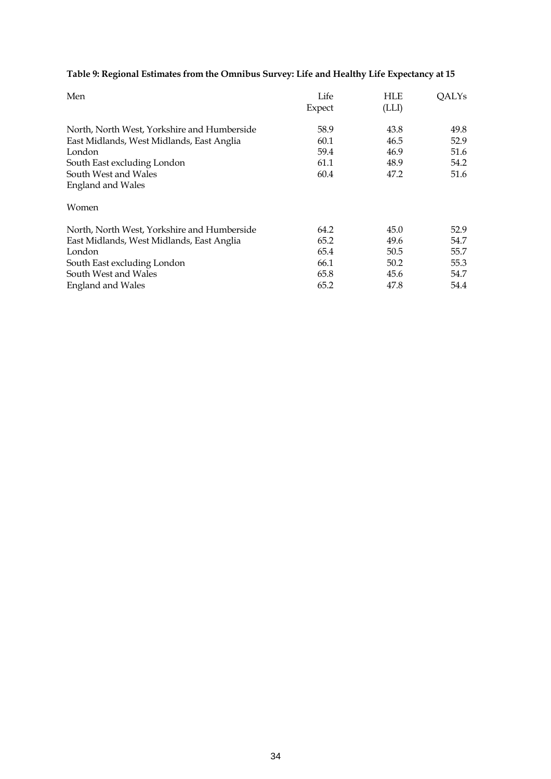# **Table 9: Regional Estimates from the Omnibus Survey: Life and Healthy Life Expectancy at 15**

| Men                                                                                      | Life<br>Expect | <b>HLE</b><br>(LLI) | <b>QALYs</b> |
|------------------------------------------------------------------------------------------|----------------|---------------------|--------------|
| North, North West, Yorkshire and Humberside<br>East Midlands, West Midlands, East Anglia | 58.9<br>60.1   | 43.8<br>46.5        | 49.8<br>52.9 |
| London                                                                                   | 59.4           | 46.9                | 51.6         |
| South East excluding London                                                              | 61.1           | 48.9                | 54.2         |
| South West and Wales                                                                     | 60.4           | 47.2                | 51.6         |
| <b>England and Wales</b>                                                                 |                |                     |              |
| Women                                                                                    |                |                     |              |
| North, North West, Yorkshire and Humberside                                              | 64.2           | 45.0                | 52.9         |
| East Midlands, West Midlands, East Anglia                                                | 65.2           | 49.6                | 54.7         |
| London                                                                                   | 65.4           | 50.5                | 55.7         |
| South East excluding London                                                              | 66.1           | 50.2                | 55.3         |
| South West and Wales                                                                     | 65.8           | 45.6                | 54.7         |
| <b>England and Wales</b>                                                                 | 65.2           | 47.8                | 54.4         |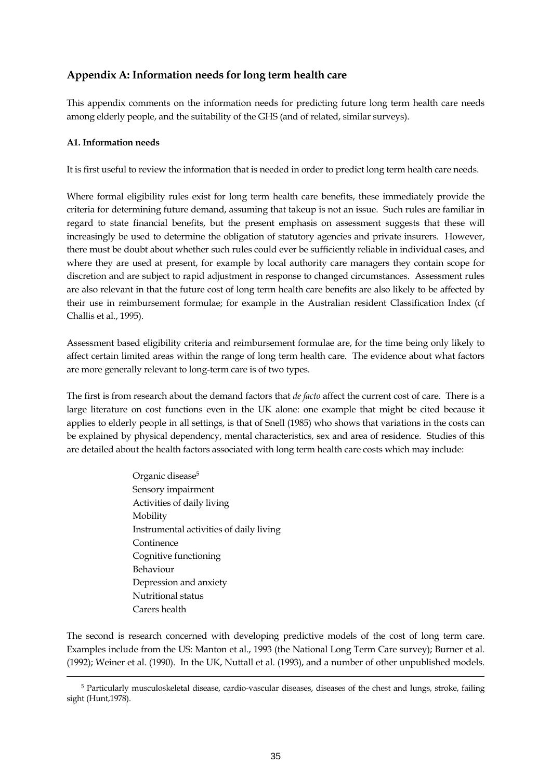# **Appendix A: Information needs for long term health care**

This appendix comments on the information needs for predicting future long term health care needs among elderly people, and the suitability of the GHS (and of related, similar surveys).

### **A1. Information needs**

 $\overline{a}$ 

It is first useful to review the information that is needed in order to predict long term health care needs.

Where formal eligibility rules exist for long term health care benefits, these immediately provide the criteria for determining future demand, assuming that takeup is not an issue. Such rules are familiar in regard to state financial benefits, but the present emphasis on assessment suggests that these will increasingly be used to determine the obligation of statutory agencies and private insurers. However, there must be doubt about whether such rules could ever be sufficiently reliable in individual cases, and where they are used at present, for example by local authority care managers they contain scope for discretion and are subject to rapid adjustment in response to changed circumstances. Assessment rules are also relevant in that the future cost of long term health care benefits are also likely to be affected by their use in reimbursement formulae; for example in the Australian resident Classification Index (cf Challis et al., 1995).

Assessment based eligibility criteria and reimbursement formulae are, for the time being only likely to affect certain limited areas within the range of long term health care. The evidence about what factors are more generally relevant to long-term care is of two types.

The first is from research about the demand factors that *de facto* affect the current cost of care. There is a large literature on cost functions even in the UK alone: one example that might be cited because it applies to elderly people in all settings, is that of Snell (1985) who shows that variations in the costs can be explained by physical dependency, mental characteristics, sex and area of residence. Studies of this are detailed about the health factors associated with long term health care costs which may include:

> Organic disease<sup>5</sup> Sensory impairment Activities of daily living Mobility Instrumental activities of daily living Continence Cognitive functioning Behaviour Depression and anxiety Nutritional status Carers health

The second is research concerned with developing predictive models of the cost of long term care. Examples include from the US: Manton et al., 1993 (the National Long Term Care survey); Burner et al. (1992); Weiner et al. (1990). In the UK, Nuttall et al. (1993), and a number of other unpublished models.

<span id="page-35-0"></span><sup>5</sup> Particularly musculoskeletal disease, cardio-vascular diseases, diseases of the chest and lungs, stroke, failing sight (Hunt,1978).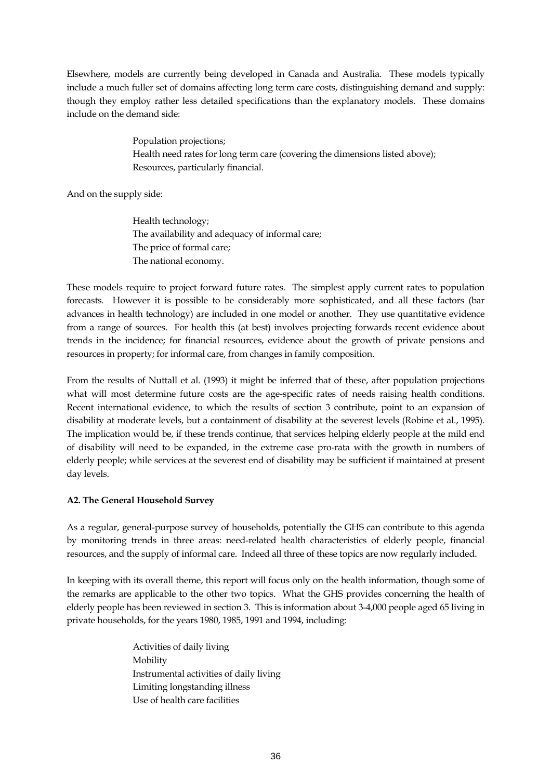Elsewhere, models are currently being developed in Canada and Australia. These models typically include a much fuller set of domains affecting long term care costs, distinguishing demand and supply: though they employ rather less detailed specifications than the explanatory models. These domains include on the demand side:

> Population projections; Health need rates for long term care (covering the dimensions listed above); Resources, particularly financial.

And on the supply side:

 Health technology; The availability and adequacy of informal care; The price of formal care; The national economy.

These models require to project forward future rates. The simplest apply current rates to population forecasts. However it is possible to be considerably more sophisticated, and all these factors (bar advances in health technology) are included in one model or another. They use quantitative evidence from a range of sources. For health this (at best) involves projecting forwards recent evidence about trends in the incidence; for financial resources, evidence about the growth of private pensions and resources in property; for informal care, from changes in family composition.

From the results of Nuttall et al. (1993) it might be inferred that of these, after population projections what will most determine future costs are the age-specific rates of needs raising health conditions. Recent international evidence, to which the results of section 3 contribute, point to an expansion of disability at moderate levels, but a containment of disability at the severest levels (Robine et al., 1995). The implication would be, if these trends continue, that services helping elderly people at the mild end of disability will need to be expanded, in the extreme case pro-rata with the growth in numbers of elderly people; while services at the severest end of disability may be sufficient if maintained at present day levels.

### **A2. The General Household Survey**

As a regular, general-purpose survey of households, potentially the GHS can contribute to this agenda by monitoring trends in three areas: need-related health characteristics of elderly people, financial resources, and the supply of informal care. Indeed all three of these topics are now regularly included.

In keeping with its overall theme, this report will focus only on the health information, though some of the remarks are applicable to the other two topics. What the GHS provides concerning the health of elderly people has been reviewed in section 3. This is information about 3-4,000 people aged 65 living in private households, for the years 1980, 1985, 1991 and 1994, including:

> Activities of daily living Mobility Instrumental activities of daily living Limiting longstanding illness Use of health care facilities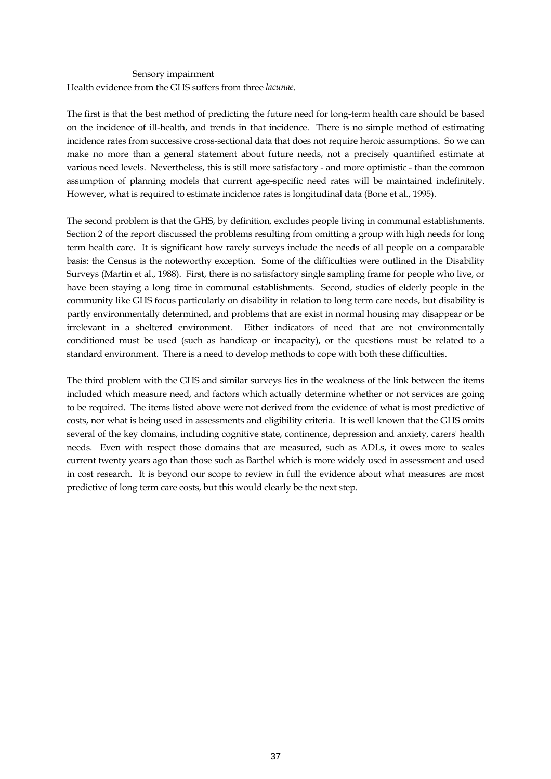#### Sensory impairment

Health evidence from the GHS suffers from three *lacunae*.

The first is that the best method of predicting the future need for long-term health care should be based on the incidence of ill-health, and trends in that incidence. There is no simple method of estimating incidence rates from successive cross-sectional data that does not require heroic assumptions. So we can make no more than a general statement about future needs, not a precisely quantified estimate at various need levels. Nevertheless, this is still more satisfactory - and more optimistic - than the common assumption of planning models that current age-specific need rates will be maintained indefinitely. However, what is required to estimate incidence rates is longitudinal data (Bone et al., 1995).

The second problem is that the GHS, by definition, excludes people living in communal establishments. Section 2 of the report discussed the problems resulting from omitting a group with high needs for long term health care. It is significant how rarely surveys include the needs of all people on a comparable basis: the Census is the noteworthy exception. Some of the difficulties were outlined in the Disability Surveys (Martin et al., 1988). First, there is no satisfactory single sampling frame for people who live, or have been staying a long time in communal establishments. Second, studies of elderly people in the community like GHS focus particularly on disability in relation to long term care needs, but disability is partly environmentally determined, and problems that are exist in normal housing may disappear or be irrelevant in a sheltered environment. Either indicators of need that are not environmentally conditioned must be used (such as handicap or incapacity), or the questions must be related to a standard environment. There is a need to develop methods to cope with both these difficulties.

The third problem with the GHS and similar surveys lies in the weakness of the link between the items included which measure need, and factors which actually determine whether or not services are going to be required. The items listed above were not derived from the evidence of what is most predictive of costs, nor what is being used in assessments and eligibility criteria. It is well known that the GHS omits several of the key domains, including cognitive state, continence, depression and anxiety, carers' health needs. Even with respect those domains that are measured, such as ADLs, it owes more to scales current twenty years ago than those such as Barthel which is more widely used in assessment and used in cost research. It is beyond our scope to review in full the evidence about what measures are most predictive of long term care costs, but this would clearly be the next step.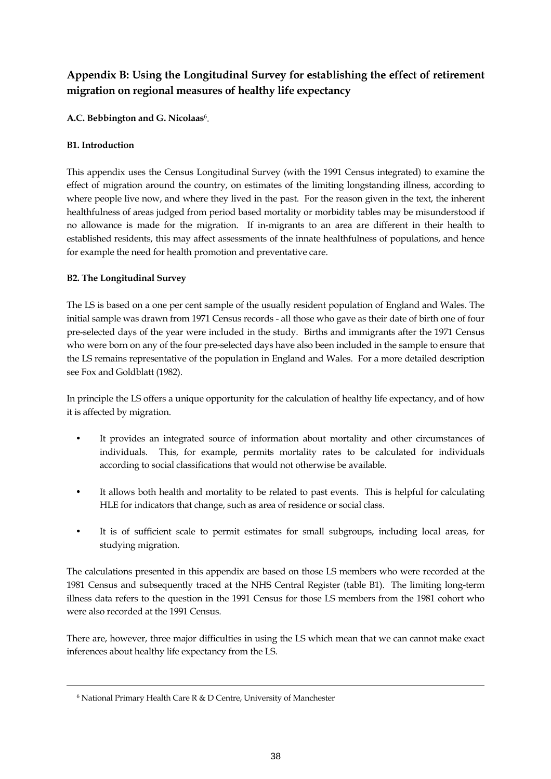# **Appendix B: Using the Longitudinal Survey for establishing the effect of retirement migration on regional measures of healthy life expectancy**

**A.C. Bebbington and G. Nicolaas**[6](#page-38-0) .

### **B1. Introduction**

This appendix uses the Census Longitudinal Survey (with the 1991 Census integrated) to examine the effect of migration around the country, on estimates of the limiting longstanding illness, according to where people live now, and where they lived in the past. For the reason given in the text, the inherent healthfulness of areas judged from period based mortality or morbidity tables may be misunderstood if no allowance is made for the migration. If in-migrants to an area are different in their health to established residents, this may affect assessments of the innate healthfulness of populations, and hence for example the need for health promotion and preventative care.

### **B2. The Longitudinal Survey**

The LS is based on a one per cent sample of the usually resident population of England and Wales. The initial sample was drawn from 1971 Census records - all those who gave as their date of birth one of four pre-selected days of the year were included in the study. Births and immigrants after the 1971 Census who were born on any of the four pre-selected days have also been included in the sample to ensure that the LS remains representative of the population in England and Wales. For a more detailed description see Fox and Goldblatt (1982).

In principle the LS offers a unique opportunity for the calculation of healthy life expectancy, and of how it is affected by migration.

- It provides an integrated source of information about mortality and other circumstances of individuals. This, for example, permits mortality rates to be calculated for individuals according to social classifications that would not otherwise be available.
- It allows both health and mortality to be related to past events. This is helpful for calculating HLE for indicators that change, such as area of residence or social class.
- It is of sufficient scale to permit estimates for small subgroups, including local areas, for studying migration.

The calculations presented in this appendix are based on those LS members who were recorded at the 1981 Census and subsequently traced at the NHS Central Register (table B1). The limiting long-term illness data refers to the question in the 1991 Census for those LS members from the 1981 cohort who were also recorded at the 1991 Census.

There are, however, three major difficulties in using the LS which mean that we can cannot make exact inferences about healthy life expectancy from the LS.

 $\overline{a}$ 

<span id="page-38-0"></span><sup>6</sup> National Primary Health Care R & D Centre, University of Manchester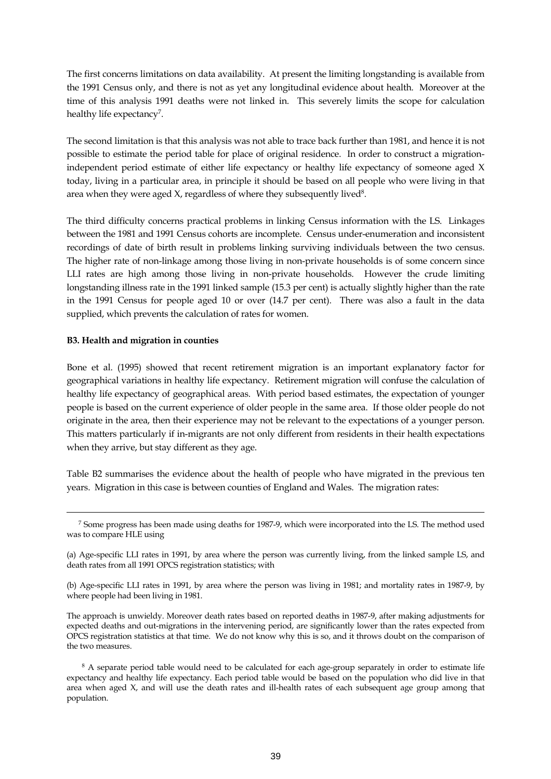The first concerns limitations on data availability. At present the limiting longstanding is available from the 1991 Census only, and there is not as yet any longitudinal evidence about health. Moreover at the time of this analysis 1991 deaths were not linked in. This severely limits the scope for calculation healthy life expectancy<sup>[7](#page-39-0)</sup>.

The second limitation is that this analysis was not able to trace back further than 1981, and hence it is not possible to estimate the period table for place of original residence. In order to construct a migrationindependent period estimate of either life expectancy or healthy life expectancy of someone aged X today, living in a particular area, in principle it should be based on all people who were living in that area when they were aged  $X$ , regardless of where they subsequently lived<sup>8</sup>.

The third difficulty concerns practical problems in linking Census information with the LS. Linkages between the 1981 and 1991 Census cohorts are incomplete. Census under-enumeration and inconsistent recordings of date of birth result in problems linking surviving individuals between the two census. The higher rate of non-linkage among those living in non-private households is of some concern since LLI rates are high among those living in non-private households. However the crude limiting longstanding illness rate in the 1991 linked sample (15.3 per cent) is actually slightly higher than the rate in the 1991 Census for people aged 10 or over (14.7 per cent). There was also a fault in the data supplied, which prevents the calculation of rates for women.

#### **B3. Health and migration in counties**

 $\overline{a}$ 

Bone et al. (1995) showed that recent retirement migration is an important explanatory factor for geographical variations in healthy life expectancy. Retirement migration will confuse the calculation of healthy life expectancy of geographical areas. With period based estimates, the expectation of younger people is based on the current experience of older people in the same area. If those older people do not originate in the area, then their experience may not be relevant to the expectations of a younger person. This matters particularly if in-migrants are not only different from residents in their health expectations when they arrive, but stay different as they age.

Table B2 summarises the evidence about the health of people who have migrated in the previous ten years. Migration in this case is between counties of England and Wales. The migration rates:

<span id="page-39-0"></span><sup>7</sup> Some progress has been made using deaths for 1987-9, which were incorporated into the LS. The method used was to compare HLE using

<sup>(</sup>a) Age-specific LLI rates in 1991, by area where the person was currently living, from the linked sample LS, and death rates from all 1991 OPCS registration statistics; with

<sup>(</sup>b) Age-specific LLI rates in 1991, by area where the person was living in 1981; and mortality rates in 1987-9, by where people had been living in 1981.

The approach is unwieldy. Moreover death rates based on reported deaths in 1987-9, after making adjustments for expected deaths and out-migrations in the intervening period, are significantly lower than the rates expected from OPCS registration statistics at that time. We do not know why this is so, and it throws doubt on the comparison of the two measures.

<span id="page-39-1"></span><sup>&</sup>lt;sup>8</sup> A separate period table would need to be calculated for each age-group separately in order to estimate life expectancy and healthy life expectancy. Each period table would be based on the population who did live in that area when aged X, and will use the death rates and ill-health rates of each subsequent age group among that population.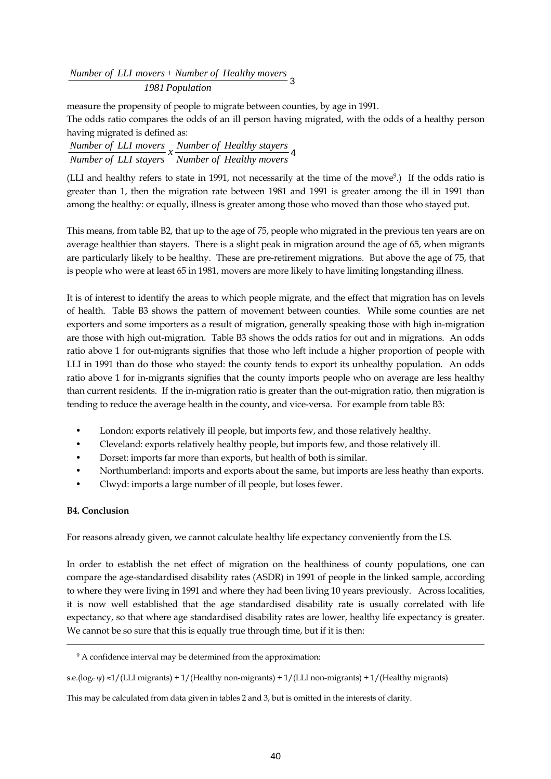*1981 Population Number of LLI movers+ Number of Healthy movers* 3

measure the propensity of people to migrate between counties, by age in 1991.

The odds ratio compares the odds of an ill person having migrated, with the odds of a healthy person having migrated is defined as:

| Number of LLI movers Number of Healthy stayers |
|------------------------------------------------|
| Number of LLI stayers Number of Healthy movers |

(LLI and healthy refers to state in 1991, not necessarily at the time of the move<sup>9</sup>.) If the odds ratio is greater than 1, then the migration rate between 1981 and 1991 is greater among the ill in 1991 than among the healthy: or equally, illness is greater among those who moved than those who stayed put.

This means, from table B2, that up to the age of 75, people who migrated in the previous ten years are on average healthier than stayers. There is a slight peak in migration around the age of 65, when migrants are particularly likely to be healthy. These are pre-retirement migrations. But above the age of 75, that is people who were at least 65 in 1981, movers are more likely to have limiting longstanding illness.

It is of interest to identify the areas to which people migrate, and the effect that migration has on levels of health. Table B3 shows the pattern of movement between counties. While some counties are net exporters and some importers as a result of migration, generally speaking those with high in-migration are those with high out-migration. Table B3 shows the odds ratios for out and in migrations. An odds ratio above 1 for out-migrants signifies that those who left include a higher proportion of people with LLI in 1991 than do those who stayed: the county tends to export its unhealthy population. An odds ratio above 1 for in-migrants signifies that the county imports people who on average are less healthy than current residents. If the in-migration ratio is greater than the out-migration ratio, then migration is tending to reduce the average health in the county, and vice-versa. For example from table B3:

- London: exports relatively ill people, but imports few, and those relatively healthy.
- Cleveland: exports relatively healthy people, but imports few, and those relatively ill.
- Dorset: imports far more than exports, but health of both is similar.
- Northumberland: imports and exports about the same, but imports are less heathy than exports.
- Clwyd: imports a large number of ill people, but loses fewer.

### **B4. Conclusion**

 $\overline{a}$ 

For reasons already given, we cannot calculate healthy life expectancy conveniently from the LS.

In order to establish the net effect of migration on the healthiness of county populations, one can compare the age-standardised disability rates (ASDR) in 1991 of people in the linked sample, according to where they were living in 1991 and where they had been living 10 years previously. Across localities, it is now well established that the age standardised disability rate is usually correlated with life expectancy, so that where age standardised disability rates are lower, healthy life expectancy is greater. We cannot be so sure that this is equally true through time, but if it is then:

s.e.(loge  $\psi$ ) ≈1/(LLI migrants) + 1/(Healthy non-migrants) + 1/(LLI non-migrants) + 1/(Healthy migrants)

This may be calculated from data given in tables 2 and 3, but is omitted in the interests of clarity.

<span id="page-40-0"></span><sup>&</sup>lt;sup>9</sup> A confidence interval may be determined from the approximation: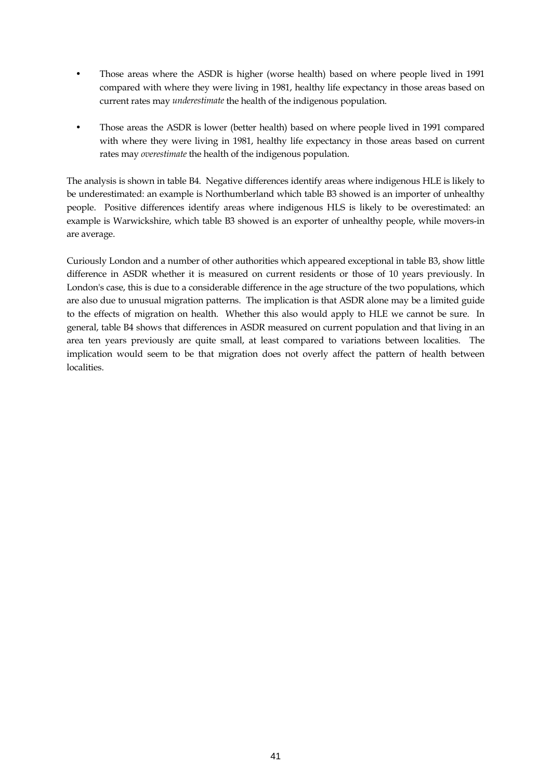- Those areas where the ASDR is higher (worse health) based on where people lived in 1991 compared with where they were living in 1981, healthy life expectancy in those areas based on current rates may *underestimate* the health of the indigenous population.
- Those areas the ASDR is lower (better health) based on where people lived in 1991 compared with where they were living in 1981, healthy life expectancy in those areas based on current rates may *overestimate* the health of the indigenous population.

The analysis is shown in table B4. Negative differences identify areas where indigenous HLE is likely to be underestimated: an example is Northumberland which table B3 showed is an importer of unhealthy people. Positive differences identify areas where indigenous HLS is likely to be overestimated: an example is Warwickshire, which table B3 showed is an exporter of unhealthy people, while movers-in are average.

Curiously London and a number of other authorities which appeared exceptional in table B3, show little difference in ASDR whether it is measured on current residents or those of 10 years previously. In London's case, this is due to a considerable difference in the age structure of the two populations, which are also due to unusual migration patterns. The implication is that ASDR alone may be a limited guide to the effects of migration on health. Whether this also would apply to HLE we cannot be sure. In general, table B4 shows that differences in ASDR measured on current population and that living in an area ten years previously are quite small, at least compared to variations between localities. The implication would seem to be that migration does not overly affect the pattern of health between localities.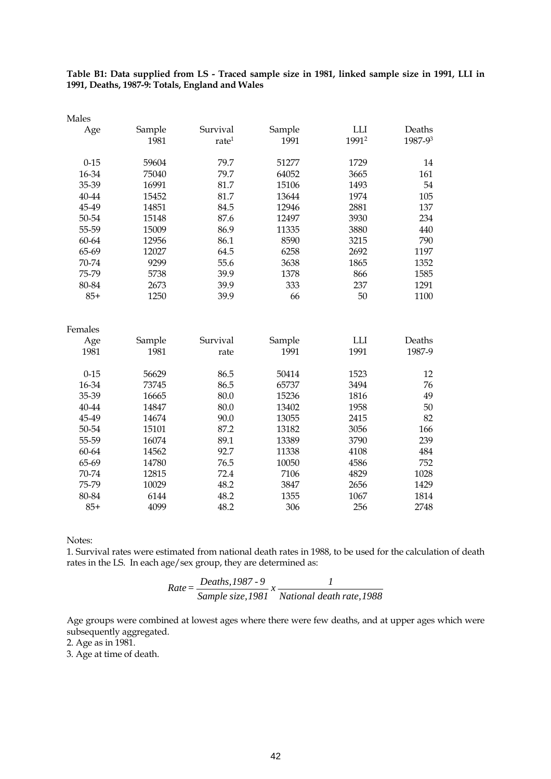**Table B1: Data supplied from LS - Traced sample size in 1981, linked sample size in 1991, LLI in 1991, Deaths, 1987-9: Totals, England and Wales** 

| Males     |        |                   |        |                   |         |
|-----------|--------|-------------------|--------|-------------------|---------|
| Age       | Sample | Survival          | Sample | LLI               | Deaths  |
|           | 1981   | rate <sup>1</sup> | 1991   | 1991 <sup>2</sup> | 1987-93 |
|           |        |                   |        |                   |         |
| $0 - 15$  | 59604  | 79.7              | 51277  | 1729              | 14      |
| 16-34     | 75040  | 79.7              | 64052  | 3665              | 161     |
| 35-39     | 16991  | 81.7              | 15106  | 1493              | 54      |
| $40 - 44$ | 15452  | 81.7              | 13644  | 1974              | 105     |
| 45-49     | 14851  | 84.5              | 12946  | 2881              | 137     |
| 50-54     | 15148  | 87.6              | 12497  | 3930              | 234     |
| 55-59     | 15009  | 86.9              | 11335  | 3880              | 440     |
| 60-64     | 12956  | 86.1              | 8590   | 3215              | 790     |
| 65-69     | 12027  | 64.5              | 6258   | 2692              | 1197    |
| 70-74     | 9299   | 55.6              | 3638   | 1865              | 1352    |
| 75-79     | 5738   | 39.9              | 1378   | 866               | 1585    |
| 80-84     | 2673   | 39.9              | 333    | 237               | 1291    |
| $85+$     | 1250   | 39.9              | 66     | 50                | 1100    |
|           |        |                   |        |                   |         |
|           |        |                   |        |                   |         |
| Females   |        |                   |        |                   |         |
| Age       | Sample | Survival          | Sample | LLI               | Deaths  |
| 1981      | 1981   | rate              | 1991   | 1991              | 1987-9  |
| $0 - 15$  | 56629  | 86.5              | 50414  | 1523              | 12      |
| 16-34     | 73745  | 86.5              | 65737  | 3494              | 76      |
| 35-39     | 16665  | 80.0              | 15236  | 1816              | 49      |
| 40-44     | 14847  | 80.0              | 13402  | 1958              | 50      |
| 45-49     | 14674  | 90.0              | 13055  | 2415              | 82      |
| 50-54     | 15101  | 87.2              | 13182  | 3056              | 166     |
| 55-59     | 16074  | 89.1              | 13389  | 3790              | 239     |
| 60-64     | 14562  | 92.7              | 11338  | 4108              | 484     |
| 65-69     | 14780  | 76.5              | 10050  | 4586              | 752     |
| 70-74     | 12815  | 72.4              | 7106   | 4829              | 1028    |
| 75-79     | 10029  | 48.2              | 3847   | 2656              | 1429    |
| 80-84     | 6144   | 48.2              | 1355   | 1067              | 1814    |
| $85+$     | 4099   | 48.2              | 306    | 256               | 2748    |
|           |        |                   |        |                   |         |

Notes:

1. Survival rates were estimated from national death rates in 1988, to be used for the calculation of death rates in the LS. In each age/sex group, they are determined as:

Rate = 
$$
\frac{Deaths, 1987 - 9}{Sample size, 1981} \times \frac{1}{National death rate, 1988}
$$

Age groups were combined at lowest ages where there were few deaths, and at upper ages which were subsequently aggregated.

2. Age as in 1981.

3. Age at time of death.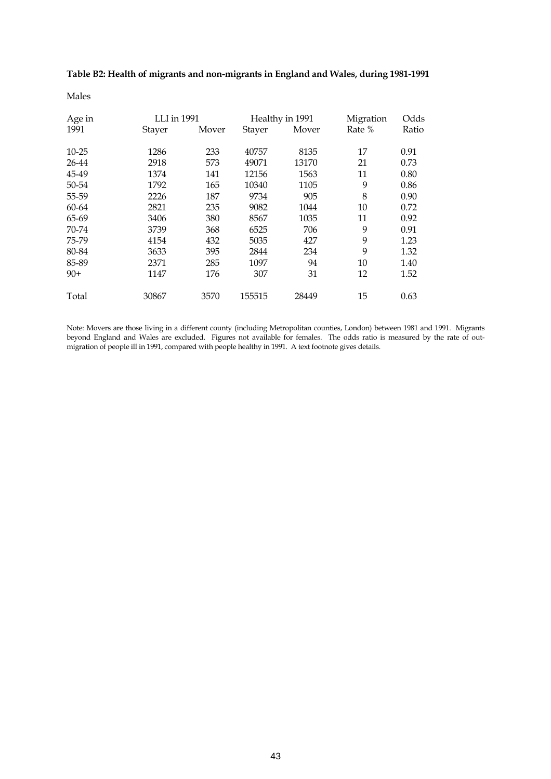**Table B2: Health of migrants and non-migrants in England and Wales, during 1981-1991**

Males

| Age in    | LLI in 1991   |       |        | Healthy in 1991 | Migration | Odds  |
|-----------|---------------|-------|--------|-----------------|-----------|-------|
| 1991      | <b>Stayer</b> | Mover | Stayer | Mover           | Rate %    | Ratio |
| $10 - 25$ | 1286          | 233   | 40757  | 8135            | 17        | 0.91  |
| 26-44     | 2918          | 573   | 49071  | 13170           | 21        | 0.73  |
| 45-49     | 1374          | 141   | 12156  | 1563            | 11        | 0.80  |
| 50-54     | 1792          | 165   | 10340  | 1105            | 9         | 0.86  |
| 55-59     | 2226          | 187   | 9734   | 905             | 8         | 0.90  |
| 60-64     | 2821          | 235   | 9082   | 1044            | 10        | 0.72  |
| 65-69     | 3406          | 380   | 8567   | 1035            | 11        | 0.92  |
| 70-74     | 3739          | 368   | 6525   | 706             | 9         | 0.91  |
| 75-79     | 4154          | 432   | 5035   | 427             | 9         | 1.23  |
| 80-84     | 3633          | 395   | 2844   | 234             | 9         | 1.32  |
| 85-89     | 2371          | 285   | 1097   | 94              | 10        | 1.40  |
| $90+$     | 1147          | 176   | 307    | 31              | 12        | 1.52  |
| Total     | 30867         | 3570  | 155515 | 28449           | 15        | 0.63  |

Note: Movers are those living in a different county (including Metropolitan counties, London) between 1981 and 1991. Migrants beyond England and Wales are excluded. Figures not available for females. The odds ratio is measured by the rate of outmigration of people ill in 1991, compared with people healthy in 1991. A text footnote gives details.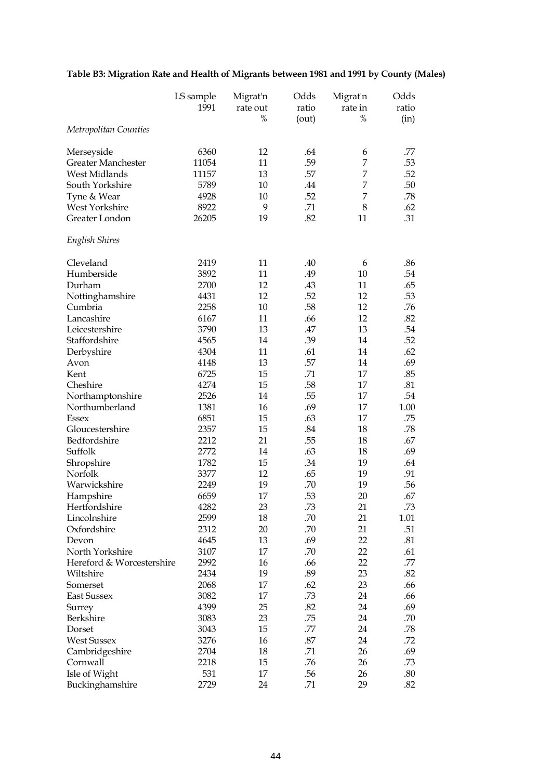# **Table B3: Migration Rate and Health of Migrants between 1981 and 1991 by County (Males)**

|                           | LS sample<br>1991 | Migrat'n<br>rate out<br>$\%$ | Odds<br>ratio<br>(out) | Migrat'n<br>rate in<br>$\%$ | Odds<br>ratio<br>(in) |
|---------------------------|-------------------|------------------------------|------------------------|-----------------------------|-----------------------|
| Metropolitan Counties     |                   |                              |                        |                             |                       |
| Merseyside                | 6360              | 12                           | .64                    | 6                           | .77                   |
| Greater Manchester        | 11054             | 11                           | .59                    | 7                           | .53                   |
| West Midlands             | 11157             | 13                           | .57                    | 7                           | .52                   |
| South Yorkshire           | 5789              | 10                           | .44                    | 7                           | .50                   |
| Tyne & Wear               | 4928              | 10                           | .52                    | 7                           | .78                   |
| West Yorkshire            | 8922              | 9                            | .71                    | 8                           | .62                   |
| Greater London            | 26205             | 19                           | .82                    | 11                          | .31                   |
| English Shires            |                   |                              |                        |                             |                       |
| Cleveland                 | 2419              | 11                           | .40                    | 6                           | .86                   |
| Humberside                | 3892              | 11                           | .49                    | 10                          | .54                   |
| Durham                    | 2700              | 12                           | .43                    | 11                          | .65                   |
| Nottinghamshire           | 4431              | 12                           | .52                    | 12                          | .53                   |
| Cumbria                   | 2258              | 10                           | .58                    | 12                          | .76                   |
| Lancashire                | 6167              | 11                           | .66                    | 12                          | .82                   |
| Leicestershire            | 3790              | 13                           | .47                    | 13                          | .54                   |
| Staffordshire             | 4565              | 14                           | .39                    | 14                          | .52                   |
| Derbyshire                | 4304              | 11                           | .61                    | 14                          | .62                   |
| Avon                      | 4148              | 13                           | .57                    | 14                          | .69                   |
| Kent                      | 6725              | 15                           | .71                    | 17                          | .85                   |
| Cheshire                  | 4274              | 15                           | .58                    | 17                          | .81                   |
| Northamptonshire          | 2526              | 14                           | .55                    | 17                          | .54                   |
| Northumberland            | 1381              | 16                           | .69                    | 17                          | 1.00                  |
| Essex                     | 6851              | 15                           | .63                    | 17                          | .75                   |
| Gloucestershire           | 2357              | 15                           | .84                    | 18                          | .78                   |
| Bedfordshire              | 2212              | 21                           | .55                    | 18                          | .67                   |
| Suffolk                   | 2772              | 14                           | .63                    | 18                          | .69                   |
| Shropshire                | 1782              | 15                           | .34                    | 19                          | .64                   |
| Norfolk                   | 3377              | 12                           | .65                    | 19                          | .91                   |
| Warwickshire              | 2249              | 19                           | .70                    | 19                          | .56                   |
| Hampshire                 | 6659              | 17                           | .53                    | 20                          | .67                   |
| Hertfordshire             | 4282              | 23                           | .73                    | 21                          | .73                   |
| Lincolnshire              | 2599              | 18                           | .70                    | 21                          | 1.01                  |
| Oxfordshire               | 2312              | 20                           | .70                    | 21                          | .51                   |
| Devon                     | 4645              | 13                           | .69                    | 22                          | .81                   |
| North Yorkshire           | 3107              | 17                           | .70                    | 22                          | .61                   |
| Hereford & Worcestershire | 2992              | 16                           | .66                    | 22                          | .77                   |
| Wiltshire                 | 2434              | 19                           | .89                    | 23                          | .82                   |
| Somerset                  | 2068              | 17                           | .62                    | 23                          | .66                   |
| East Sussex               | 3082              | 17                           | .73                    | 24                          | .66                   |
| Surrey                    | 4399              | 25                           | .82                    | 24                          | .69                   |
| Berkshire                 | 3083              | 23                           | .75                    | 24                          | .70                   |
| Dorset                    | 3043              | 15                           | .77                    | 24                          | .78                   |
| <b>West Sussex</b>        | 3276              | 16                           | .87                    | 24                          | .72                   |
| Cambridgeshire            | 2704              | 18                           | .71                    | 26                          | .69                   |
| Cornwall                  | 2218              | 15                           | .76                    | 26                          | .73                   |
| Isle of Wight             | 531               | 17                           | .56                    | 26                          | .80                   |
| Buckinghamshire           | 2729              | 24                           | .71                    | 29                          | .82                   |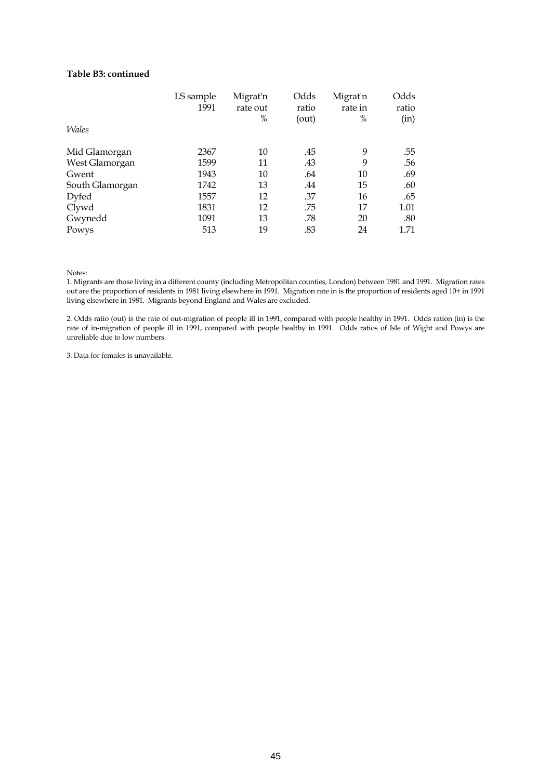#### **Table B3: continued**

|                 | LS sample | Migrat'n | Odds  | Migrat'n | Odds  |
|-----------------|-----------|----------|-------|----------|-------|
|                 | 1991      | rate out | ratio | rate in  | ratio |
|                 |           | %        | (out) | $\%$     | (in)  |
| <i>Wales</i>    |           |          |       |          |       |
| Mid Glamorgan   | 2367      | 10       | .45   | 9        | .55   |
| West Glamorgan  | 1599      | 11       | .43   | 9        | .56   |
| Gwent           | 1943      | $10\,$   | .64   | 10       | .69   |
| South Glamorgan | 1742      | 13       | .44   | 15       | .60   |
| Dyfed           | 1557      | 12       | .37   | 16       | .65   |
| Clywd           | 1831      | 12       | .75   | 17       | 1.01  |
| Gwynedd         | 1091      | 13       | .78   | 20       | .80   |
| Powys           | 513       | 19       | .83   | 24       | 1.71  |

Notes:

1. Migrants are those living in a different county (including Metropolitan counties, London) between 1981 and 1991. Migration rates out are the proportion of residents in 1981 living elsewhere in 1991. Migration rate in is the proportion of residents aged 10+ in 1991 living elsewhere in 1981. Migrants beyond England and Wales are excluded.

2. Odds ratio (out) is the rate of out-migration of people ill in 1991, compared with people healthy in 1991. Odds ration (in) is the rate of in-migration of people ill in 1991, compared with people healthy in 1991. Odds ratios of Isle of Wight and Powys are unreliable due to low numbers.

3. Data for females is unavailable.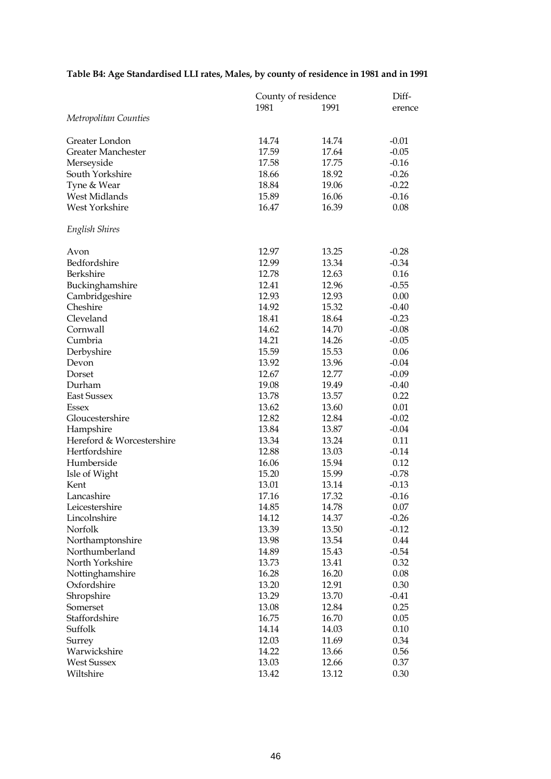# **Table B4: Age Standardised LLI rates, Males, by county of residence in 1981 and in 1991**

|                           | County of residence |       | Diff-   |  |
|---------------------------|---------------------|-------|---------|--|
|                           | 1981                | 1991  | erence  |  |
| Metropolitan Counties     |                     |       |         |  |
| Greater London            | 14.74               | 14.74 | $-0.01$ |  |
| <b>Greater Manchester</b> | 17.59               | 17.64 | $-0.05$ |  |
| Merseyside                | 17.58               | 17.75 | $-0.16$ |  |
| South Yorkshire           | 18.66               | 18.92 | $-0.26$ |  |
| Tyne & Wear               | 18.84               | 19.06 | $-0.22$ |  |
| West Midlands             | 15.89               | 16.06 | $-0.16$ |  |
| West Yorkshire            | 16.47               | 16.39 | 0.08    |  |
| English Shires            |                     |       |         |  |
| Avon                      | 12.97               | 13.25 | $-0.28$ |  |
| Bedfordshire              | 12.99               | 13.34 | $-0.34$ |  |
| Berkshire                 | 12.78               | 12.63 | 0.16    |  |
| Buckinghamshire           | 12.41               | 12.96 | $-0.55$ |  |
| Cambridgeshire            | 12.93               | 12.93 | 0.00    |  |
| Cheshire                  | 14.92               | 15.32 | $-0.40$ |  |
| Cleveland                 | 18.41               | 18.64 | $-0.23$ |  |
| Cornwall                  | 14.62               | 14.70 | $-0.08$ |  |
| Cumbria                   | 14.21               | 14.26 | $-0.05$ |  |
| Derbyshire                | 15.59               | 15.53 | 0.06    |  |
| Devon                     | 13.92               | 13.96 | $-0.04$ |  |
| Dorset                    | 12.67               | 12.77 | $-0.09$ |  |
| Durham                    | 19.08               | 19.49 | $-0.40$ |  |
| <b>East Sussex</b>        | 13.78               | 13.57 | 0.22    |  |
| Essex                     | 13.62               | 13.60 | 0.01    |  |
| Gloucestershire           | 12.82               | 12.84 | $-0.02$ |  |
| Hampshire                 | 13.84               | 13.87 | $-0.04$ |  |
| Hereford & Worcestershire | 13.34               | 13.24 | 0.11    |  |
| Hertfordshire             | 12.88               | 13.03 | $-0.14$ |  |
| Humberside                | 16.06               | 15.94 | 0.12    |  |
| Isle of Wight             | 15.20               | 15.99 | $-0.78$ |  |
| Kent                      | 13.01               | 13.14 | $-0.13$ |  |
| Lancashire                | 17.16               | 17.32 | $-0.16$ |  |
| Leicestershire            | 14.85               | 14.78 | 0.07    |  |
| Lincolnshire              | 14.12               | 14.37 | $-0.26$ |  |
| Norfolk                   | 13.39               | 13.50 | $-0.12$ |  |
| Northamptonshire          | 13.98               | 13.54 | 0.44    |  |
| Northumberland            | 14.89               | 15.43 | $-0.54$ |  |
| North Yorkshire           | 13.73               | 13.41 | 0.32    |  |
| Nottinghamshire           | 16.28               | 16.20 | 0.08    |  |
| Oxfordshire               | 13.20               | 12.91 | 0.30    |  |
| Shropshire                | 13.29               | 13.70 | $-0.41$ |  |
| Somerset                  | 13.08               | 12.84 | 0.25    |  |
| Staffordshire             | 16.75               | 16.70 | 0.05    |  |
| Suffolk                   | 14.14               | 14.03 | 0.10    |  |
| Surrey                    | 12.03               | 11.69 | 0.34    |  |
| Warwickshire              | 14.22               | 13.66 | 0.56    |  |
| <b>West Sussex</b>        | 13.03               | 12.66 | 0.37    |  |
| Wiltshire                 | 13.42               | 13.12 | 0.30    |  |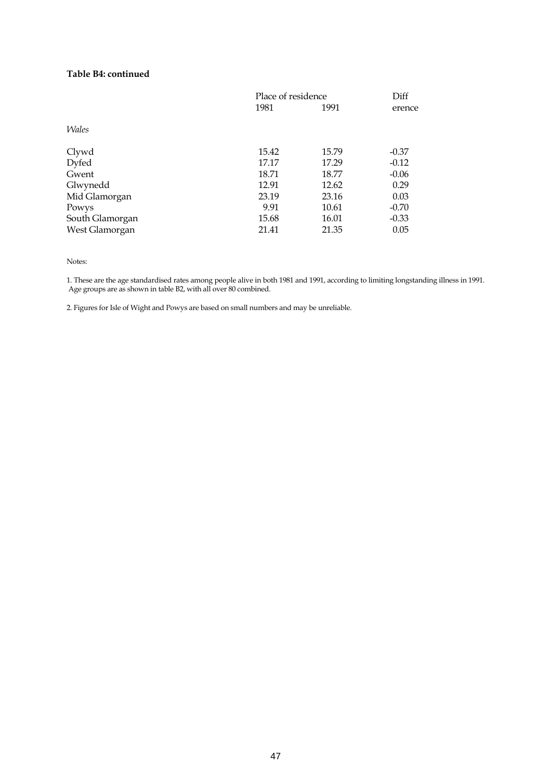### **Table B4: continued**

|                 | Place of residence |       | Diff    |
|-----------------|--------------------|-------|---------|
|                 | 1981               | 1991  | erence  |
| <i>Wales</i>    |                    |       |         |
| Clywd           | 15.42              | 15.79 | $-0.37$ |
| Dyfed           | 17.17              | 17.29 | $-0.12$ |
| Gwent           | 18.71              | 18.77 | $-0.06$ |
| Glwynedd        | 12.91              | 12.62 | 0.29    |
| Mid Glamorgan   | 23.19              | 23.16 | 0.03    |
| Powys           | 9.91               | 10.61 | $-0.70$ |
| South Glamorgan | 15.68              | 16.01 | $-0.33$ |
| West Glamorgan  | 21.41              | 21.35 | 0.05    |

Notes:

1. These are the age standardised rates among people alive in both 1981 and 1991, according to limiting longstanding illness in 1991. Age groups are as shown in table B2, with all over 80 combined.

2. Figures for Isle of Wight and Powys are based on small numbers and may be unreliable.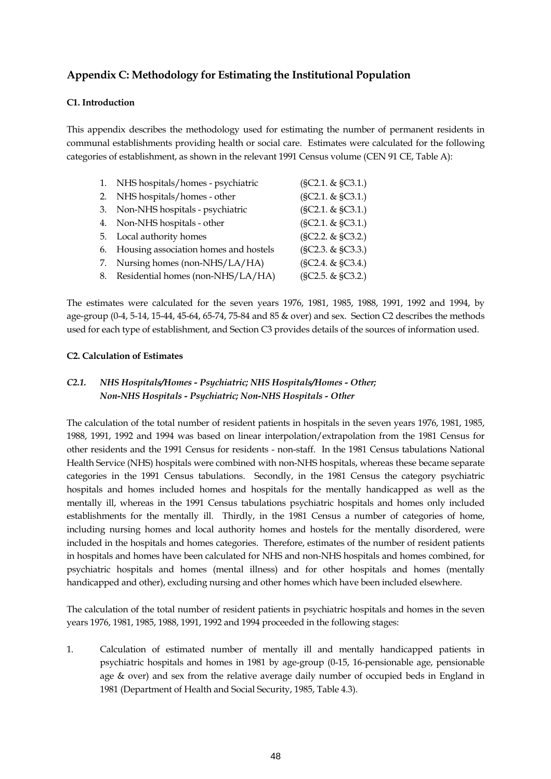# **Appendix C: Methodology for Estimating the Institutional Population**

### **C1. Introduction**

This appendix describes the methodology used for estimating the number of permanent residents in communal establishments providing health or social care. Estimates were calculated for the following categories of establishment, as shown in the relevant 1991 Census volume (CEN 91 CE, Table A):

| 1. | NHS hospitals/homes - psychiatric     | (SC2.1. & SC3.1.) |
|----|---------------------------------------|-------------------|
| 2. | NHS hospitals/homes - other           | (SC2.1. & SC3.1.) |
| 3. | Non-NHS hospitals - psychiatric       | (SC2.1. & SC3.1.) |
|    | 4. Non-NHS hospitals - other          | (SC2.1. & SC3.1.) |
|    | 5. Local authority homes              | (SC2.2. & SC3.2.) |
| 6. | Housing association homes and hostels | (SC2.3. & SC3.3.) |
| 7. | Nursing homes (non-NHS/LA/HA)         | (SC2.4. & SC3.4.) |
| 8. | Residential homes (non-NHS/LA/HA)     | (SC2.5. & SC3.2.) |

The estimates were calculated for the seven years 1976, 1981, 1985, 1988, 1991, 1992 and 1994, by age-group (0-4, 5-14, 15-44, 45-64, 65-74, 75-84 and 85 & over) and sex. Section C2 describes the methods used for each type of establishment, and Section C3 provides details of the sources of information used.

### **C2. Calculation of Estimates**

## *C2.1. NHS Hospitals/Homes - Psychiatric; NHS Hospitals/Homes - Other; Non-NHS Hospitals - Psychiatric; Non-NHS Hospitals - Other*

The calculation of the total number of resident patients in hospitals in the seven years 1976, 1981, 1985, 1988, 1991, 1992 and 1994 was based on linear interpolation/extrapolation from the 1981 Census for other residents and the 1991 Census for residents - non-staff. In the 1981 Census tabulations National Health Service (NHS) hospitals were combined with non-NHS hospitals, whereas these became separate categories in the 1991 Census tabulations. Secondly, in the 1981 Census the category psychiatric hospitals and homes included homes and hospitals for the mentally handicapped as well as the mentally ill, whereas in the 1991 Census tabulations psychiatric hospitals and homes only included establishments for the mentally ill. Thirdly, in the 1981 Census a number of categories of home, including nursing homes and local authority homes and hostels for the mentally disordered, were included in the hospitals and homes categories. Therefore, estimates of the number of resident patients in hospitals and homes have been calculated for NHS and non-NHS hospitals and homes combined, for psychiatric hospitals and homes (mental illness) and for other hospitals and homes (mentally handicapped and other), excluding nursing and other homes which have been included elsewhere.

The calculation of the total number of resident patients in psychiatric hospitals and homes in the seven years 1976, 1981, 1985, 1988, 1991, 1992 and 1994 proceeded in the following stages:

1. Calculation of estimated number of mentally ill and mentally handicapped patients in psychiatric hospitals and homes in 1981 by age-group (0-15, 16-pensionable age, pensionable age & over) and sex from the relative average daily number of occupied beds in England in 1981 (Department of Health and Social Security, 1985, Table 4.3).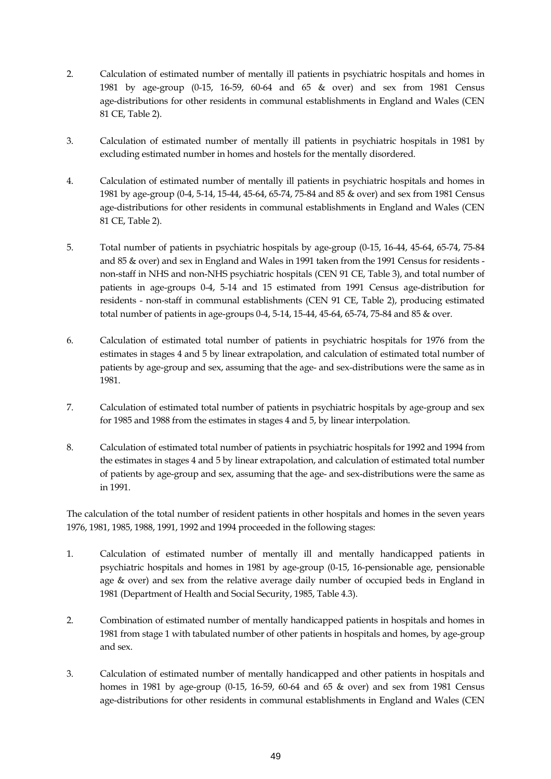- 2. Calculation of estimated number of mentally ill patients in psychiatric hospitals and homes in 1981 by age-group (0-15, 16-59, 60-64 and 65 & over) and sex from 1981 Census age-distributions for other residents in communal establishments in England and Wales (CEN 81 CE, Table 2).
- 3. Calculation of estimated number of mentally ill patients in psychiatric hospitals in 1981 by excluding estimated number in homes and hostels for the mentally disordered.
- 4. Calculation of estimated number of mentally ill patients in psychiatric hospitals and homes in 1981 by age-group (0-4, 5-14, 15-44, 45-64, 65-74, 75-84 and 85 & over) and sex from 1981 Census age-distributions for other residents in communal establishments in England and Wales (CEN 81 CE, Table 2).
- 5. Total number of patients in psychiatric hospitals by age-group (0-15, 16-44, 45-64, 65-74, 75-84 and 85 & over) and sex in England and Wales in 1991 taken from the 1991 Census for residents non-staff in NHS and non-NHS psychiatric hospitals (CEN 91 CE, Table 3), and total number of patients in age-groups 0-4, 5-14 and 15 estimated from 1991 Census age-distribution for residents - non-staff in communal establishments (CEN 91 CE, Table 2), producing estimated total number of patients in age-groups 0-4, 5-14, 15-44, 45-64, 65-74, 75-84 and 85 & over.
- 6. Calculation of estimated total number of patients in psychiatric hospitals for 1976 from the estimates in stages 4 and 5 by linear extrapolation, and calculation of estimated total number of patients by age-group and sex, assuming that the age- and sex-distributions were the same as in 1981.
- 7. Calculation of estimated total number of patients in psychiatric hospitals by age-group and sex for 1985 and 1988 from the estimates in stages 4 and 5, by linear interpolation.
- 8. Calculation of estimated total number of patients in psychiatric hospitals for 1992 and 1994 from the estimates in stages 4 and 5 by linear extrapolation, and calculation of estimated total number of patients by age-group and sex, assuming that the age- and sex-distributions were the same as in 1991.

The calculation of the total number of resident patients in other hospitals and homes in the seven years 1976, 1981, 1985, 1988, 1991, 1992 and 1994 proceeded in the following stages:

- 1. Calculation of estimated number of mentally ill and mentally handicapped patients in psychiatric hospitals and homes in 1981 by age-group (0-15, 16-pensionable age, pensionable age & over) and sex from the relative average daily number of occupied beds in England in 1981 (Department of Health and Social Security, 1985, Table 4.3).
- 2. Combination of estimated number of mentally handicapped patients in hospitals and homes in 1981 from stage 1 with tabulated number of other patients in hospitals and homes, by age-group and sex.
- 3. Calculation of estimated number of mentally handicapped and other patients in hospitals and homes in 1981 by age-group (0-15, 16-59, 60-64 and 65 & over) and sex from 1981 Census age-distributions for other residents in communal establishments in England and Wales (CEN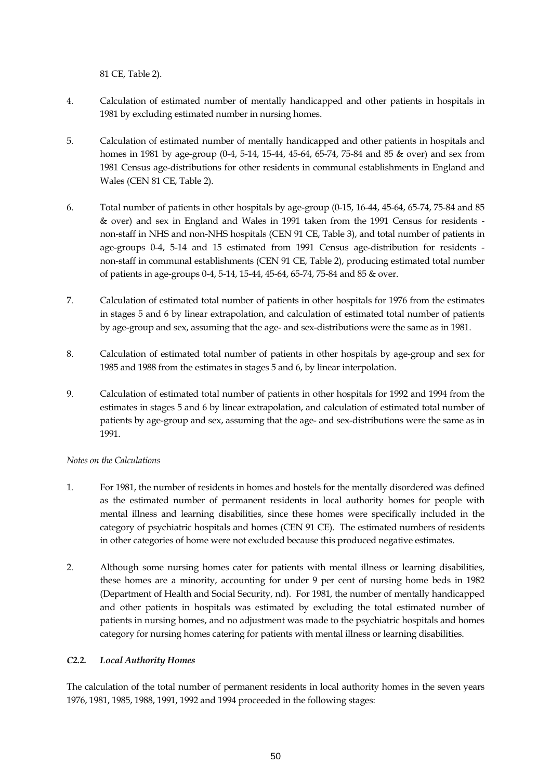81 CE, Table 2).

- 4. Calculation of estimated number of mentally handicapped and other patients in hospitals in 1981 by excluding estimated number in nursing homes.
- 5. Calculation of estimated number of mentally handicapped and other patients in hospitals and homes in 1981 by age-group (0-4, 5-14, 15-44, 45-64, 65-74, 75-84 and 85 & over) and sex from 1981 Census age-distributions for other residents in communal establishments in England and Wales (CEN 81 CE, Table 2).
- 6. Total number of patients in other hospitals by age-group (0-15, 16-44, 45-64, 65-74, 75-84 and 85 & over) and sex in England and Wales in 1991 taken from the 1991 Census for residents non-staff in NHS and non-NHS hospitals (CEN 91 CE, Table 3), and total number of patients in age-groups 0-4, 5-14 and 15 estimated from 1991 Census age-distribution for residents non-staff in communal establishments (CEN 91 CE, Table 2), producing estimated total number of patients in age-groups 0-4, 5-14, 15-44, 45-64, 65-74, 75-84 and 85 & over.
- 7. Calculation of estimated total number of patients in other hospitals for 1976 from the estimates in stages 5 and 6 by linear extrapolation, and calculation of estimated total number of patients by age-group and sex, assuming that the age- and sex-distributions were the same as in 1981.
- 8. Calculation of estimated total number of patients in other hospitals by age-group and sex for 1985 and 1988 from the estimates in stages 5 and 6, by linear interpolation.
- 9. Calculation of estimated total number of patients in other hospitals for 1992 and 1994 from the estimates in stages 5 and 6 by linear extrapolation, and calculation of estimated total number of patients by age-group and sex, assuming that the age- and sex-distributions were the same as in 1991.

### *Notes on the Calculations*

- 1. For 1981, the number of residents in homes and hostels for the mentally disordered was defined as the estimated number of permanent residents in local authority homes for people with mental illness and learning disabilities, since these homes were specifically included in the category of psychiatric hospitals and homes (CEN 91 CE). The estimated numbers of residents in other categories of home were not excluded because this produced negative estimates.
- 2. Although some nursing homes cater for patients with mental illness or learning disabilities, these homes are a minority, accounting for under 9 per cent of nursing home beds in 1982 (Department of Health and Social Security, nd). For 1981, the number of mentally handicapped and other patients in hospitals was estimated by excluding the total estimated number of patients in nursing homes, and no adjustment was made to the psychiatric hospitals and homes category for nursing homes catering for patients with mental illness or learning disabilities.

### *C2.2. Local Authority Homes*

The calculation of the total number of permanent residents in local authority homes in the seven years 1976, 1981, 1985, 1988, 1991, 1992 and 1994 proceeded in the following stages: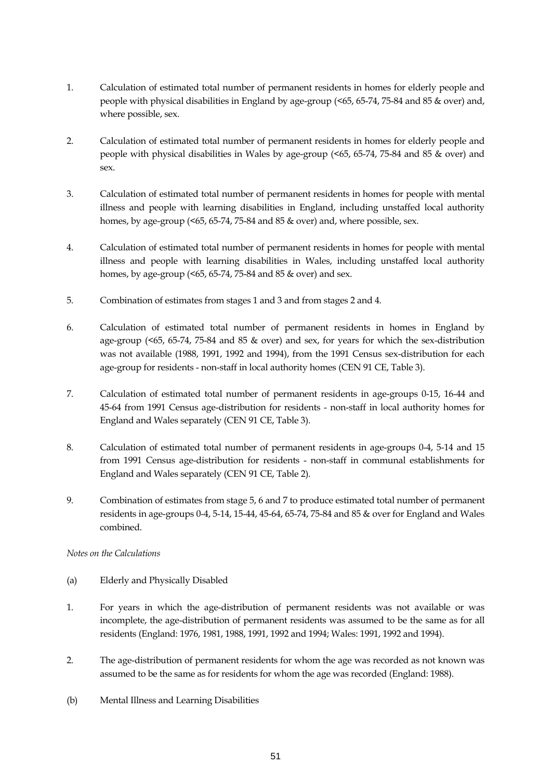- 1. Calculation of estimated total number of permanent residents in homes for elderly people and people with physical disabilities in England by age-group (<65, 65-74, 75-84 and 85 & over) and, where possible, sex.
- 2. Calculation of estimated total number of permanent residents in homes for elderly people and people with physical disabilities in Wales by age-group (<65, 65-74, 75-84 and 85 & over) and sex.
- 3. Calculation of estimated total number of permanent residents in homes for people with mental illness and people with learning disabilities in England, including unstaffed local authority homes, by age-group (<65, 65-74, 75-84 and 85 & over) and, where possible, sex.
- 4. Calculation of estimated total number of permanent residents in homes for people with mental illness and people with learning disabilities in Wales, including unstaffed local authority homes, by age-group (<65, 65-74, 75-84 and 85 & over) and sex.
- 5. Combination of estimates from stages 1 and 3 and from stages 2 and 4.
- 6. Calculation of estimated total number of permanent residents in homes in England by age-group (<65, 65-74, 75-84 and 85 & over) and sex, for years for which the sex-distribution was not available (1988, 1991, 1992 and 1994), from the 1991 Census sex-distribution for each age-group for residents - non-staff in local authority homes (CEN 91 CE, Table 3).
- 7. Calculation of estimated total number of permanent residents in age-groups 0-15, 16-44 and 45-64 from 1991 Census age-distribution for residents - non-staff in local authority homes for England and Wales separately (CEN 91 CE, Table 3).
- 8. Calculation of estimated total number of permanent residents in age-groups 0-4, 5-14 and 15 from 1991 Census age-distribution for residents - non-staff in communal establishments for England and Wales separately (CEN 91 CE, Table 2).
- 9. Combination of estimates from stage 5, 6 and 7 to produce estimated total number of permanent residents in age-groups 0-4, 5-14, 15-44, 45-64, 65-74, 75-84 and 85 & over for England and Wales combined.

### *Notes on the Calculations*

- (a) Elderly and Physically Disabled
- 1. For years in which the age-distribution of permanent residents was not available or was incomplete, the age-distribution of permanent residents was assumed to be the same as for all residents (England: 1976, 1981, 1988, 1991, 1992 and 1994; Wales: 1991, 1992 and 1994).
- 2. The age-distribution of permanent residents for whom the age was recorded as not known was assumed to be the same as for residents for whom the age was recorded (England: 1988).
- (b) Mental Illness and Learning Disabilities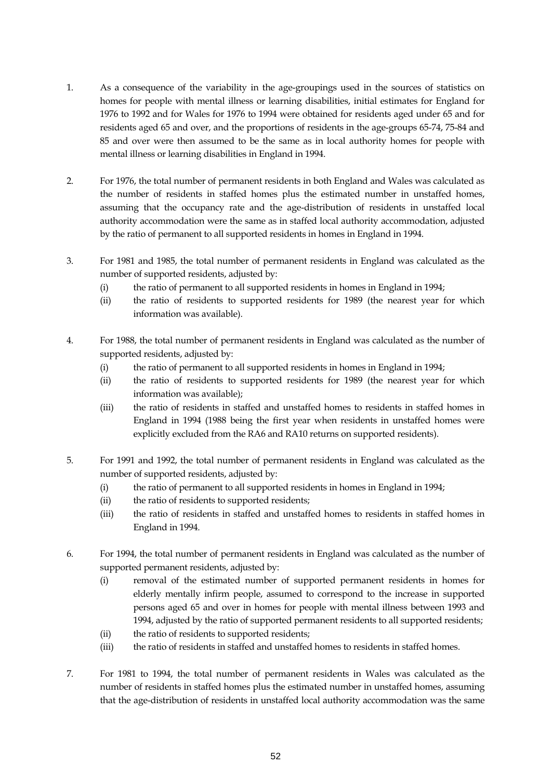- 1. As a consequence of the variability in the age-groupings used in the sources of statistics on homes for people with mental illness or learning disabilities, initial estimates for England for 1976 to 1992 and for Wales for 1976 to 1994 were obtained for residents aged under 65 and for residents aged 65 and over, and the proportions of residents in the age-groups 65-74, 75-84 and 85 and over were then assumed to be the same as in local authority homes for people with mental illness or learning disabilities in England in 1994.
- 2. For 1976, the total number of permanent residents in both England and Wales was calculated as the number of residents in staffed homes plus the estimated number in unstaffed homes, assuming that the occupancy rate and the age-distribution of residents in unstaffed local authority accommodation were the same as in staffed local authority accommodation, adjusted by the ratio of permanent to all supported residents in homes in England in 1994.
- 3. For 1981 and 1985, the total number of permanent residents in England was calculated as the number of supported residents, adjusted by:
	- (i) the ratio of permanent to all supported residents in homes in England in 1994;
	- (ii) the ratio of residents to supported residents for 1989 (the nearest year for which information was available).
- 4. For 1988, the total number of permanent residents in England was calculated as the number of supported residents, adjusted by:
	- (i) the ratio of permanent to all supported residents in homes in England in 1994;
	- (ii) the ratio of residents to supported residents for 1989 (the nearest year for which information was available);
	- (iii) the ratio of residents in staffed and unstaffed homes to residents in staffed homes in England in 1994 (1988 being the first year when residents in unstaffed homes were explicitly excluded from the RA6 and RA10 returns on supported residents).
- 5. For 1991 and 1992, the total number of permanent residents in England was calculated as the number of supported residents, adjusted by:
	- (i) the ratio of permanent to all supported residents in homes in England in 1994;
	- (ii) the ratio of residents to supported residents;
	- (iii) the ratio of residents in staffed and unstaffed homes to residents in staffed homes in England in 1994.
- 6. For 1994, the total number of permanent residents in England was calculated as the number of supported permanent residents, adjusted by:
	- (i) removal of the estimated number of supported permanent residents in homes for elderly mentally infirm people, assumed to correspond to the increase in supported persons aged 65 and over in homes for people with mental illness between 1993 and 1994, adjusted by the ratio of supported permanent residents to all supported residents;
	- (ii) the ratio of residents to supported residents;
	- (iii) the ratio of residents in staffed and unstaffed homes to residents in staffed homes.
- 7. For 1981 to 1994, the total number of permanent residents in Wales was calculated as the number of residents in staffed homes plus the estimated number in unstaffed homes, assuming that the age-distribution of residents in unstaffed local authority accommodation was the same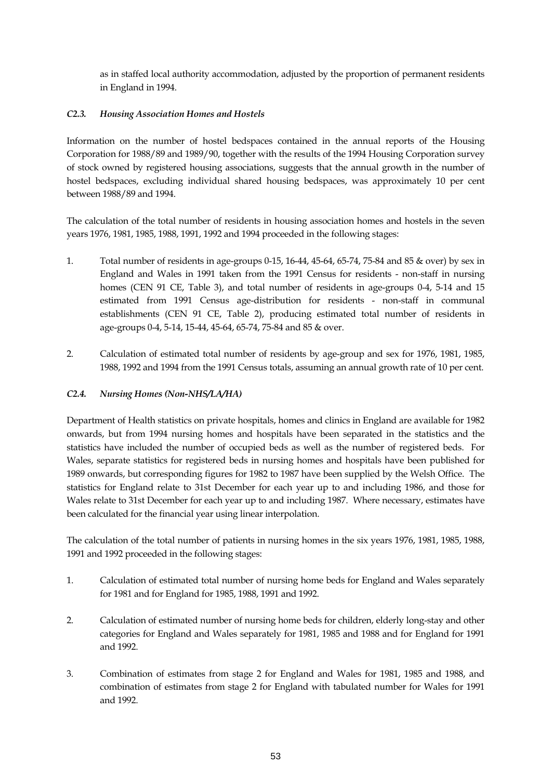as in staffed local authority accommodation, adjusted by the proportion of permanent residents in England in 1994.

### *C2.3. Housing Association Homes and Hostels*

Information on the number of hostel bedspaces contained in the annual reports of the Housing Corporation for 1988/89 and 1989/90, together with the results of the 1994 Housing Corporation survey of stock owned by registered housing associations, suggests that the annual growth in the number of hostel bedspaces, excluding individual shared housing bedspaces, was approximately 10 per cent between 1988/89 and 1994.

The calculation of the total number of residents in housing association homes and hostels in the seven years 1976, 1981, 1985, 1988, 1991, 1992 and 1994 proceeded in the following stages:

- 1. Total number of residents in age-groups 0-15, 16-44, 45-64, 65-74, 75-84 and 85 & over) by sex in England and Wales in 1991 taken from the 1991 Census for residents - non-staff in nursing homes (CEN 91 CE, Table 3), and total number of residents in age-groups 0-4, 5-14 and 15 estimated from 1991 Census age-distribution for residents - non-staff in communal establishments (CEN 91 CE, Table 2), producing estimated total number of residents in age-groups 0-4, 5-14, 15-44, 45-64, 65-74, 75-84 and 85 & over.
- 2. Calculation of estimated total number of residents by age-group and sex for 1976, 1981, 1985, 1988, 1992 and 1994 from the 1991 Census totals, assuming an annual growth rate of 10 per cent.

### *C2.4. Nursing Homes (Non-NHS/LA/HA)*

Department of Health statistics on private hospitals, homes and clinics in England are available for 1982 onwards, but from 1994 nursing homes and hospitals have been separated in the statistics and the statistics have included the number of occupied beds as well as the number of registered beds. For Wales, separate statistics for registered beds in nursing homes and hospitals have been published for 1989 onwards, but corresponding figures for 1982 to 1987 have been supplied by the Welsh Office. The statistics for England relate to 31st December for each year up to and including 1986, and those for Wales relate to 31st December for each year up to and including 1987. Where necessary, estimates have been calculated for the financial year using linear interpolation.

The calculation of the total number of patients in nursing homes in the six years 1976, 1981, 1985, 1988, 1991 and 1992 proceeded in the following stages:

- 1. Calculation of estimated total number of nursing home beds for England and Wales separately for 1981 and for England for 1985, 1988, 1991 and 1992.
- 2. Calculation of estimated number of nursing home beds for children, elderly long-stay and other categories for England and Wales separately for 1981, 1985 and 1988 and for England for 1991 and 1992.
- 3. Combination of estimates from stage 2 for England and Wales for 1981, 1985 and 1988, and combination of estimates from stage 2 for England with tabulated number for Wales for 1991 and 1992.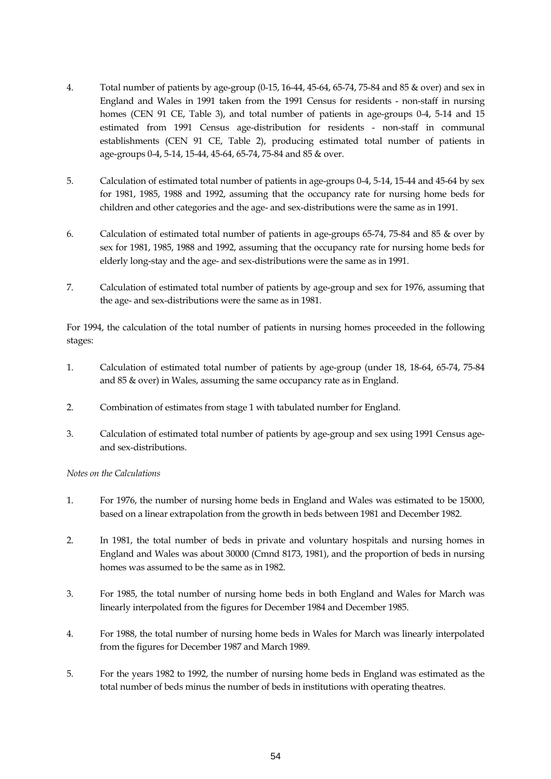- 4. Total number of patients by age-group (0-15, 16-44, 45-64, 65-74, 75-84 and 85 & over) and sex in England and Wales in 1991 taken from the 1991 Census for residents - non-staff in nursing homes (CEN 91 CE, Table 3), and total number of patients in age-groups 0-4, 5-14 and 15 estimated from 1991 Census age-distribution for residents - non-staff in communal establishments (CEN 91 CE, Table 2), producing estimated total number of patients in age-groups 0-4, 5-14, 15-44, 45-64, 65-74, 75-84 and 85 & over.
- 5. Calculation of estimated total number of patients in age-groups 0-4, 5-14, 15-44 and 45-64 by sex for 1981, 1985, 1988 and 1992, assuming that the occupancy rate for nursing home beds for children and other categories and the age- and sex-distributions were the same as in 1991.
- 6. Calculation of estimated total number of patients in age-groups 65-74, 75-84 and 85 & over by sex for 1981, 1985, 1988 and 1992, assuming that the occupancy rate for nursing home beds for elderly long-stay and the age- and sex-distributions were the same as in 1991.
- 7. Calculation of estimated total number of patients by age-group and sex for 1976, assuming that the age- and sex-distributions were the same as in 1981.

For 1994, the calculation of the total number of patients in nursing homes proceeded in the following stages:

- 1. Calculation of estimated total number of patients by age-group (under 18, 18-64, 65-74, 75-84 and 85 & over) in Wales, assuming the same occupancy rate as in England.
- 2. Combination of estimates from stage 1 with tabulated number for England.
- 3. Calculation of estimated total number of patients by age-group and sex using 1991 Census ageand sex-distributions.

*Notes on the Calculations*

- 1. For 1976, the number of nursing home beds in England and Wales was estimated to be 15000, based on a linear extrapolation from the growth in beds between 1981 and December 1982.
- 2. In 1981, the total number of beds in private and voluntary hospitals and nursing homes in England and Wales was about 30000 (Cmnd 8173, 1981), and the proportion of beds in nursing homes was assumed to be the same as in 1982.
- 3. For 1985, the total number of nursing home beds in both England and Wales for March was linearly interpolated from the figures for December 1984 and December 1985.
- 4. For 1988, the total number of nursing home beds in Wales for March was linearly interpolated from the figures for December 1987 and March 1989.
- 5. For the years 1982 to 1992, the number of nursing home beds in England was estimated as the total number of beds minus the number of beds in institutions with operating theatres.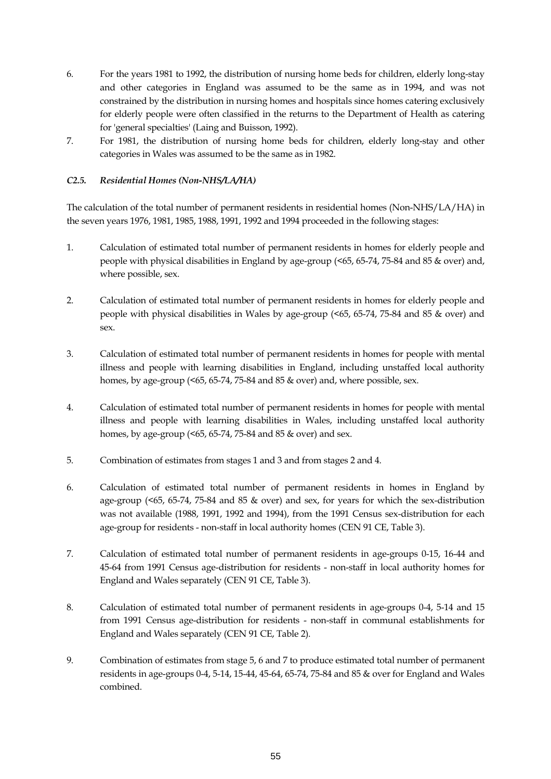- 6. For the years 1981 to 1992, the distribution of nursing home beds for children, elderly long-stay and other categories in England was assumed to be the same as in 1994, and was not constrained by the distribution in nursing homes and hospitals since homes catering exclusively for elderly people were often classified in the returns to the Department of Health as catering for 'general specialties' (Laing and Buisson, 1992).
- 7. For 1981, the distribution of nursing home beds for children, elderly long-stay and other categories in Wales was assumed to be the same as in 1982.

### *C2.5. Residential Homes (Non-NHS/LA/HA)*

The calculation of the total number of permanent residents in residential homes (Non-NHS/LA/HA) in the seven years 1976, 1981, 1985, 1988, 1991, 1992 and 1994 proceeded in the following stages:

- 1. Calculation of estimated total number of permanent residents in homes for elderly people and people with physical disabilities in England by age-group (<65, 65-74, 75-84 and 85 & over) and, where possible, sex.
- 2. Calculation of estimated total number of permanent residents in homes for elderly people and people with physical disabilities in Wales by age-group (<65, 65-74, 75-84 and 85 & over) and sex.
- 3. Calculation of estimated total number of permanent residents in homes for people with mental illness and people with learning disabilities in England, including unstaffed local authority homes, by age-group (<65, 65-74, 75-84 and 85 & over) and, where possible, sex.
- 4. Calculation of estimated total number of permanent residents in homes for people with mental illness and people with learning disabilities in Wales, including unstaffed local authority homes, by age-group (<65, 65-74, 75-84 and 85 & over) and sex.
- 5. Combination of estimates from stages 1 and 3 and from stages 2 and 4.
- 6. Calculation of estimated total number of permanent residents in homes in England by age-group (<65, 65-74, 75-84 and 85 & over) and sex, for years for which the sex-distribution was not available (1988, 1991, 1992 and 1994), from the 1991 Census sex-distribution for each age-group for residents - non-staff in local authority homes (CEN 91 CE, Table 3).
- 7. Calculation of estimated total number of permanent residents in age-groups 0-15, 16-44 and 45-64 from 1991 Census age-distribution for residents - non-staff in local authority homes for England and Wales separately (CEN 91 CE, Table 3).
- 8. Calculation of estimated total number of permanent residents in age-groups 0-4, 5-14 and 15 from 1991 Census age-distribution for residents - non-staff in communal establishments for England and Wales separately (CEN 91 CE, Table 2).
- 9. Combination of estimates from stage 5, 6 and 7 to produce estimated total number of permanent residents in age-groups 0-4, 5-14, 15-44, 45-64, 65-74, 75-84 and 85 & over for England and Wales combined.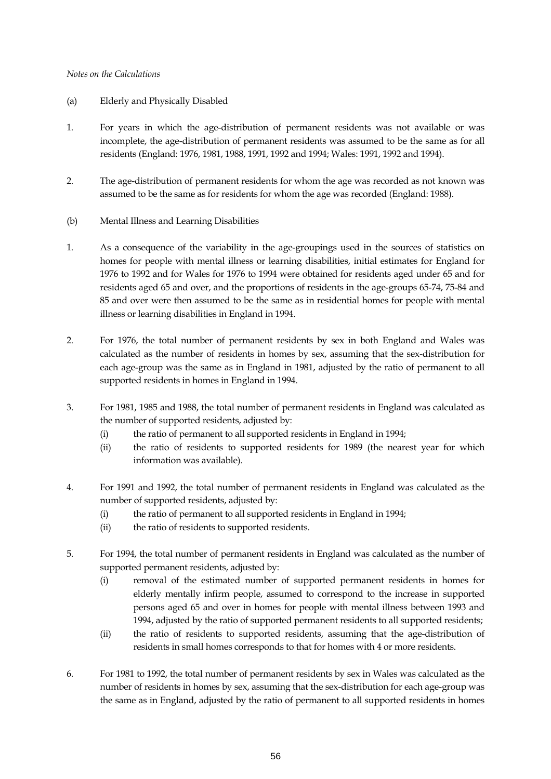#### *Notes on the Calculations*

- (a) Elderly and Physically Disabled
- 1. For years in which the age-distribution of permanent residents was not available or was incomplete, the age-distribution of permanent residents was assumed to be the same as for all residents (England: 1976, 1981, 1988, 1991, 1992 and 1994; Wales: 1991, 1992 and 1994).
- 2. The age-distribution of permanent residents for whom the age was recorded as not known was assumed to be the same as for residents for whom the age was recorded (England: 1988).
- (b) Mental Illness and Learning Disabilities
- 1. As a consequence of the variability in the age-groupings used in the sources of statistics on homes for people with mental illness or learning disabilities, initial estimates for England for 1976 to 1992 and for Wales for 1976 to 1994 were obtained for residents aged under 65 and for residents aged 65 and over, and the proportions of residents in the age-groups 65-74, 75-84 and 85 and over were then assumed to be the same as in residential homes for people with mental illness or learning disabilities in England in 1994.
- 2. For 1976, the total number of permanent residents by sex in both England and Wales was calculated as the number of residents in homes by sex, assuming that the sex-distribution for each age-group was the same as in England in 1981, adjusted by the ratio of permanent to all supported residents in homes in England in 1994.
- 3. For 1981, 1985 and 1988, the total number of permanent residents in England was calculated as the number of supported residents, adjusted by:
	- (i) the ratio of permanent to all supported residents in England in 1994;
	- (ii) the ratio of residents to supported residents for 1989 (the nearest year for which information was available).
- 4. For 1991 and 1992, the total number of permanent residents in England was calculated as the number of supported residents, adjusted by:
	- (i) the ratio of permanent to all supported residents in England in 1994;
	- (ii) the ratio of residents to supported residents.
- 5. For 1994, the total number of permanent residents in England was calculated as the number of supported permanent residents, adjusted by:
	- (i) removal of the estimated number of supported permanent residents in homes for elderly mentally infirm people, assumed to correspond to the increase in supported persons aged 65 and over in homes for people with mental illness between 1993 and 1994, adjusted by the ratio of supported permanent residents to all supported residents;
	- (ii) the ratio of residents to supported residents, assuming that the age-distribution of residents in small homes corresponds to that for homes with 4 or more residents.
- 6. For 1981 to 1992, the total number of permanent residents by sex in Wales was calculated as the number of residents in homes by sex, assuming that the sex-distribution for each age-group was the same as in England, adjusted by the ratio of permanent to all supported residents in homes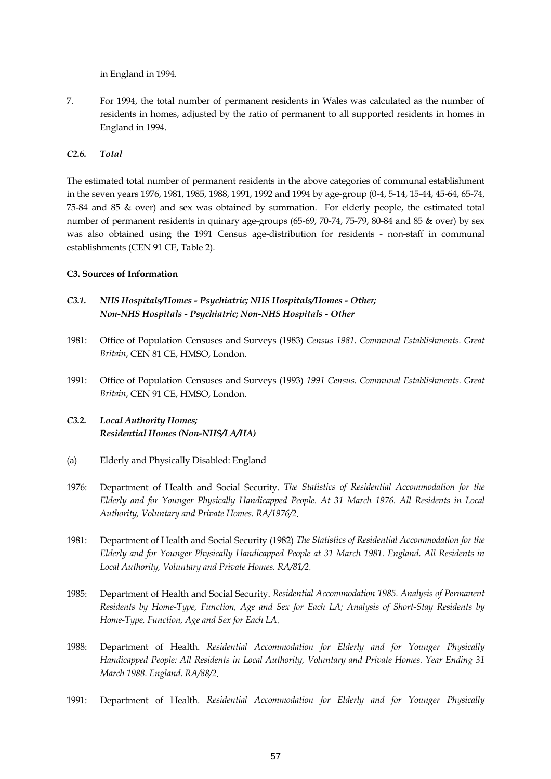in England in 1994.

7. For 1994, the total number of permanent residents in Wales was calculated as the number of residents in homes, adjusted by the ratio of permanent to all supported residents in homes in England in 1994.

### *C2.6. Total*

The estimated total number of permanent residents in the above categories of communal establishment in the seven years 1976, 1981, 1985, 1988, 1991, 1992 and 1994 by age-group (0-4, 5-14, 15-44, 45-64, 65-74, 75-84 and 85 & over) and sex was obtained by summation. For elderly people, the estimated total number of permanent residents in quinary age-groups (65-69, 70-74, 75-79, 80-84 and 85 & over) by sex was also obtained using the 1991 Census age-distribution for residents - non-staff in communal establishments (CEN 91 CE, Table 2).

### **C3. Sources of Information**

- *C3.1. NHS Hospitals/Homes Psychiatric; NHS Hospitals/Homes Other; Non-NHS Hospitals - Psychiatric; Non-NHS Hospitals - Other*
- 1981: Office of Population Censuses and Surveys (1983) *Census 1981. Communal Establishments. Great Britain*, CEN 81 CE, HMSO, London.
- 1991: Office of Population Censuses and Surveys (1993) *1991 Census. Communal Establishments. Great Britain*, CEN 91 CE, HMSO, London.

# *C3.2. Local Authority Homes; Residential Homes (Non-NHS/LA/HA)*

- (a) Elderly and Physically Disabled: England
- 1976: Department of Health and Social Security. *The Statistics of Residential Accommodation for the Elderly and for Younger Physically Handicapped People. At 31 March 1976. All Residents in Local Authority, Voluntary and Private Homes. RA/1976/2*.
- 1981: Department of Health and Social Security (1982) *The Statistics of Residential Accommodation for the Elderly and for Younger Physically Handicapped People at 31 March 1981. England. All Residents in Local Authority, Voluntary and Private Homes. RA/81/2*.
- 1985: Department of Health and Social Security. *Residential Accommodation 1985. Analysis of Permanent Residents by Home-Type, Function, Age and Sex for Each LA; Analysis of Short-Stay Residents by Home-Type, Function, Age and Sex for Each LA*.
- 1988: Department of Health. *Residential Accommodation for Elderly and for Younger Physically Handicapped People: All Residents in Local Authority, Voluntary and Private Homes. Year Ending 31 March 1988. England. RA/88/2*.
- 1991: Department of Health. *Residential Accommodation for Elderly and for Younger Physically*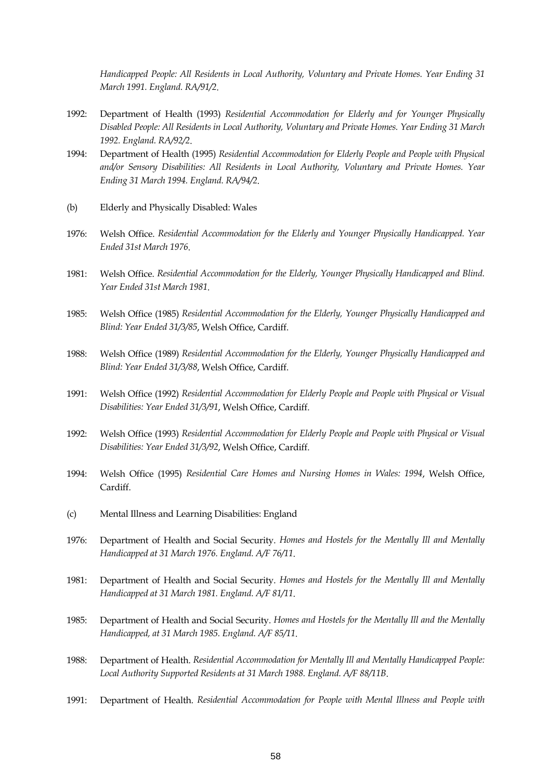*Handicapped People: All Residents in Local Authority, Voluntary and Private Homes. Year Ending 31 March 1991. England. RA/91/2*.

- 1992: Department of Health (1993) *Residential Accommodation for Elderly and for Younger Physically Disabled People: All Residents in Local Authority, Voluntary and Private Homes. Year Ending 31 March 1992. England. RA/92/2*.
- 1994: Department of Health (1995) *Residential Accommodation for Elderly People and People with Physical and/or Sensory Disabilities: All Residents in Local Authority, Voluntary and Private Homes. Year Ending 31 March 1994. England. RA/94/2*.
- (b) Elderly and Physically Disabled: Wales
- 1976: Welsh Office. *Residential Accommodation for the Elderly and Younger Physically Handicapped. Year Ended 31st March 1976*.
- 1981: Welsh Office. *Residential Accommodation for the Elderly, Younger Physically Handicapped and Blind. Year Ended 31st March 1981*.
- 1985: Welsh Office (1985) *Residential Accommodation for the Elderly, Younger Physically Handicapped and Blind: Year Ended 31/3/85*, Welsh Office, Cardiff.
- 1988: Welsh Office (1989) *Residential Accommodation for the Elderly, Younger Physically Handicapped and Blind: Year Ended 31/3/88*, Welsh Office, Cardiff.
- 1991: Welsh Office (1992) *Residential Accommodation for Elderly People and People with Physical or Visual Disabilities: Year Ended 31/3/91*, Welsh Office, Cardiff.
- 1992: Welsh Office (1993) *Residential Accommodation for Elderly People and People with Physical or Visual Disabilities: Year Ended 31/3/92*, Welsh Office, Cardiff.
- 1994: Welsh Office (1995) *Residential Care Homes and Nursing Homes in Wales: 1994*, Welsh Office, Cardiff.
- (c) Mental Illness and Learning Disabilities: England
- 1976: Department of Health and Social Security. *Homes and Hostels for the Mentally Ill and Mentally Handicapped at 31 March 1976. England. A/F 76/11*.
- 1981: Department of Health and Social Security. *Homes and Hostels for the Mentally Ill and Mentally Handicapped at 31 March 1981. England. A/F 81/11*.
- 1985: Department of Health and Social Security. *Homes and Hostels for the Mentally Ill and the Mentally Handicapped, at 31 March 1985. England. A/F 85/11*.
- 1988: Department of Health. *Residential Accommodation for Mentally Ill and Mentally Handicapped People: Local Authority Supported Residents at 31 March 1988. England. A/F 88/11B*.
- 1991: Department of Health. *Residential Accommodation for People with Mental Illness and People with*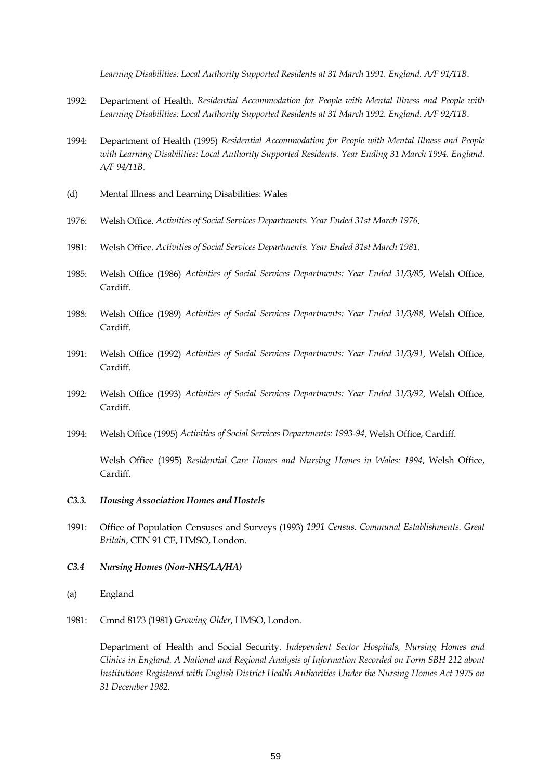*Learning Disabilities: Local Authority Supported Residents at 31 March 1991. England. A/F 91/11B*.

- 1992: Department of Health. *Residential Accommodation for People with Mental Illness and People with Learning Disabilities: Local Authority Supported Residents at 31 March 1992. England. A/F 92/11B*.
- 1994: Department of Health (1995) *Residential Accommodation for People with Mental Illness and People*  with Learning Disabilities: Local Authority Supported Residents. Year Ending 31 March 1994. England. *A/F 94/11B*.
- (d) Mental Illness and Learning Disabilities: Wales
- 1976: Welsh Office. *Activities of Social Services Departments. Year Ended 31st March 1976*.
- 1981: Welsh Office. *Activities of Social Services Departments. Year Ended 31st March 1981*.
- 1985: Welsh Office (1986) *Activities of Social Services Departments: Year Ended 31/3/85*, Welsh Office, Cardiff.
- 1988: Welsh Office (1989) *Activities of Social Services Departments: Year Ended 31/3/88*, Welsh Office, Cardiff.
- 1991: Welsh Office (1992) *Activities of Social Services Departments: Year Ended 31/3/91*, Welsh Office, Cardiff.
- 1992: Welsh Office (1993) *Activities of Social Services Departments: Year Ended 31/3/92*, Welsh Office, Cardiff.
- 1994: Welsh Office (1995) *Activities of Social Services Departments: 1993-94*, Welsh Office, Cardiff.

Welsh Office (1995) *Residential Care Homes and Nursing Homes in Wales: 1994*, Welsh Office, Cardiff.

- *C3.3. Housing Association Homes and Hostels*
- 1991: Office of Population Censuses and Surveys (1993) *1991 Census. Communal Establishments. Great Britain*, CEN 91 CE, HMSO, London.
- *C3.4 Nursing Homes (Non-NHS/LA/HA)*
- (a) England
- 1981: Cmnd 8173 (1981) *Growing Older*, HMSO, London.

Department of Health and Social Security. *Independent Sector Hospitals, Nursing Homes and Clinics in England. A National and Regional Analysis of Information Recorded on Form SBH 212 about Institutions Registered with English District Health Authorities Under the Nursing Homes Act 1975 on 31 December 1982*.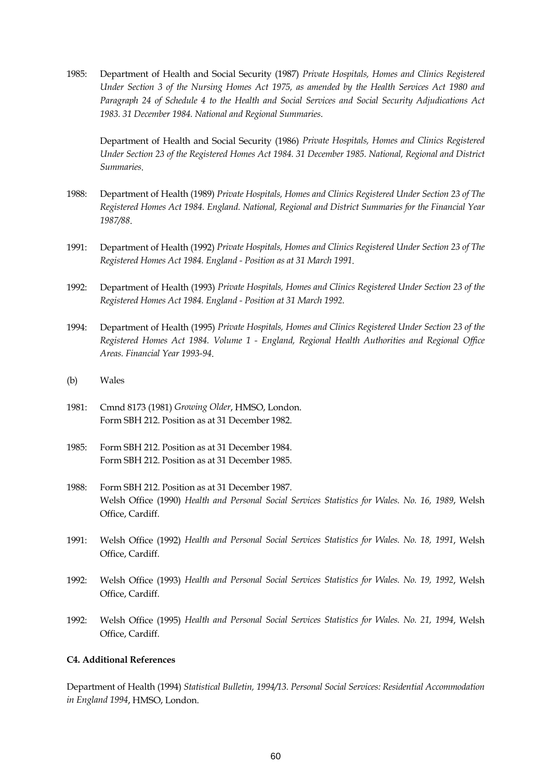1985: Department of Health and Social Security (1987) *Private Hospitals, Homes and Clinics Registered Under Section 3 of the Nursing Homes Act 1975, as amended by the Health Services Act 1980 and Paragraph 24 of Schedule 4 to the Health and Social Services and Social Security Adjudications Act 1983. 31 December 1984. National and Regional Summaries*.

Department of Health and Social Security (1986) *Private Hospitals, Homes and Clinics Registered Under Section 23 of the Registered Homes Act 1984. 31 December 1985. National, Regional and District Summaries*.

- 1988: Department of Health (1989) *Private Hospitals, Homes and Clinics Registered Under Section 23 of The Registered Homes Act 1984. England. National, Regional and District Summaries for the Financial Year 1987/88*.
- 1991: Department of Health (1992) *Private Hospitals, Homes and Clinics Registered Under Section 23 of The Registered Homes Act 1984. England - Position as at 31 March 1991*.
- 1992: Department of Health (1993) *Private Hospitals, Homes and Clinics Registered Under Section 23 of the Registered Homes Act 1984. England - Position at 31 March 1992*.
- 1994: Department of Health (1995) *Private Hospitals, Homes and Clinics Registered Under Section 23 of the Registered Homes Act 1984. Volume 1 - England, Regional Health Authorities and Regional Office Areas. Financial Year 1993-94*.
- (b) Wales
- 1981: Cmnd 8173 (1981) *Growing Older*, HMSO, London. Form SBH 212. Position as at 31 December 1982.
- 1985: Form SBH 212. Position as at 31 December 1984. Form SBH 212. Position as at 31 December 1985.
- 1988: Form SBH 212. Position as at 31 December 1987. Welsh Office (1990) *Health and Personal Social Services Statistics for Wales. No. 16, 1989*, Welsh Office, Cardiff.
- 1991: Welsh Office (1992) *Health and Personal Social Services Statistics for Wales. No. 18, 1991*, Welsh Office, Cardiff.
- 1992: Welsh Office (1993) *Health and Personal Social Services Statistics for Wales. No. 19, 1992*, Welsh Office, Cardiff.
- 1992: Welsh Office (1995) *Health and Personal Social Services Statistics for Wales. No. 21, 1994*, Welsh Office, Cardiff.

### **C4. Additional References**

Department of Health (1994) *Statistical Bulletin, 1994/13. Personal Social Services: Residential Accommodation in England 1994*, HMSO, London.